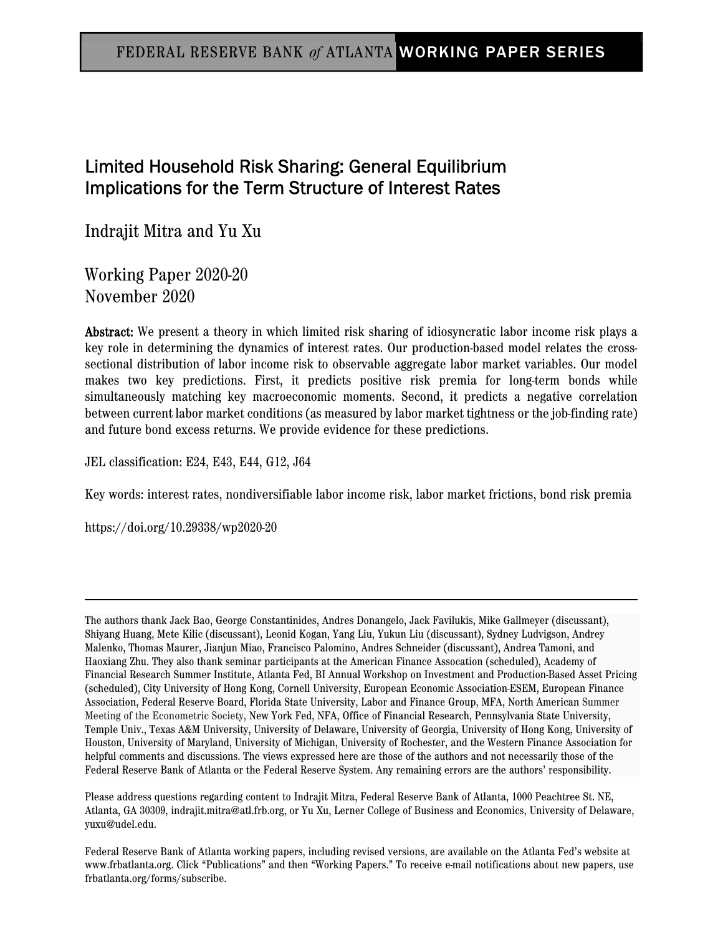# Limited Household Risk Sharing: General Equilibrium Implications for the Term Structure of Interest Rates

Indrajit Mitra and Yu Xu

Working Paper 2020-20 November 2020

Abstract: We present a theory in which limited risk sharing of idiosyncratic labor income risk plays a key role in determining the dynamics of interest rates. Our production-based model relates the crosssectional distribution of labor income risk to observable aggregate labor market variables. Our model makes two key predictions. First, it predicts positive risk premia for long-term bonds while simultaneously matching key macroeconomic moments. Second, it predicts a negative correlation between current labor market conditions (as measured by labor market tightness or the job-finding rate) and future bond excess returns. We provide evidence for these predictions.

JEL classification: E24, E43, E44, G12, J64

Key words: interest rates, nondiversifiable labor income risk, labor market frictions, bond risk premia

https://doi.org/10.29338/wp2020-20

The authors thank Jack Bao, George Constantinides, Andres Donangelo, Jack Favilukis, Mike Gallmeyer (discussant), Shiyang Huang, Mete Kilic (discussant), Leonid Kogan, Yang Liu, Yukun Liu (discussant), Sydney Ludvigson, Andrey Malenko, Thomas Maurer, Jianjun Miao, Francisco Palomino, Andres Schneider (discussant), Andrea Tamoni, and Haoxiang Zhu. They also thank seminar participants at the American Finance Assocation (scheduled), Academy of Financial Research Summer Institute, Atlanta Fed, BI Annual Workshop on Investment and Production-Based Asset Pricing (scheduled), City University of Hong Kong, Cornell University, European Economic Association-ESEM, European Finance Association, Federal Reserve Board, Florida State University, Labor and Finance Group, MFA, North American Summer Meeting of the Econometric Society, New York Fed, NFA, Office of Financial Research, Pennsylvania State University, Temple Univ., Texas A&M University, University of Delaware, University of Georgia, University of Hong Kong, University of Houston, University of Maryland, University of Michigan, University of Rochester, and the Western Finance Association for helpful comments and discussions. The views expressed here are those of the authors and not necessarily those of the Federal Reserve Bank of Atlanta or the Federal Reserve System. Any remaining errors are the authors' responsibility.

Please address questions regarding content to Indrajit Mitra, Federal Reserve Bank of Atlanta, 1000 Peachtree St. NE, Atlanta, GA 30309, indrajit.mitra@atl.frb.org, or Yu Xu, Lerner College of Business and Economics, University of Delaware, yuxu@udel.edu.

Federal Reserve Bank of Atlanta working papers, including revised versions, are available on the Atlanta Fed's website at www.frbatlanta.org. Click "Publications" and then "Working Papers." To receive e-mail notifications about new papers, use frbatlanta.org/forms/subscribe.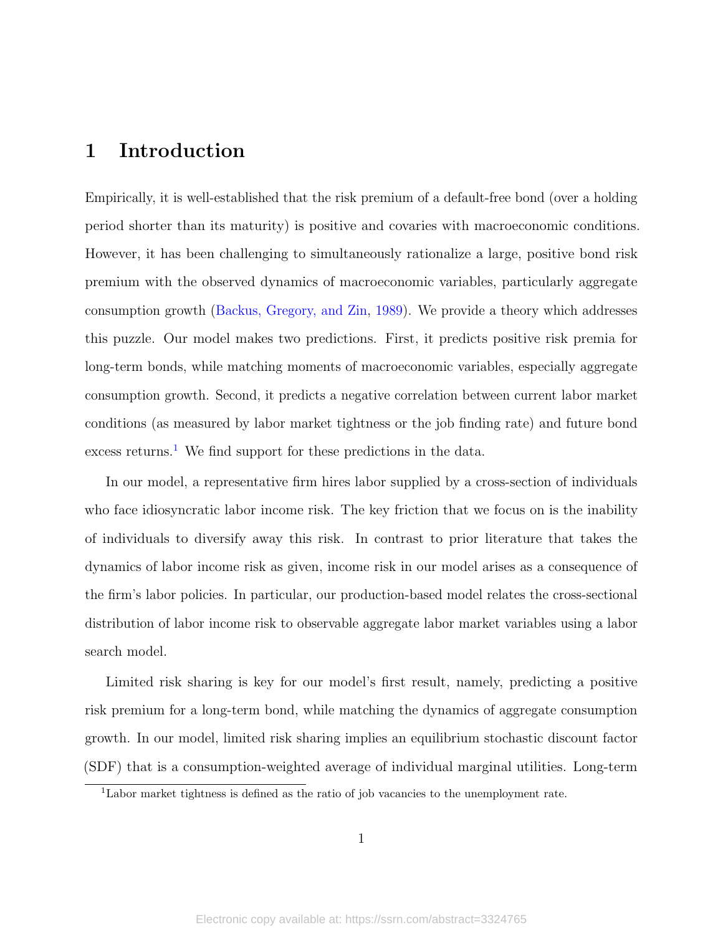# 1 Introduction

Empirically, it is well-established that the risk premium of a default-free bond (over a holding period shorter than its maturity) is positive and covaries with macroeconomic conditions. However, it has been challenging to simultaneously rationalize a large, positive bond risk premium with the observed dynamics of macroeconomic variables, particularly aggregate consumption growth [\(Backus, Gregory, and Zin,](#page-45-0) [1989\)](#page-45-0). We provide a theory which addresses this puzzle. Our model makes two predictions. First, it predicts positive risk premia for long-term bonds, while matching moments of macroeconomic variables, especially aggregate consumption growth. Second, it predicts a negative correlation between current labor market conditions (as measured by labor market tightness or the job finding rate) and future bond excess returns.<sup>[1](#page-1-0)</sup> We find support for these predictions in the data.

In our model, a representative firm hires labor supplied by a cross-section of individuals who face idiosyncratic labor income risk. The key friction that we focus on is the inability of individuals to diversify away this risk. In contrast to prior literature that takes the dynamics of labor income risk as given, income risk in our model arises as a consequence of the firm's labor policies. In particular, our production-based model relates the cross-sectional distribution of labor income risk to observable aggregate labor market variables using a labor search model.

Limited risk sharing is key for our model's first result, namely, predicting a positive risk premium for a long-term bond, while matching the dynamics of aggregate consumption growth. In our model, limited risk sharing implies an equilibrium stochastic discount factor (SDF) that is a consumption-weighted average of individual marginal utilities. Long-term

<span id="page-1-0"></span><sup>1</sup>Labor market tightness is defined as the ratio of job vacancies to the unemployment rate.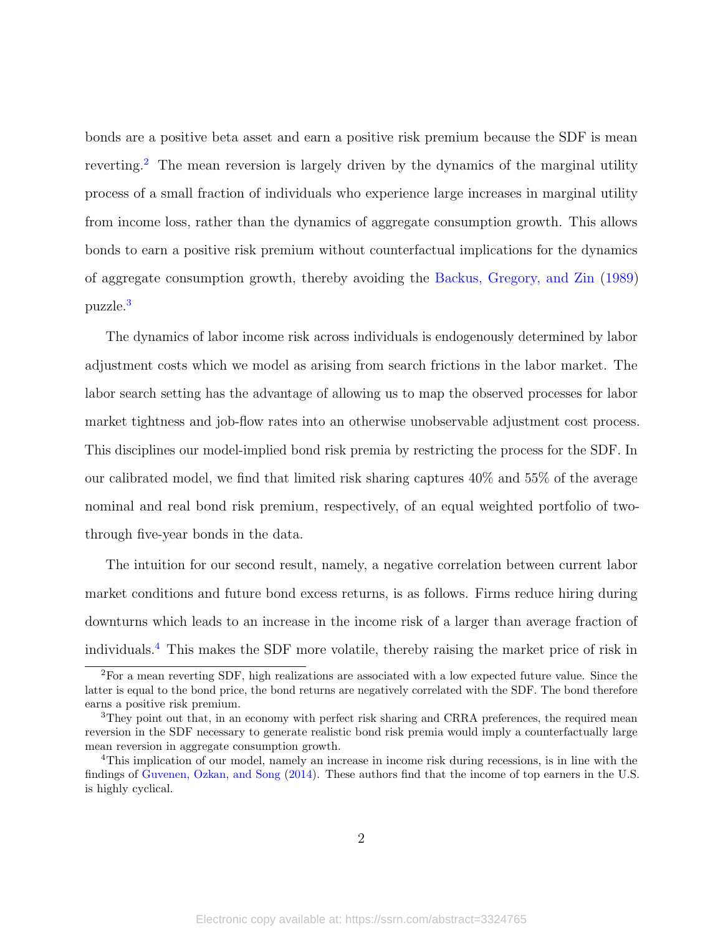bonds are a positive beta asset and earn a positive risk premium because the SDF is mean reverting.<sup>[2](#page-2-0)</sup> The mean reversion is largely driven by the dynamics of the marginal utility process of a small fraction of individuals who experience large increases in marginal utility from income loss, rather than the dynamics of aggregate consumption growth. This allows bonds to earn a positive risk premium without counterfactual implications for the dynamics of aggregate consumption growth, thereby avoiding the [Backus, Gregory, and Zin](#page-45-0) [\(1989\)](#page-45-0) puzzle.[3](#page-2-1)

The dynamics of labor income risk across individuals is endogenously determined by labor adjustment costs which we model as arising from search frictions in the labor market. The labor search setting has the advantage of allowing us to map the observed processes for labor market tightness and job-flow rates into an otherwise unobservable adjustment cost process. This disciplines our model-implied bond risk premia by restricting the process for the SDF. In our calibrated model, we find that limited risk sharing captures 40% and 55% of the average nominal and real bond risk premium, respectively, of an equal weighted portfolio of twothrough five-year bonds in the data.

The intuition for our second result, namely, a negative correlation between current labor market conditions and future bond excess returns, is as follows. Firms reduce hiring during downturns which leads to an increase in the income risk of a larger than average fraction of individuals.[4](#page-2-2) This makes the SDF more volatile, thereby raising the market price of risk in

<span id="page-2-0"></span><sup>2</sup>For a mean reverting SDF, high realizations are associated with a low expected future value. Since the latter is equal to the bond price, the bond returns are negatively correlated with the SDF. The bond therefore earns a positive risk premium.

<span id="page-2-1"></span><sup>&</sup>lt;sup>3</sup>They point out that, in an economy with perfect risk sharing and CRRA preferences, the required mean reversion in the SDF necessary to generate realistic bond risk premia would imply a counterfactually large mean reversion in aggregate consumption growth.

<span id="page-2-2"></span><sup>4</sup>This implication of our model, namely an increase in income risk during recessions, is in line with the findings of [Guvenen, Ozkan, and Song](#page-47-0) [\(2014\)](#page-47-0). These authors find that the income of top earners in the U.S. is highly cyclical.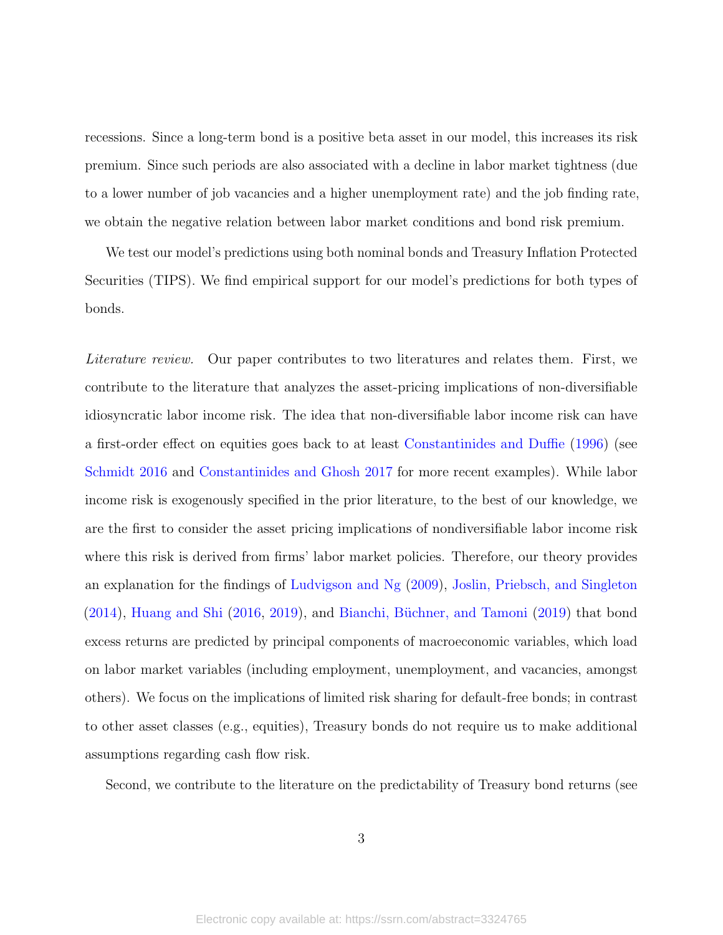recessions. Since a long-term bond is a positive beta asset in our model, this increases its risk premium. Since such periods are also associated with a decline in labor market tightness (due to a lower number of job vacancies and a higher unemployment rate) and the job finding rate, we obtain the negative relation between labor market conditions and bond risk premium.

We test our model's predictions using both nominal bonds and Treasury Inflation Protected Securities (TIPS). We find empirical support for our model's predictions for both types of bonds.

Literature review. Our paper contributes to two literatures and relates them. First, we contribute to the literature that analyzes the asset-pricing implications of non-diversifiable idiosyncratic labor income risk. The idea that non-diversifiable labor income risk can have a first-order effect on equities goes back to at least [Constantinides and Duffie](#page-46-0) [\(1996\)](#page-46-0) (see [Schmidt](#page-49-0) [2016](#page-49-0) and [Constantinides and Ghosh](#page-46-1) [2017](#page-46-1) for more recent examples). While labor income risk is exogenously specified in the prior literature, to the best of our knowledge, we are the first to consider the asset pricing implications of nondiversifiable labor income risk where this risk is derived from firms' labor market policies. Therefore, our theory provides an explanation for the findings of [Ludvigson and Ng](#page-48-0) [\(2009\)](#page-48-0), [Joslin, Priebsch, and Singleton](#page-48-1)  $(2014)$ , [Huang and Shi](#page-48-2)  $(2016, 2019)$  $(2016, 2019)$  $(2016, 2019)$ , and Bianchi, Büchner, and Tamoni  $(2019)$  that bond excess returns are predicted by principal components of macroeconomic variables, which load on labor market variables (including employment, unemployment, and vacancies, amongst others). We focus on the implications of limited risk sharing for default-free bonds; in contrast to other asset classes (e.g., equities), Treasury bonds do not require us to make additional assumptions regarding cash flow risk.

Second, we contribute to the literature on the predictability of Treasury bond returns (see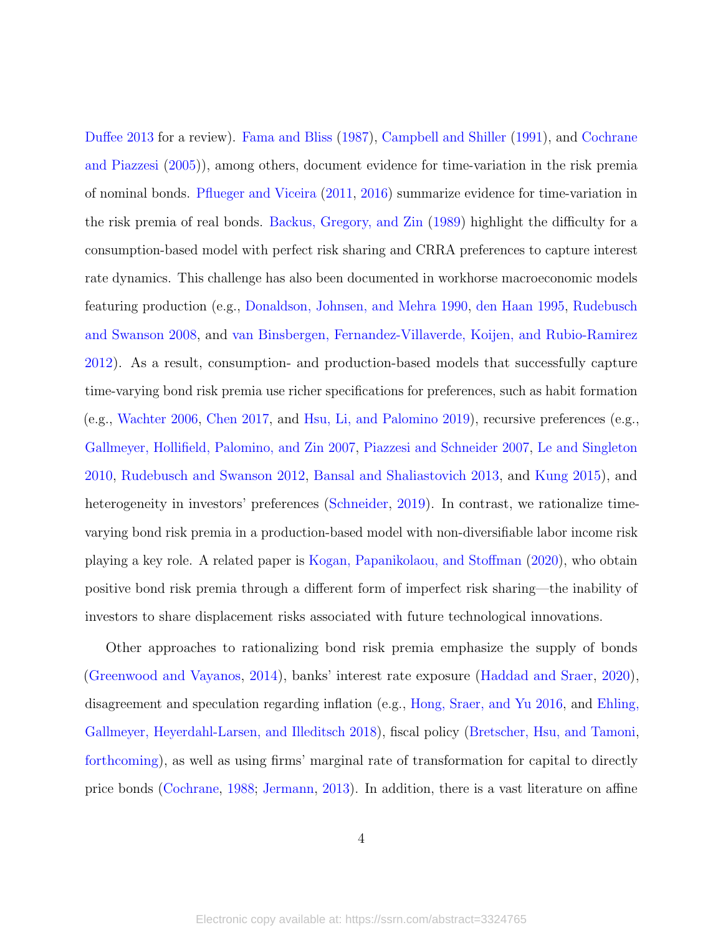[Duffee](#page-46-2) [2013](#page-46-2) for a review). [Fama and Bliss](#page-47-1) [\(1987\)](#page-47-1), [Campbell and Shiller](#page-46-3) [\(1991\)](#page-46-3), and [Cochrane](#page-46-4) [and Piazzesi](#page-46-4) [\(2005\)](#page-46-4)), among others, document evidence for time-variation in the risk premia of nominal bonds. [Pflueger and Viceira](#page-48-4) [\(2011,](#page-48-4) [2016\)](#page-49-1) summarize evidence for time-variation in the risk premia of real bonds. [Backus, Gregory, and Zin](#page-45-0) [\(1989\)](#page-45-0) highlight the difficulty for a consumption-based model with perfect risk sharing and CRRA preferences to capture interest rate dynamics. This challenge has also been documented in workhorse macroeconomic models featuring production (e.g., [Donaldson, Johnsen, and Mehra](#page-46-5) [1990,](#page-46-5) [den Haan](#page-46-6) [1995,](#page-46-6) [Rudebusch](#page-49-2) [and Swanson](#page-49-2) [2008,](#page-49-2) and [van Binsbergen, Fernandez-Villaverde, Koijen, and Rubio-Ramirez](#page-49-3) [2012\)](#page-49-3). As a result, consumption- and production-based models that successfully capture time-varying bond risk premia use richer specifications for preferences, such as habit formation (e.g., [Wachter](#page-49-4) [2006,](#page-49-4) [Chen](#page-46-7) [2017,](#page-46-7) and [Hsu, Li, and Palomino](#page-48-5) [2019\)](#page-48-5), recursive preferences (e.g., [Gallmeyer, Hollifield, Palomino, and Zin](#page-47-2) [2007,](#page-47-2) [Piazzesi and Schneider](#page-49-5) [2007,](#page-49-5) [Le and Singleton](#page-48-6) [2010,](#page-48-6) [Rudebusch and Swanson](#page-49-6) [2012,](#page-49-6) [Bansal and Shaliastovich](#page-45-2) [2013,](#page-45-2) and [Kung](#page-48-7) [2015\)](#page-48-7), and heterogeneity in investors' preferences [\(Schneider,](#page-49-7) [2019\)](#page-49-7). In contrast, we rationalize timevarying bond risk premia in a production-based model with non-diversifiable labor income risk playing a key role. A related paper is [Kogan, Papanikolaou, and Stoffman](#page-48-8) [\(2020\)](#page-48-8), who obtain positive bond risk premia through a different form of imperfect risk sharing—the inability of investors to share displacement risks associated with future technological innovations.

Other approaches to rationalizing bond risk premia emphasize the supply of bonds [\(Greenwood and Vayanos,](#page-47-3) [2014\)](#page-47-3), banks' interest rate exposure [\(Haddad and Sraer,](#page-47-4) [2020\)](#page-47-4), disagreement and speculation regarding inflation (e.g., [Hong, Sraer, and Yu](#page-47-5) [2016,](#page-47-5) and [Ehling,](#page-47-6) [Gallmeyer, Heyerdahl-Larsen, and Illeditsch](#page-47-6) [2018\)](#page-47-6), fiscal policy [\(Bretscher, Hsu, and Tamoni,](#page-46-8) [forthcoming\)](#page-46-8), as well as using firms' marginal rate of transformation for capital to directly price bonds [\(Cochrane,](#page-46-9) [1988;](#page-46-9) [Jermann,](#page-48-9) [2013\)](#page-48-9). In addition, there is a vast literature on affine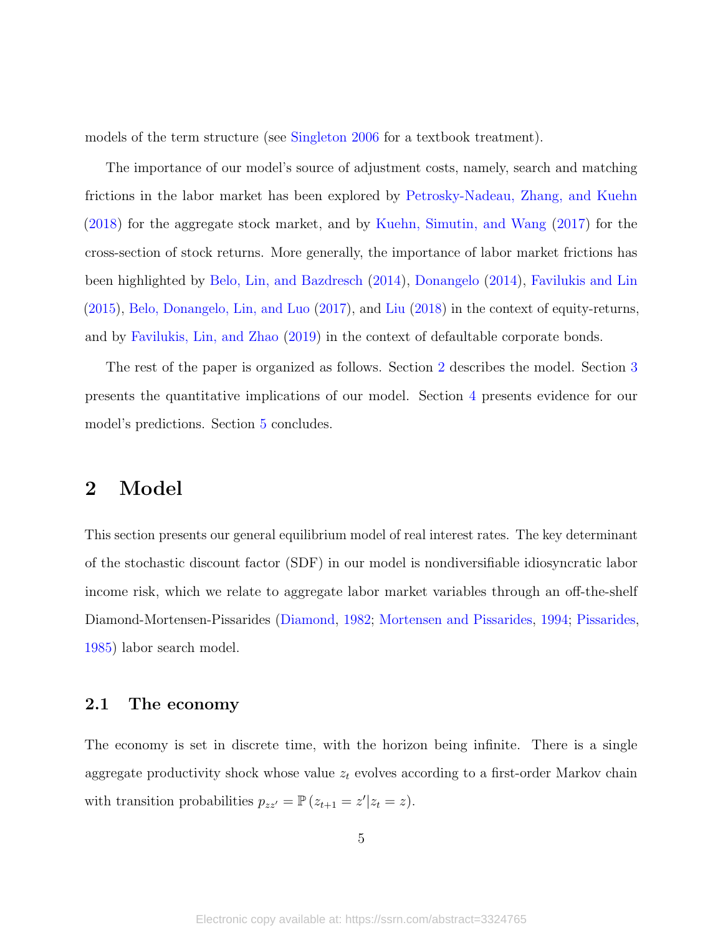models of the term structure (see [Singleton](#page-49-8) [2006](#page-49-8) for a textbook treatment).

The importance of our model's source of adjustment costs, namely, search and matching frictions in the labor market has been explored by [Petrosky-Nadeau, Zhang, and Kuehn](#page-48-10) [\(2018\)](#page-48-10) for the aggregate stock market, and by [Kuehn, Simutin, and Wang](#page-48-11) [\(2017\)](#page-48-11) for the cross-section of stock returns. More generally, the importance of labor market frictions has been highlighted by [Belo, Lin, and Bazdresch](#page-45-3) [\(2014\)](#page-45-3), [Donangelo](#page-46-10) [\(2014\)](#page-46-10), [Favilukis and Lin](#page-47-7) [\(2015\)](#page-47-7), [Belo, Donangelo, Lin, and Luo](#page-45-4) [\(2017\)](#page-45-4), and [Liu](#page-48-12) [\(2018\)](#page-48-12) in the context of equity-returns, and by [Favilukis, Lin, and Zhao](#page-47-8) [\(2019\)](#page-47-8) in the context of defaultable corporate bonds.

The rest of the paper is organized as follows. Section [2](#page-5-0) describes the model. Section [3](#page-22-0) presents the quantitative implications of our model. Section [4](#page-35-0) presents evidence for our model's predictions. Section [5](#page-38-0) concludes.

### <span id="page-5-0"></span>2 Model

This section presents our general equilibrium model of real interest rates. The key determinant of the stochastic discount factor (SDF) in our model is nondiversifiable idiosyncratic labor income risk, which we relate to aggregate labor market variables through an off-the-shelf Diamond-Mortensen-Pissarides [\(Diamond,](#page-46-11) [1982;](#page-46-11) [Mortensen and Pissarides,](#page-48-13) [1994;](#page-48-13) [Pissarides,](#page-49-9) [1985\)](#page-49-9) labor search model.

#### 2.1 The economy

The economy is set in discrete time, with the horizon being infinite. There is a single aggregate productivity shock whose value  $z_t$  evolves according to a first-order Markov chain with transition probabilities  $p_{zz'} = \mathbb{P} (z_{t+1} = z' | z_t = z)$ .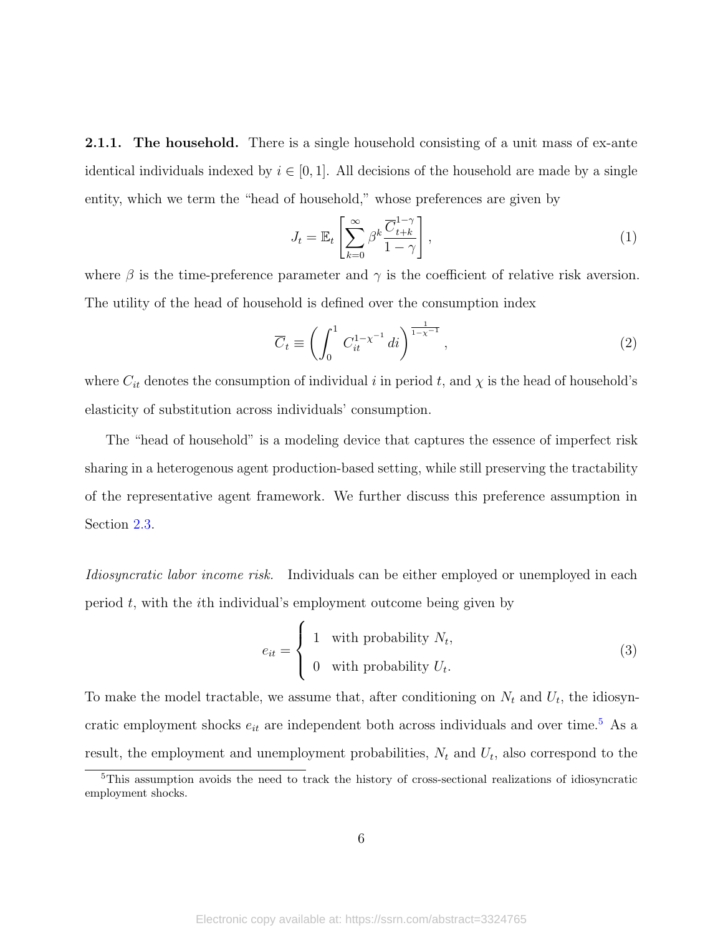**2.1.1.** The household. There is a single household consisting of a unit mass of ex-ante identical individuals indexed by  $i \in [0, 1]$ . All decisions of the household are made by a single entity, which we term the "head of household," whose preferences are given by

<span id="page-6-2"></span>
$$
J_t = \mathbb{E}_t \left[ \sum_{k=0}^{\infty} \beta^k \frac{\overline{C}_{t+k}^{1-\gamma}}{1-\gamma} \right],
$$
 (1)

where  $\beta$  is the time-preference parameter and  $\gamma$  is the coefficient of relative risk aversion. The utility of the head of household is defined over the consumption index

<span id="page-6-3"></span>
$$
\overline{C}_t \equiv \left( \int_0^1 C_{it}^{1-\chi^{-1}} di \right)^{\frac{1}{1-\chi^{-1}}},\tag{2}
$$

where  $C_{it}$  denotes the consumption of individual i in period t, and  $\chi$  is the head of household's elasticity of substitution across individuals' consumption.

The "head of household" is a modeling device that captures the essence of imperfect risk sharing in a heterogenous agent production-based setting, while still preserving the tractability of the representative agent framework. We further discuss this preference assumption in Section [2.3.](#page-21-0)

Idiosyncratic labor income risk. Individuals can be either employed or unemployed in each period  $t$ , with the *i*th individual's employment outcome being given by

<span id="page-6-1"></span>
$$
e_{it} = \begin{cases} 1 & \text{with probability } N_t, \\ 0 & \text{with probability } U_t. \end{cases}
$$
 (3)

To make the model tractable, we assume that, after conditioning on  $N_t$  and  $U_t$ , the idiosyncratic employment shocks  $e_{it}$  are independent both across individuals and over time.<sup>[5](#page-6-0)</sup> As a result, the employment and unemployment probabilities,  $N_t$  and  $U_t$ , also correspond to the

<span id="page-6-0"></span><sup>&</sup>lt;sup>5</sup>This assumption avoids the need to track the history of cross-sectional realizations of idiosyncratic employment shocks.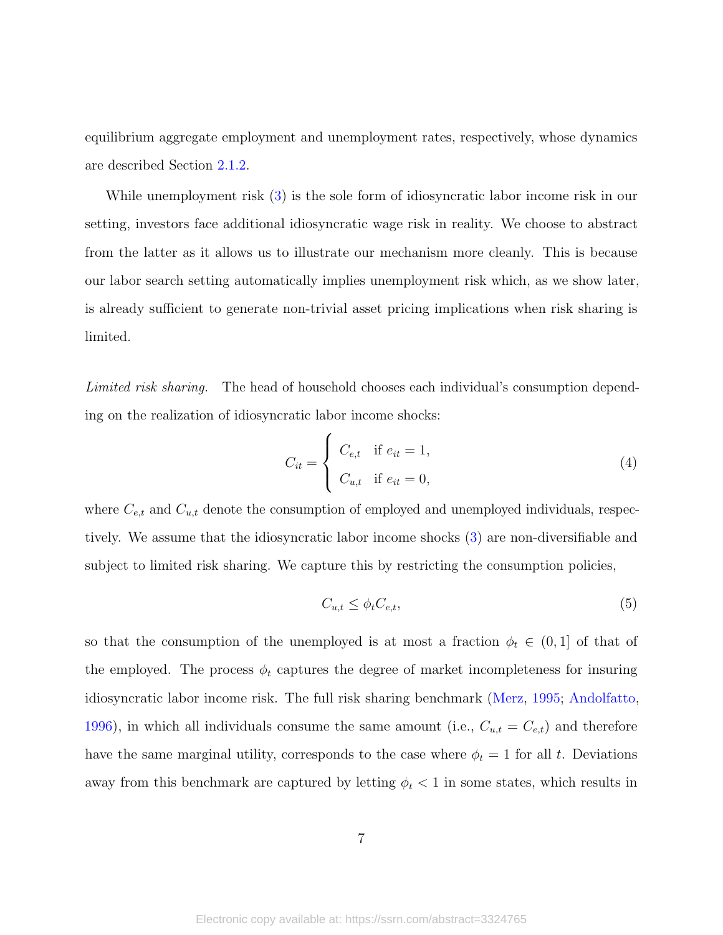equilibrium aggregate employment and unemployment rates, respectively, whose dynamics are described Section [2.1.2.](#page-8-0)

While unemployment risk [\(3\)](#page-6-1) is the sole form of idiosyncratic labor income risk in our setting, investors face additional idiosyncratic wage risk in reality. We choose to abstract from the latter as it allows us to illustrate our mechanism more cleanly. This is because our labor search setting automatically implies unemployment risk which, as we show later, is already sufficient to generate non-trivial asset pricing implications when risk sharing is limited.

Limited risk sharing. The head of household chooses each individual's consumption depending on the realization of idiosyncratic labor income shocks:

$$
C_{it} = \begin{cases} C_{e,t} & \text{if } e_{it} = 1, \\ C_{u,t} & \text{if } e_{it} = 0, \end{cases}
$$
 (4)

where  $C_{e,t}$  and  $C_{u,t}$  denote the consumption of employed and unemployed individuals, respectively. We assume that the idiosyncratic labor income shocks [\(3\)](#page-6-1) are non-diversifiable and subject to limited risk sharing. We capture this by restricting the consumption policies,

<span id="page-7-0"></span>
$$
C_{u,t} \le \phi_t C_{e,t},\tag{5}
$$

so that the consumption of the unemployed is at most a fraction  $\phi_t \in (0,1]$  of that of the employed. The process  $\phi_t$  captures the degree of market incompleteness for insuring idiosyncratic labor income risk. The full risk sharing benchmark [\(Merz,](#page-48-14) [1995;](#page-48-14) [Andolfatto,](#page-45-5) [1996\)](#page-45-5), in which all individuals consume the same amount (i.e.,  $C_{u,t} = C_{e,t}$ ) and therefore have the same marginal utility, corresponds to the case where  $\phi_t = 1$  for all t. Deviations away from this benchmark are captured by letting  $\phi_t < 1$  in some states, which results in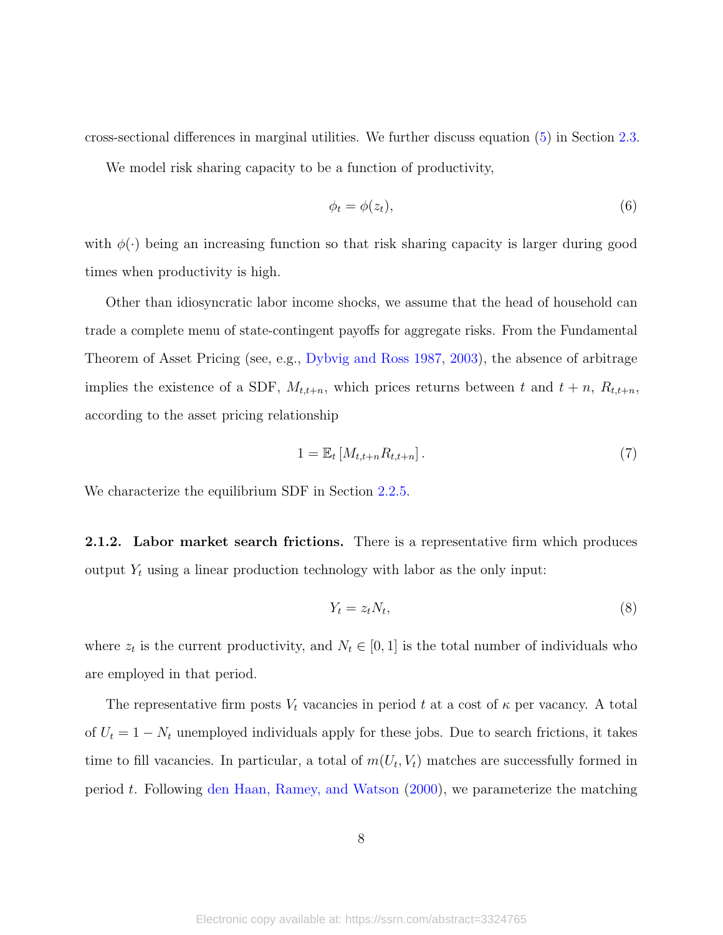cross-sectional differences in marginal utilities. We further discuss equation [\(5\)](#page-7-0) in Section [2.3.](#page-21-0)

We model risk sharing capacity to be a function of productivity,

$$
\phi_t = \phi(z_t),\tag{6}
$$

with  $\phi(\cdot)$  being an increasing function so that risk sharing capacity is larger during good times when productivity is high.

Other than idiosyncratic labor income shocks, we assume that the head of household can trade a complete menu of state-contingent payoffs for aggregate risks. From the Fundamental Theorem of Asset Pricing (see, e.g., [Dybvig and Ross](#page-46-12) [1987,](#page-46-12) [2003\)](#page-47-9), the absence of arbitrage implies the existence of a SDF,  $M_{t,t+n}$ , which prices returns between t and  $t + n$ ,  $R_{t,t+n}$ , according to the asset pricing relationship

$$
1 = \mathbb{E}_t \left[ M_{t,t+n} R_{t,t+n} \right]. \tag{7}
$$

We characterize the equilibrium SDF in Section [2.2.5.](#page-14-0)

<span id="page-8-0"></span>2.1.2. Labor market search frictions. There is a representative firm which produces output  $Y_t$  using a linear production technology with labor as the only input:

<span id="page-8-1"></span>
$$
Y_t = z_t N_t,\tag{8}
$$

where  $z_t$  is the current productivity, and  $N_t \in [0, 1]$  is the total number of individuals who are employed in that period.

The representative firm posts  $V_t$  vacancies in period t at a cost of  $\kappa$  per vacancy. A total of  $U_t = 1 - N_t$  unemployed individuals apply for these jobs. Due to search frictions, it takes time to fill vacancies. In particular, a total of  $m(U_t, V_t)$  matches are successfully formed in period t. Following [den Haan, Ramey, and Watson](#page-46-13) [\(2000\)](#page-46-13), we parameterize the matching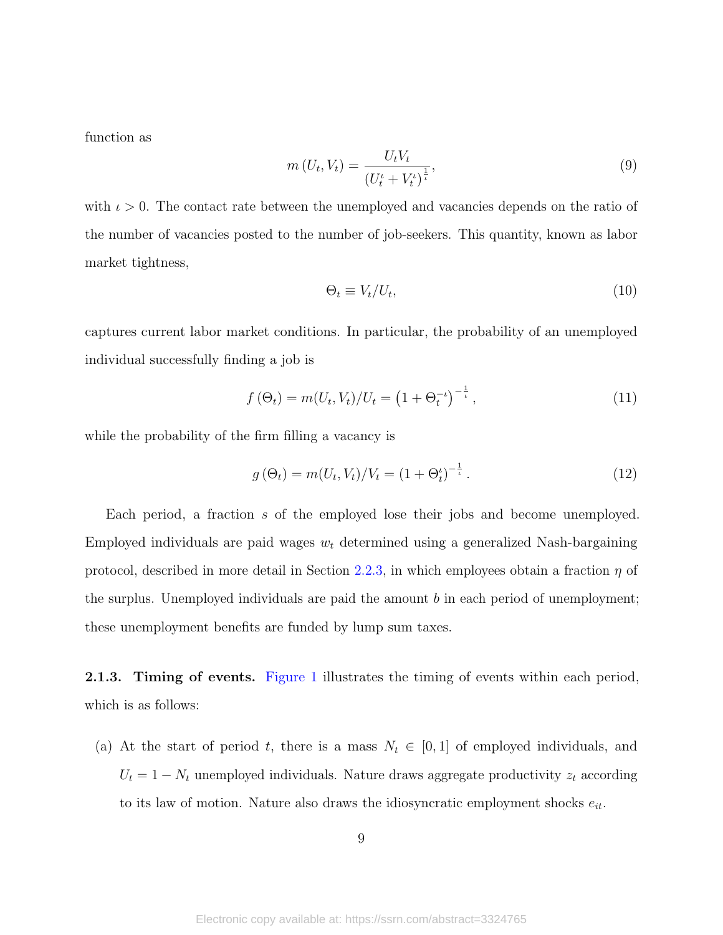function as

<span id="page-9-0"></span>
$$
m\left(U_{t}, V_{t}\right) = \frac{U_{t}V_{t}}{\left(U_{t}^{t} + V_{t}^{t}\right)^{\frac{1}{t}}},\tag{9}
$$

with  $\iota > 0$ . The contact rate between the unemployed and vacancies depends on the ratio of the number of vacancies posted to the number of job-seekers. This quantity, known as labor market tightness,

$$
\Theta_t \equiv V_t / U_t,\tag{10}
$$

captures current labor market conditions. In particular, the probability of an unemployed individual successfully finding a job is

<span id="page-9-1"></span>
$$
f(\Theta_t) = m(U_t, V_t)/U_t = \left(1 + \Theta_t^{-\iota}\right)^{-\frac{1}{\iota}},\tag{11}
$$

while the probability of the firm filling a vacancy is

<span id="page-9-2"></span>
$$
g(\Theta_t) = m(U_t, V_t) / V_t = (1 + \Theta_t^t)^{-\frac{1}{t}}.
$$
\n(12)

Each period, a fraction s of the employed lose their jobs and become unemployed. Employed individuals are paid wages  $w_t$  determined using a generalized Nash-bargaining protocol, described in more detail in Section [2.2.3,](#page-13-0) in which employees obtain a fraction  $\eta$  of the surplus. Unemployed individuals are paid the amount  $b$  in each period of unemployment; these unemployment benefits are funded by lump sum taxes.

**2.1.3. Timing of events.** [Figure 1](#page-10-0) illustrates the timing of events within each period, which is as follows:

(a) At the start of period t, there is a mass  $N_t \in [0,1]$  of employed individuals, and  $U_t = 1 - N_t$  unemployed individuals. Nature draws aggregate productivity  $z_t$  according to its law of motion. Nature also draws the idiosyncratic employment shocks  $e_{it}$ .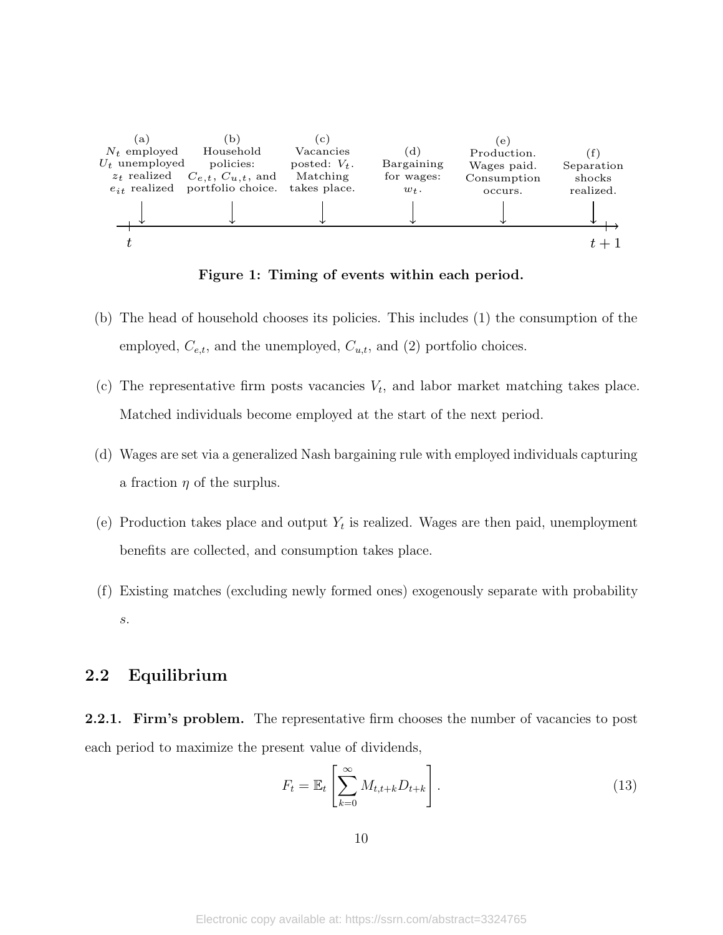<span id="page-10-0"></span>

Figure 1: Timing of events within each period.

- (b) The head of household chooses its policies. This includes (1) the consumption of the employed,  $C_{e,t}$ , and the unemployed,  $C_{u,t}$ , and (2) portfolio choices.
- (c) The representative firm posts vacancies  $V_t$ , and labor market matching takes place. Matched individuals become employed at the start of the next period.
- (d) Wages are set via a generalized Nash bargaining rule with employed individuals capturing a fraction  $\eta$  of the surplus.
- (e) Production takes place and output  $Y_t$  is realized. Wages are then paid, unemployment benefits are collected, and consumption takes place.
- (f) Existing matches (excluding newly formed ones) exogenously separate with probability s.

#### 2.2 Equilibrium

**2.2.1. Firm's problem.** The representative firm chooses the number of vacancies to post each period to maximize the present value of dividends,

<span id="page-10-1"></span>
$$
F_t = \mathbb{E}_t \left[ \sum_{k=0}^{\infty} M_{t,t+k} D_{t+k} \right].
$$
 (13)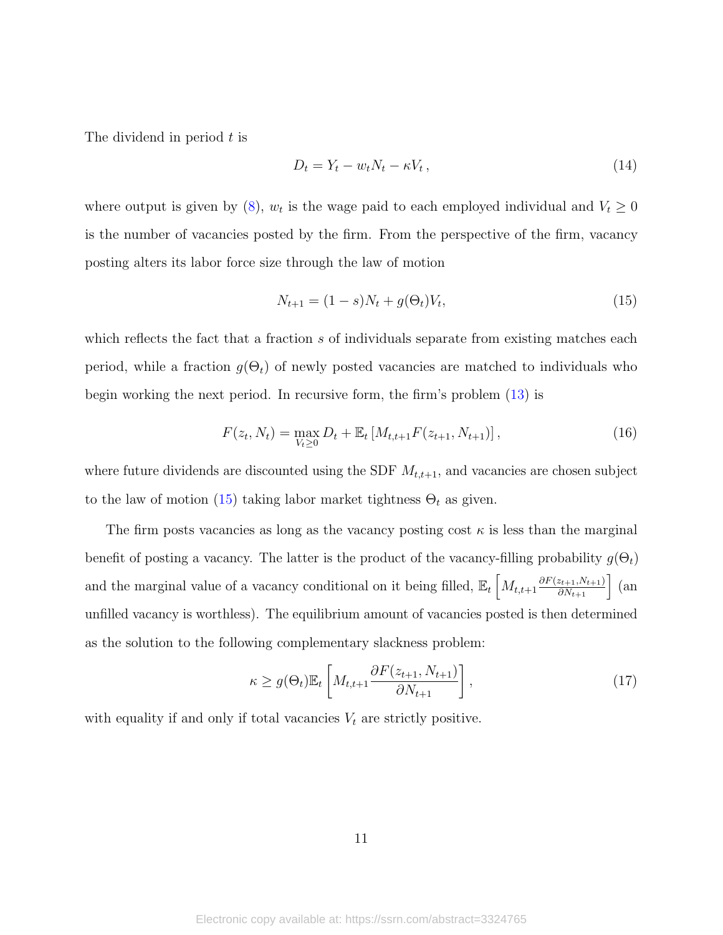The dividend in period  $t$  is

$$
D_t = Y_t - w_t N_t - \kappa V_t, \qquad (14)
$$

where output is given by [\(8\)](#page-8-1),  $w_t$  is the wage paid to each employed individual and  $V_t \geq 0$ is the number of vacancies posted by the firm. From the perspective of the firm, vacancy posting alters its labor force size through the law of motion

<span id="page-11-0"></span>
$$
N_{t+1} = (1 - s)N_t + g(\Theta_t)V_t,
$$
\n(15)

which reflects the fact that a fraction s of individuals separate from existing matches each period, while a fraction  $g(\Theta_t)$  of newly posted vacancies are matched to individuals who begin working the next period. In recursive form, the firm's problem [\(13\)](#page-10-1) is

<span id="page-11-1"></span>
$$
F(z_t, N_t) = \max_{V_t \ge 0} D_t + \mathbb{E}_t \left[ M_{t,t+1} F(z_{t+1}, N_{t+1}) \right],
$$
\n(16)

where future dividends are discounted using the SDF  $M_{t,t+1}$ , and vacancies are chosen subject to the law of motion [\(15\)](#page-11-0) taking labor market tightness  $\Theta_t$  as given.

The firm posts vacancies as long as the vacancy posting cost  $\kappa$  is less than the marginal benefit of posting a vacancy. The latter is the product of the vacancy-filling probability  $g(\Theta_t)$ and the marginal value of a vacancy conditional on it being filled,  $\mathbb{E}_t \left[ M_{t,t+1} \frac{\partial F(z_{t+1}, N_{t+1})}{\partial N_{t+1}} \right]$  (an unfilled vacancy is worthless). The equilibrium amount of vacancies posted is then determined as the solution to the following complementary slackness problem:

<span id="page-11-2"></span>
$$
\kappa \ge g(\Theta_t) \mathbb{E}_t \left[ M_{t,t+1} \frac{\partial F(z_{t+1}, N_{t+1})}{\partial N_{t+1}} \right],\tag{17}
$$

with equality if and only if total vacancies  $V_t$  are strictly positive.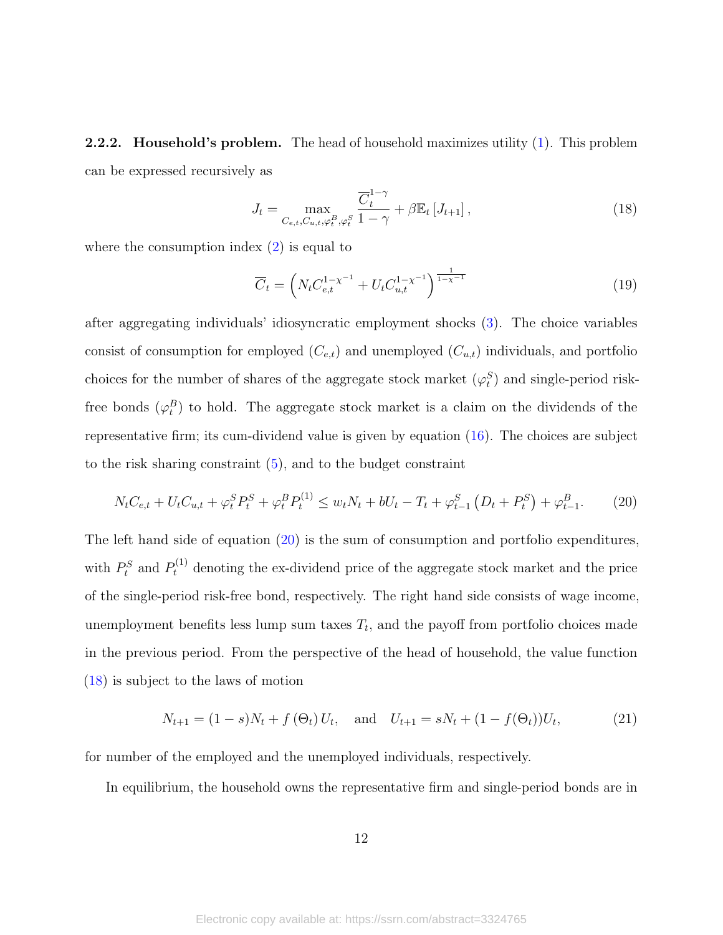**2.2.2.** Household's problem. The head of household maximizes utility [\(1\)](#page-6-2). This problem can be expressed recursively as

<span id="page-12-1"></span>
$$
J_t = \max_{C_{e,t}, C_{u,t}, \varphi_t^B, \varphi_t^S} \frac{\overline{C}_t^{1-\gamma}}{1-\gamma} + \beta \mathbb{E}_t \left[ J_{t+1} \right],\tag{18}
$$

where the consumption index  $(2)$  is equal to

$$
\overline{C}_t = \left( N_t C_{e,t}^{1-\chi^{-1}} + U_t C_{u,t}^{1-\chi^{-1}} \right)^{\frac{1}{1-\chi^{-1}}} \tag{19}
$$

after aggregating individuals' idiosyncratic employment shocks [\(3\)](#page-6-1). The choice variables consist of consumption for employed  $(C_{e,t})$  and unemployed  $(C_{u,t})$  individuals, and portfolio choices for the number of shares of the aggregate stock market  $(\varphi_t^S)$  and single-period riskfree bonds  $(\varphi_t^B)$  to hold. The aggregate stock market is a claim on the dividends of the representative firm; its cum-dividend value is given by equation [\(16\)](#page-11-1). The choices are subject to the risk sharing constraint  $(5)$ , and to the budget constraint

<span id="page-12-0"></span>
$$
N_t C_{e,t} + U_t C_{u,t} + \varphi_t^S P_t^S + \varphi_t^B P_t^{(1)} \le w_t N_t + b U_t - T_t + \varphi_{t-1}^S \left( D_t + P_t^S \right) + \varphi_{t-1}^B. \tag{20}
$$

The left hand side of equation [\(20\)](#page-12-0) is the sum of consumption and portfolio expenditures, with  $P_t^S$  and  $P_t^{(1)}$  denoting the ex-dividend price of the aggregate stock market and the price of the single-period risk-free bond, respectively. The right hand side consists of wage income, unemployment benefits less lump sum taxes  $T_t$ , and the payoff from portfolio choices made in the previous period. From the perspective of the head of household, the value function [\(18\)](#page-12-1) is subject to the laws of motion

<span id="page-12-2"></span>
$$
N_{t+1} = (1 - s)N_t + f(\Theta_t)U_t, \text{ and } U_{t+1} = sN_t + (1 - f(\Theta_t))U_t,
$$
 (21)

for number of the employed and the unemployed individuals, respectively.

In equilibrium, the household owns the representative firm and single-period bonds are in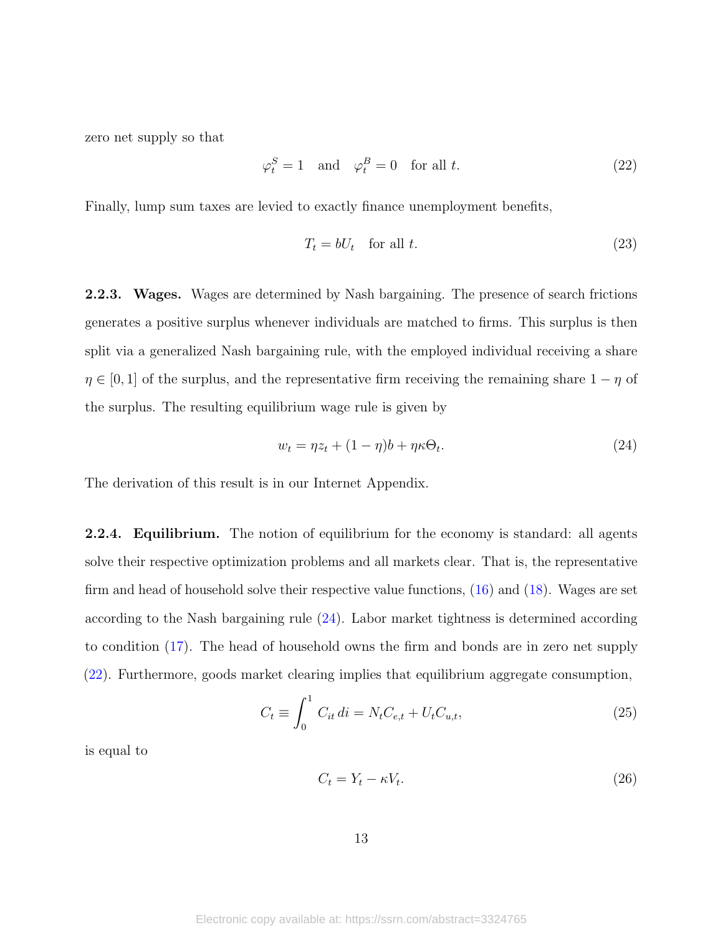zero net supply so that

<span id="page-13-2"></span>
$$
\varphi_t^S = 1 \quad \text{and} \quad \varphi_t^B = 0 \quad \text{for all } t. \tag{22}
$$

Finally, lump sum taxes are levied to exactly finance unemployment benefits,

$$
T_t = bU_t \quad \text{for all } t. \tag{23}
$$

<span id="page-13-0"></span>**2.2.3.** Wages. Wages are determined by Nash bargaining. The presence of search frictions generates a positive surplus whenever individuals are matched to firms. This surplus is then split via a generalized Nash bargaining rule, with the employed individual receiving a share  $\eta \in [0,1]$  of the surplus, and the representative firm receiving the remaining share  $1 - \eta$  of the surplus. The resulting equilibrium wage rule is given by

<span id="page-13-1"></span>
$$
w_t = \eta z_t + (1 - \eta)b + \eta \kappa \Theta_t.
$$
\n<sup>(24)</sup>

The derivation of this result is in our Internet Appendix.

2.2.4. Equilibrium. The notion of equilibrium for the economy is standard: all agents solve their respective optimization problems and all markets clear. That is, the representative firm and head of household solve their respective value functions, [\(16\)](#page-11-1) and [\(18\)](#page-12-1). Wages are set according to the Nash bargaining rule [\(24\)](#page-13-1). Labor market tightness is determined according to condition [\(17\)](#page-11-2). The head of household owns the firm and bonds are in zero net supply [\(22\)](#page-13-2). Furthermore, goods market clearing implies that equilibrium aggregate consumption,

<span id="page-13-4"></span>
$$
C_t \equiv \int_0^1 C_{it} \, di = N_t C_{e,t} + U_t C_{u,t}, \tag{25}
$$

is equal to

<span id="page-13-3"></span>
$$
C_t = Y_t - \kappa V_t. \tag{26}
$$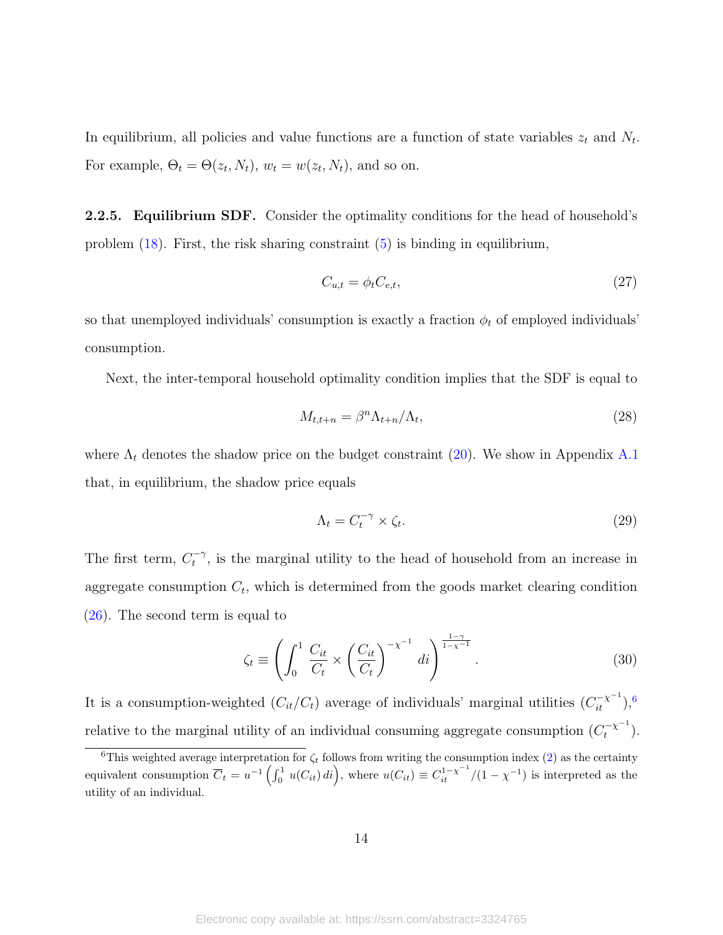In equilibrium, all policies and value functions are a function of state variables  $z_t$  and  $N_t$ . For example,  $\Theta_t = \Theta(z_t, N_t)$ ,  $w_t = w(z_t, N_t)$ , and so on.

<span id="page-14-0"></span>2.2.5. Equilibrium SDF. Consider the optimality conditions for the head of household's problem [\(18\)](#page-12-1). First, the risk sharing constraint [\(5\)](#page-7-0) is binding in equilibrium,

<span id="page-14-2"></span>
$$
C_{u,t} = \phi_t C_{e,t},\tag{27}
$$

so that unemployed individuals' consumption is exactly a fraction  $\phi_t$  of employed individuals' consumption.

Next, the inter-temporal household optimality condition implies that the SDF is equal to

<span id="page-14-3"></span>
$$
M_{t,t+n} = \beta^n \Lambda_{t+n} / \Lambda_t,\tag{28}
$$

where  $\Lambda_t$  denotes the shadow price on the budget constraint [\(20\)](#page-12-0). We show in Appendix [A.1](#page-40-0) that, in equilibrium, the shadow price equals

<span id="page-14-4"></span>
$$
\Lambda_t = C_t^{-\gamma} \times \zeta_t. \tag{29}
$$

The first term,  $C_t^{-\gamma}$  $t<sup>-7</sup>$ , is the marginal utility to the head of household from an increase in aggregate consumption  $C_t$ , which is determined from the goods market clearing condition [\(26\)](#page-13-3). The second term is equal to

<span id="page-14-5"></span>
$$
\zeta_t \equiv \left( \int_0^1 \frac{C_{it}}{C_t} \times \left( \frac{C_{it}}{C_t} \right)^{-\chi^{-1}} di \right)^{\frac{1-\gamma}{1-\chi^{-1}}}.
$$
\n(30)

It is a consumption-weighted  $(C_{it}/C_t)$  average of individuals' marginal utilities  $(C_{it}^{-\chi^{-1}}),$ <sup>[6](#page-14-1)</sup> relative to the marginal utility of an individual consuming aggregate consumption  $(C_t^{-\chi^{-1}}$  $\binom{-\chi^{-1}}{t}$ .

<span id="page-14-1"></span><sup>&</sup>lt;sup>6</sup>This weighted average interpretation for  $\zeta_t$  follows from writing the consumption index [\(2\)](#page-6-3) as the certainty equivalent consumption  $\overline{C}_t = u^{-1} \left( \int_0^1 u(C_{it}) \, di \right)$ , where  $u(C_{it}) \equiv C_{it}^{1-\chi^{-1}} / (1-\chi^{-1})$  is interpreted as the utility of an individual.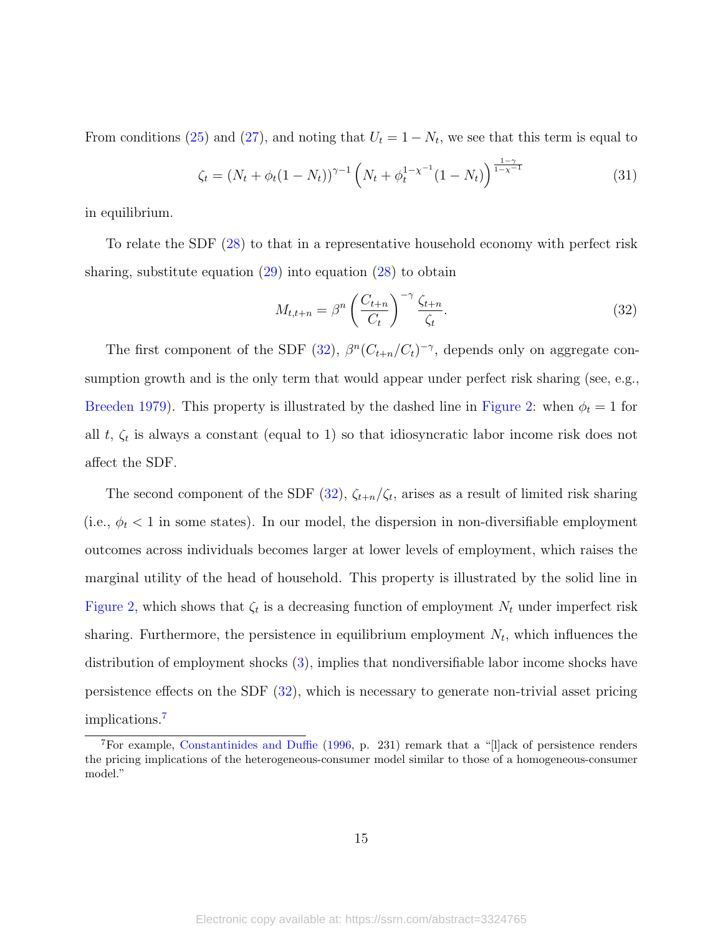From conditions [\(25\)](#page-13-4) and [\(27\)](#page-14-2), and noting that  $U_t = 1 - N_t$ , we see that this term is equal to

<span id="page-15-2"></span>
$$
\zeta_t = (N_t + \phi_t (1 - N_t))^{\gamma - 1} \left( N_t + \phi_t^{1 - \chi^{-1}} (1 - N_t) \right)^{\frac{1 - \gamma}{1 - \chi^{-1}}} \tag{31}
$$

in equilibrium.

To relate the SDF [\(28\)](#page-14-3) to that in a representative household economy with perfect risk sharing, substitute equation  $(29)$  into equation  $(28)$  to obtain

<span id="page-15-0"></span>
$$
M_{t,t+n} = \beta^n \left(\frac{C_{t+n}}{C_t}\right)^{-\gamma} \frac{\zeta_{t+n}}{\zeta_t}.\tag{32}
$$

The first component of the SDF [\(32\)](#page-15-0),  $\beta^{n}(C_{t+n}/C_{t})^{-\gamma}$ , depends only on aggregate consumption growth and is the only term that would appear under perfect risk sharing (see, e.g., [Breeden](#page-45-6) [1979\)](#page-45-6). This property is illustrated by the dashed line in [Figure 2:](#page-16-0) when  $\phi_t = 1$  for all  $t, \zeta_t$  is always a constant (equal to 1) so that idiosyncratic labor income risk does not affect the SDF.

The second component of the SDF  $(32)$ ,  $\zeta_{t+n}/\zeta_t$ , arises as a result of limited risk sharing (i.e.,  $\phi_t$  < 1 in some states). In our model, the dispersion in non-diversifiable employment outcomes across individuals becomes larger at lower levels of employment, which raises the marginal utility of the head of household. This property is illustrated by the solid line in [Figure 2,](#page-16-0) which shows that  $\zeta_t$  is a decreasing function of employment  $N_t$  under imperfect risk sharing. Furthermore, the persistence in equilibrium employment  $N_t$ , which influences the distribution of employment shocks [\(3\)](#page-6-1), implies that nondiversifiable labor income shocks have persistence effects on the SDF [\(32\)](#page-15-0), which is necessary to generate non-trivial asset pricing implications.[7](#page-15-1)

<span id="page-15-1"></span><sup>7</sup>For example, [Constantinides and Duffie](#page-46-0) [\(1996,](#page-46-0) p. 231) remark that a "[l]ack of persistence renders the pricing implications of the heterogeneous-consumer model similar to those of a homogeneous-consumer model."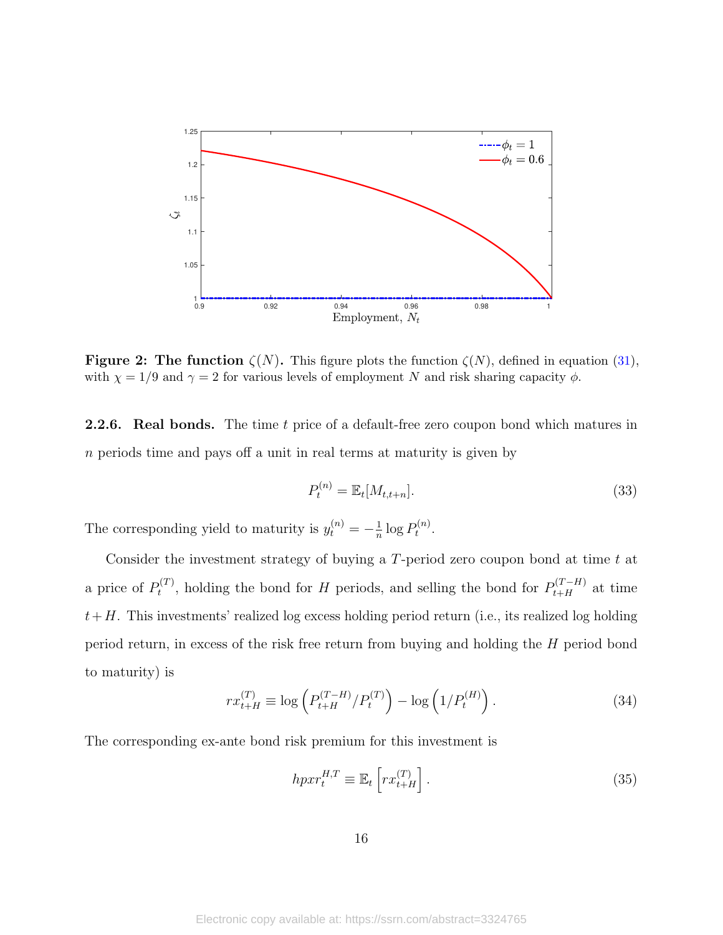<span id="page-16-0"></span>

**Figure 2: The function**  $\zeta(N)$ . This figure plots the function  $\zeta(N)$ , defined in equation [\(31\)](#page-15-2), with  $\chi = 1/9$  and  $\gamma = 2$  for various levels of employment N and risk sharing capacity  $\phi$ .

**2.2.6.** Real bonds. The time t price of a default-free zero coupon bond which matures in n periods time and pays off a unit in real terms at maturity is given by

$$
P_t^{(n)} = \mathbb{E}_t[M_{t,t+n}].\tag{33}
$$

The corresponding yield to maturity is  $y_t^{(n)} = -\frac{1}{n}$  $\frac{1}{n} \log P_t^{(n)}$  $t^{(n)}$ .

Consider the investment strategy of buying a  $T$ -period zero coupon bond at time  $t$  at a price of  $P_t^{(T)}$  $t^{(T)}$ , holding the bond for H periods, and selling the bond for  $P_{t+H}^{(T-H)}$  at time  $t+H$ . This investments' realized log excess holding period return (i.e., its realized log holding period return, in excess of the risk free return from buying and holding the H period bond to maturity) is

$$
rx_{t+H}^{(T)} \equiv \log \left( P_{t+H}^{(T-H)} / P_t^{(T)} \right) - \log \left( 1 / P_t^{(H)} \right). \tag{34}
$$

The corresponding ex-ante bond risk premium for this investment is

<span id="page-16-1"></span>
$$
hpxr_t^{H,T} \equiv \mathbb{E}_t\left[rx_{t+H}^{(T)}\right].\tag{35}
$$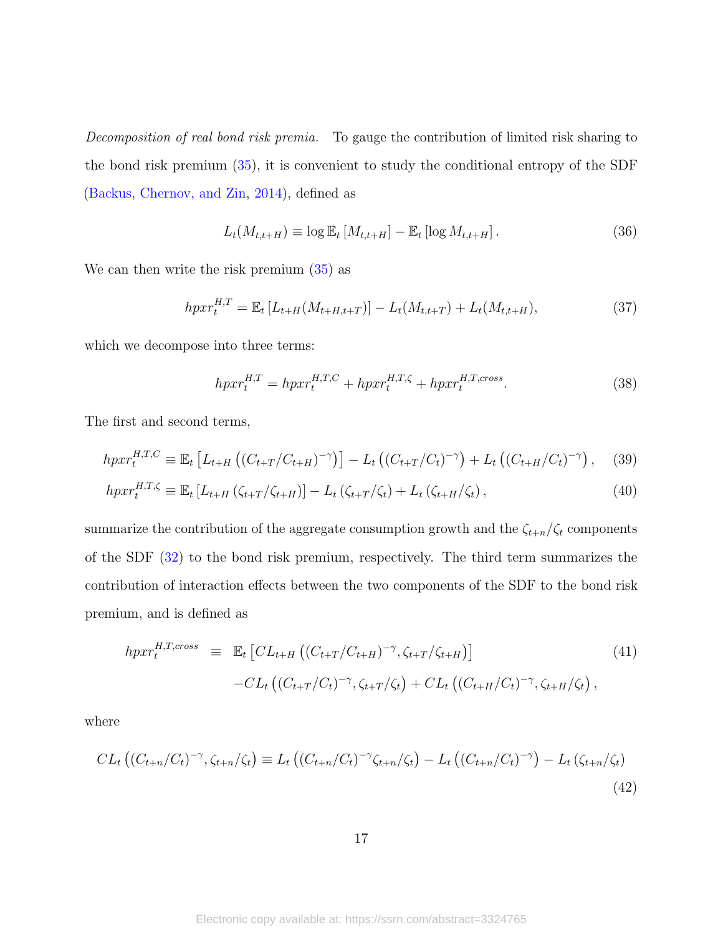Decomposition of real bond risk premia. To gauge the contribution of limited risk sharing to the bond risk premium [\(35\)](#page-16-1), it is convenient to study the conditional entropy of the SDF [\(Backus, Chernov, and Zin,](#page-45-7) [2014\)](#page-45-7), defined as

<span id="page-17-4"></span>
$$
L_t(M_{t,t+H}) \equiv \log \mathbb{E}_t \left[ M_{t,t+H} \right] - \mathbb{E}_t \left[ \log M_{t,t+H} \right]. \tag{36}
$$

We can then write the risk premium [\(35\)](#page-16-1) as

<span id="page-17-5"></span>
$$
hpxr_t^{H,T} = \mathbb{E}_t \left[ L_{t+H}(M_{t+H,t+T}) \right] - L_t(M_{t,t+T}) + L_t(M_{t,t+H}), \tag{37}
$$

which we decompose into three terms:

<span id="page-17-3"></span><span id="page-17-1"></span><span id="page-17-0"></span>
$$
hpxr_t^{H,T} = hpxr_t^{H,T,C} + hpxr_t^{H,T,\zeta} + hpxr_t^{H,T,cross}.
$$
\n(38)

The first and second terms,

$$
hpxr_t^{H,T,C} \equiv \mathbb{E}_t \left[ L_{t+H} \left( (C_{t+T}/C_{t+H})^{-\gamma} \right) \right] - L_t \left( (C_{t+T}/C_t)^{-\gamma} \right) + L_t \left( (C_{t+H}/C_t)^{-\gamma} \right), \quad (39)
$$

$$
hpxr_t^{H,T,\zeta} \equiv \mathbb{E}_t \left[ L_{t+H} \left( \zeta_{t+T}/\zeta_{t+H} \right) \right] - L_t \left( \zeta_{t+T}/\zeta_t \right) + L_t \left( \zeta_{t+H}/\zeta_t \right), \tag{40}
$$

summarize the contribution of the aggregate consumption growth and the  $\zeta_{t+n}/\zeta_t$  components of the SDF [\(32\)](#page-15-0) to the bond risk premium, respectively. The third term summarizes the contribution of interaction effects between the two components of the SDF to the bond risk premium, and is defined as

<span id="page-17-2"></span>
$$
hpxr_t^{H,T,cross} \equiv \mathbb{E}_t \left[ CL_{t+H} \left( (C_{t+T}/C_{t+H})^{-\gamma}, \zeta_{t+T}/\zeta_{t+H} \right) \right]
$$
\n
$$
-CL_t \left( (C_{t+T}/C_t)^{-\gamma}, \zeta_{t+T}/\zeta_t \right) + CL_t \left( (C_{t+H}/C_t)^{-\gamma}, \zeta_{t+H}/\zeta_t \right),
$$
\n(41)

where

$$
CL_t ((C_{t+n}/C_t)^{-\gamma}, \zeta_{t+n}/\zeta_t) \equiv L_t ((C_{t+n}/C_t)^{-\gamma} \zeta_{t+n}/\zeta_t) - L_t ((C_{t+n}/C_t)^{-\gamma}) - L_t (\zeta_{t+n}/\zeta_t)
$$
\n(42)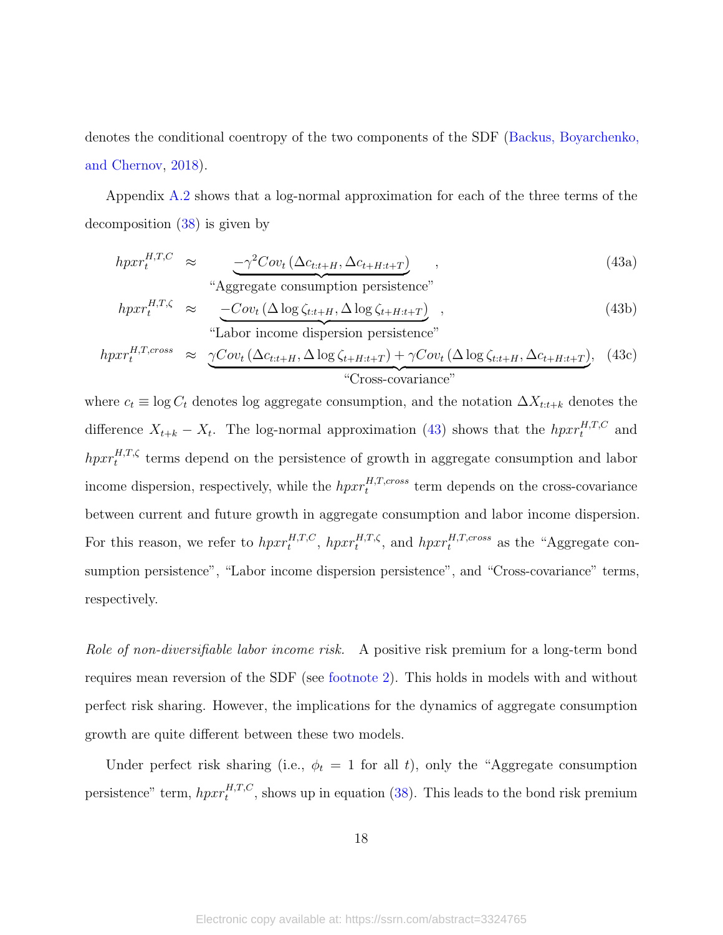denotes the conditional coentropy of the two components of the SDF [\(Backus, Boyarchenko,](#page-45-8) [and Chernov,](#page-45-8) [2018\)](#page-45-8).

Appendix [A.2](#page-41-0) shows that a log-normal approximation for each of the three terms of the decomposition [\(38\)](#page-17-0) is given by

<span id="page-18-1"></span><span id="page-18-0"></span>
$$
hpxr_t^{H,T,C} \approx \underbrace{-\gamma^2Cov_t(\Delta c_{t:t+H}, \Delta c_{t+H:t+T})}_{\text{``Aggregate consumption persistence''}},
$$
\n
$$
(43a)
$$

$$
hpxr_t^{H,T,\zeta} \approx \underbrace{-Cov_t \left(\Delta \log \zeta_{t:t+H}, \Delta \log \zeta_{t+H:t+T}\right)}_{\text{``Labor income dispersion persistence''}},
$$
\n(43b)

$$
hpxr_t^{H,T,cross} \approx \underbrace{\gamma Cov_t (\Delta c_{t:t+H}, \Delta \log \zeta_{t+H:t+T}) + \gamma Cov_t (\Delta \log \zeta_{t:t+H}, \Delta c_{t+H:t+T})}_{\text{"Cross-covariance"}}, \quad (43c)
$$

where  $c_t \equiv \log C_t$  denotes log aggregate consumption, and the notation  $\Delta X_{t:t+k}$  denotes the difference  $X_{t+k} - X_t$ . The log-normal approximation [\(43\)](#page-18-0) shows that the  $hpxr_t^{H,T,C}$  and  $hpxr_t^{H,T,\zeta}$  terms depend on the persistence of growth in aggregate consumption and labor income dispersion, respectively, while the  $hpxr_t^{H,T,cross}$  term depends on the cross-covariance between current and future growth in aggregate consumption and labor income dispersion. For this reason, we refer to  $hpxr_t^{H,T,C}$ ,  $hpxr_t^{H,T,\zeta}$ , and  $hpxr_t^{H,T,cross}$  as the "Aggregate consumption persistence", "Labor income dispersion persistence", and "Cross-covariance" terms, respectively.

Role of non-diversifiable labor income risk. A positive risk premium for a long-term bond requires mean reversion of the SDF (see [footnote 2\)](#page-2-0). This holds in models with and without perfect risk sharing. However, the implications for the dynamics of aggregate consumption growth are quite different between these two models.

Under perfect risk sharing (i.e.,  $\phi_t = 1$  for all t), only the "Aggregate consumption persistence" term,  $hpxr_t^{H,T,C}$ , shows up in equation [\(38\)](#page-17-0). This leads to the bond risk premium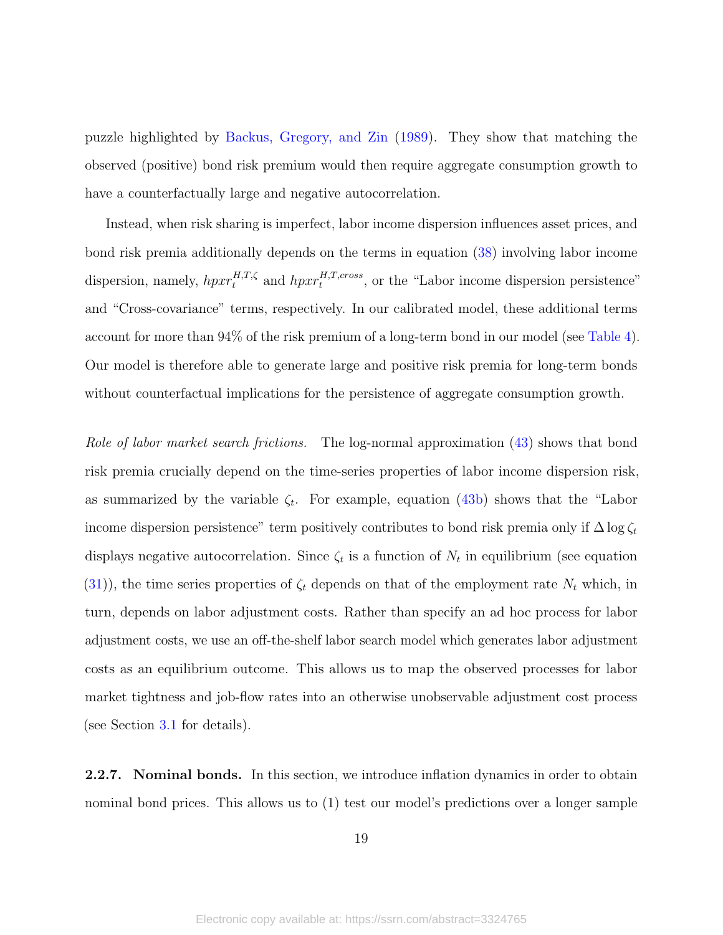puzzle highlighted by [Backus, Gregory, and Zin](#page-45-0) [\(1989\)](#page-45-0). They show that matching the observed (positive) bond risk premium would then require aggregate consumption growth to have a counterfactually large and negative autocorrelation.

Instead, when risk sharing is imperfect, labor income dispersion influences asset prices, and bond risk premia additionally depends on the terms in equation [\(38\)](#page-17-0) involving labor income dispersion, namely,  $hpxr_t^{H,T,\zeta}$  and  $hpxr_t^{H,T,cross}$ , or the "Labor income dispersion persistence" and "Cross-covariance" terms, respectively. In our calibrated model, these additional terms account for more than 94% of the risk premium of a long-term bond in our model (see [Table 4\)](#page-32-0). Our model is therefore able to generate large and positive risk premia for long-term bonds without counterfactual implications for the persistence of aggregate consumption growth.

Role of labor market search frictions. The log-normal approximation [\(43\)](#page-18-0) shows that bond risk premia crucially depend on the time-series properties of labor income dispersion risk, as summarized by the variable  $\zeta_t$ . For example, equation [\(43b\)](#page-18-1) shows that the "Labor income dispersion persistence" term positively contributes to bond risk premia only if  $\Delta \log \zeta_t$ displays negative autocorrelation. Since  $\zeta_t$  is a function of  $N_t$  in equilibrium (see equation [\(31\)](#page-15-2)), the time series properties of  $\zeta_t$  depends on that of the employment rate  $N_t$  which, in turn, depends on labor adjustment costs. Rather than specify an ad hoc process for labor adjustment costs, we use an off-the-shelf labor search model which generates labor adjustment costs as an equilibrium outcome. This allows us to map the observed processes for labor market tightness and job-flow rates into an otherwise unobservable adjustment cost process (see Section [3.1](#page-22-1) for details).

<span id="page-19-0"></span>**2.2.7.** Nominal bonds. In this section, we introduce inflation dynamics in order to obtain nominal bond prices. This allows us to (1) test our model's predictions over a longer sample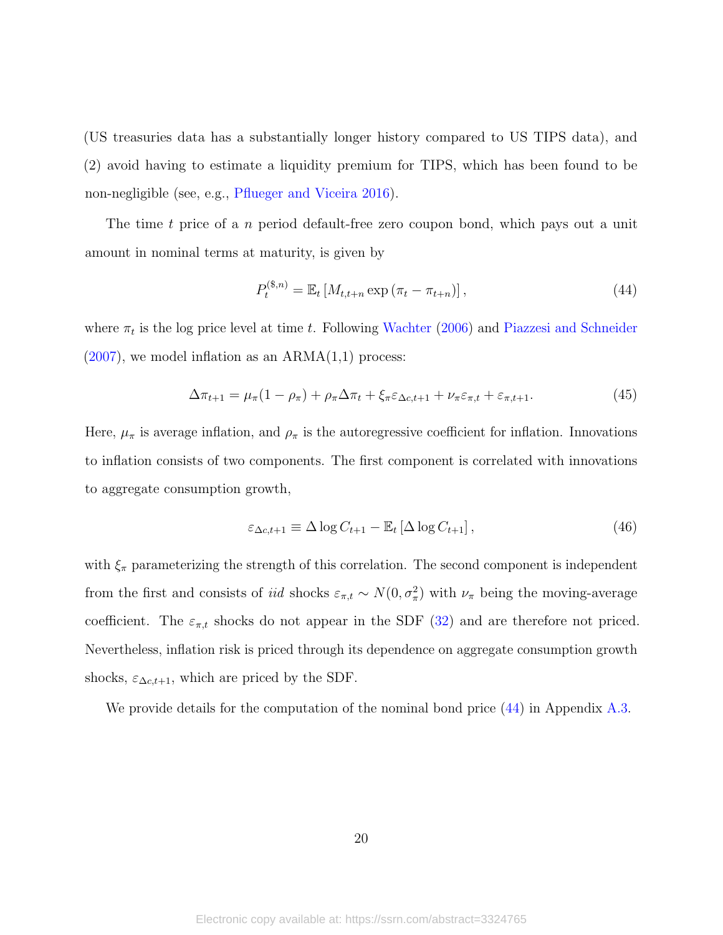(US treasuries data has a substantially longer history compared to US TIPS data), and (2) avoid having to estimate a liquidity premium for TIPS, which has been found to be non-negligible (see, e.g., [Pflueger and Viceira](#page-49-1) [2016\)](#page-49-1).

The time t price of a n period default-free zero coupon bond, which pays out a unit amount in nominal terms at maturity, is given by

<span id="page-20-0"></span>
$$
P_t^{(\$,n)} = \mathbb{E}_t \left[ M_{t,t+n} \exp \left( \pi_t - \pi_{t+n} \right) \right], \tag{44}
$$

where  $\pi_t$  is the log price level at time t. Following [Wachter](#page-49-4) [\(2006\)](#page-49-4) and [Piazzesi and Schneider](#page-49-5)  $(2007)$ , we model inflation as an  $ARMA(1,1)$  process:

<span id="page-20-1"></span>
$$
\Delta \pi_{t+1} = \mu_{\pi} (1 - \rho_{\pi}) + \rho_{\pi} \Delta \pi_t + \xi_{\pi} \varepsilon_{\Delta c, t+1} + \nu_{\pi} \varepsilon_{\pi, t} + \varepsilon_{\pi, t+1}.
$$
\n(45)

Here,  $\mu_{\pi}$  is average inflation, and  $\rho_{\pi}$  is the autoregressive coefficient for inflation. Innovations to inflation consists of two components. The first component is correlated with innovations to aggregate consumption growth,

<span id="page-20-2"></span>
$$
\varepsilon_{\Delta c, t+1} \equiv \Delta \log C_{t+1} - \mathbb{E}_t \left[ \Delta \log C_{t+1} \right],\tag{46}
$$

with  $\xi_{\pi}$  parameterizing the strength of this correlation. The second component is independent from the first and consists of *iid* shocks  $\varepsilon_{\pi,t} \sim N(0, \sigma_{\pi}^2)$  with  $\nu_{\pi}$  being the moving-average coefficient. The  $\varepsilon_{\pi,t}$  shocks do not appear in the SDF [\(32\)](#page-15-0) and are therefore not priced. Nevertheless, inflation risk is priced through its dependence on aggregate consumption growth shocks,  $\varepsilon_{\Delta c,t+1}$ , which are priced by the SDF.

We provide details for the computation of the nominal bond price  $(44)$  in Appendix [A.3.](#page-41-1)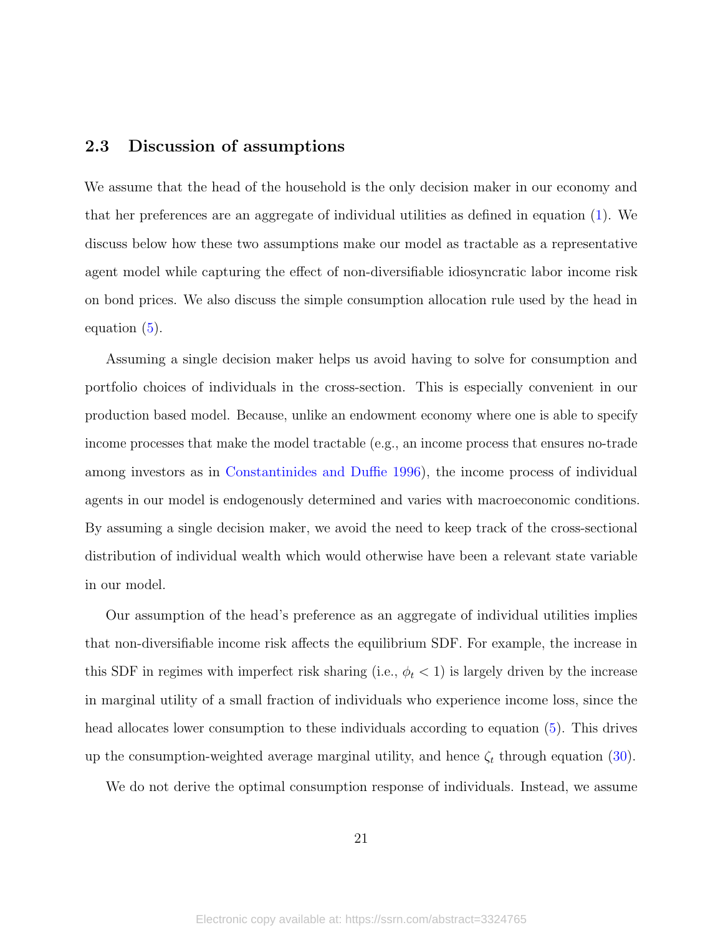#### <span id="page-21-0"></span>2.3 Discussion of assumptions

We assume that the head of the household is the only decision maker in our economy and that her preferences are an aggregate of individual utilities as defined in equation [\(1\)](#page-6-2). We discuss below how these two assumptions make our model as tractable as a representative agent model while capturing the effect of non-diversifiable idiosyncratic labor income risk on bond prices. We also discuss the simple consumption allocation rule used by the head in equation [\(5\)](#page-7-0).

Assuming a single decision maker helps us avoid having to solve for consumption and portfolio choices of individuals in the cross-section. This is especially convenient in our production based model. Because, unlike an endowment economy where one is able to specify income processes that make the model tractable (e.g., an income process that ensures no-trade among investors as in [Constantinides and Duffie](#page-46-0) [1996\)](#page-46-0), the income process of individual agents in our model is endogenously determined and varies with macroeconomic conditions. By assuming a single decision maker, we avoid the need to keep track of the cross-sectional distribution of individual wealth which would otherwise have been a relevant state variable in our model.

Our assumption of the head's preference as an aggregate of individual utilities implies that non-diversifiable income risk affects the equilibrium SDF. For example, the increase in this SDF in regimes with imperfect risk sharing (i.e.,  $\phi_t$  < 1) is largely driven by the increase in marginal utility of a small fraction of individuals who experience income loss, since the head allocates lower consumption to these individuals according to equation [\(5\)](#page-7-0). This drives up the consumption-weighted average marginal utility, and hence  $\zeta_t$  through equation [\(30\)](#page-14-5).

We do not derive the optimal consumption response of individuals. Instead, we assume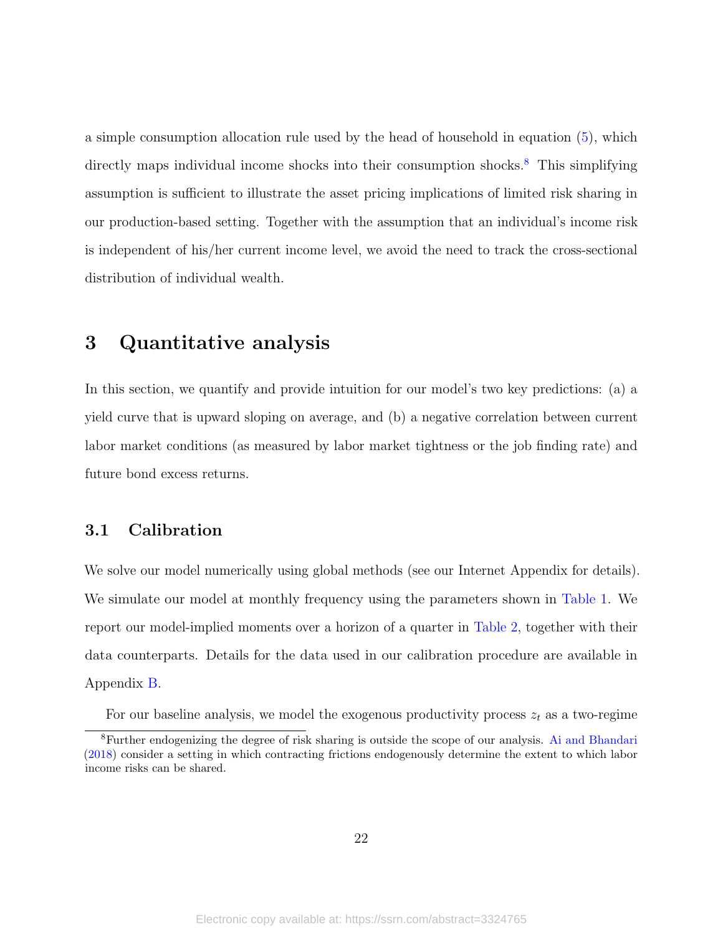a simple consumption allocation rule used by the head of household in equation [\(5\)](#page-7-0), which directly maps individual income shocks into their consumption shocks.<sup>[8](#page-22-2)</sup> This simplifying assumption is sufficient to illustrate the asset pricing implications of limited risk sharing in our production-based setting. Together with the assumption that an individual's income risk is independent of his/her current income level, we avoid the need to track the cross-sectional distribution of individual wealth.

## <span id="page-22-0"></span>3 Quantitative analysis

In this section, we quantify and provide intuition for our model's two key predictions: (a) a yield curve that is upward sloping on average, and (b) a negative correlation between current labor market conditions (as measured by labor market tightness or the job finding rate) and future bond excess returns.

#### <span id="page-22-1"></span>3.1 Calibration

We solve our model numerically using global methods (see our Internet Appendix for details). We simulate our model at monthly frequency using the parameters shown in [Table 1.](#page-23-0) We report our model-implied moments over a horizon of a quarter in [Table 2,](#page-24-0) together with their data counterparts. Details for the data used in our calibration procedure are available in Appendix [B.](#page-43-0)

<span id="page-22-2"></span>For our baseline analysis, we model the exogenous productivity process  $z_t$  as a two-regime

<sup>8</sup>Further endogenizing the degree of risk sharing is outside the scope of our analysis. [Ai and Bhandari](#page-45-9) [\(2018\)](#page-45-9) consider a setting in which contracting frictions endogenously determine the extent to which labor income risks can be shared.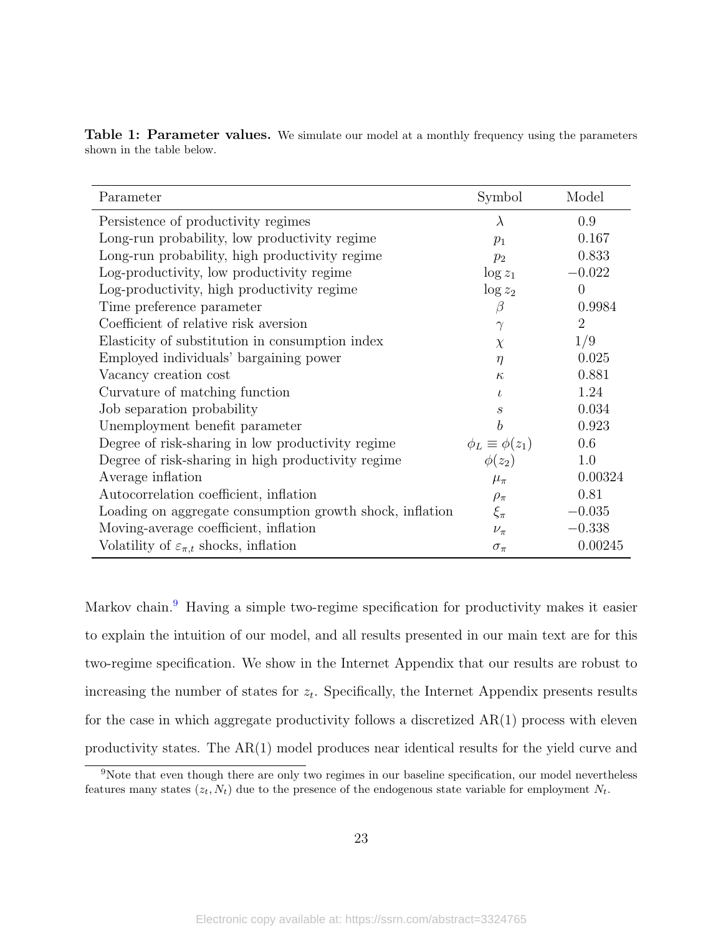<span id="page-23-0"></span>

|                           | Table 1: Parameter values. We simulate our model at a monthly frequency using the parameters |
|---------------------------|----------------------------------------------------------------------------------------------|
| shown in the table below. |                                                                                              |

| Parameter                                                | Symbol                    | Model          |
|----------------------------------------------------------|---------------------------|----------------|
| Persistence of productivity regimes                      | $\lambda$                 | 0.9            |
| Long-run probability, low productivity regime            | $p_1$                     | 0.167          |
| Long-run probability, high productivity regime           | $p_2$                     | 0.833          |
| Log-productivity, low productivity regime                | $\log z_1$                | $-0.022$       |
| Log-productivity, high productivity regime               | $\log z_2$                | $\theta$       |
| Time preference parameter                                | $\beta$                   | 0.9984         |
| Coefficient of relative risk aversion                    | $\gamma$                  | $\overline{2}$ |
| Elasticity of substitution in consumption index          | $\chi$                    | 1/9            |
| Employed individuals' bargaining power                   | $\eta$                    | 0.025          |
| Vacancy creation cost                                    | $\kappa$                  | 0.881          |
| Curvature of matching function                           | $\iota$                   | 1.24           |
| Job separation probability                               | $\mathcal{S}_{0}$         | 0.034          |
| Unemployment benefit parameter                           | $\boldsymbol{b}$          | 0.923          |
| Degree of risk-sharing in low productivity regime        | $\phi_L \equiv \phi(z_1)$ | 0.6            |
| Degree of risk-sharing in high productivity regime       | $\phi(z_2)$               | 1.0            |
| Average inflation                                        | $\mu_{\pi}$               | 0.00324        |
| Autocorrelation coefficient, inflation                   | $\rho_{\pi}$              | 0.81           |
| Loading on aggregate consumption growth shock, inflation | $\xi_{\pi}$               | $-0.035$       |
| Moving-average coefficient, inflation                    | $\nu_{\pi}$               | $-0.338$       |
| Volatility of $\varepsilon_{\pi,t}$ shocks, inflation    | $\sigma_{\pi}$            | 0.00245        |

Markov chain.<sup>[9](#page-23-1)</sup> Having a simple two-regime specification for productivity makes it easier to explain the intuition of our model, and all results presented in our main text are for this two-regime specification. We show in the Internet Appendix that our results are robust to increasing the number of states for  $z_t$ . Specifically, the Internet Appendix presents results for the case in which aggregate productivity follows a discretized  $AR(1)$  process with eleven productivity states. The AR(1) model produces near identical results for the yield curve and

<span id="page-23-1"></span><sup>&</sup>lt;sup>9</sup>Note that even though there are only two regimes in our baseline specification, our model nevertheless features many states  $(z_t, N_t)$  due to the presence of the endogenous state variable for employment  $N_t$ .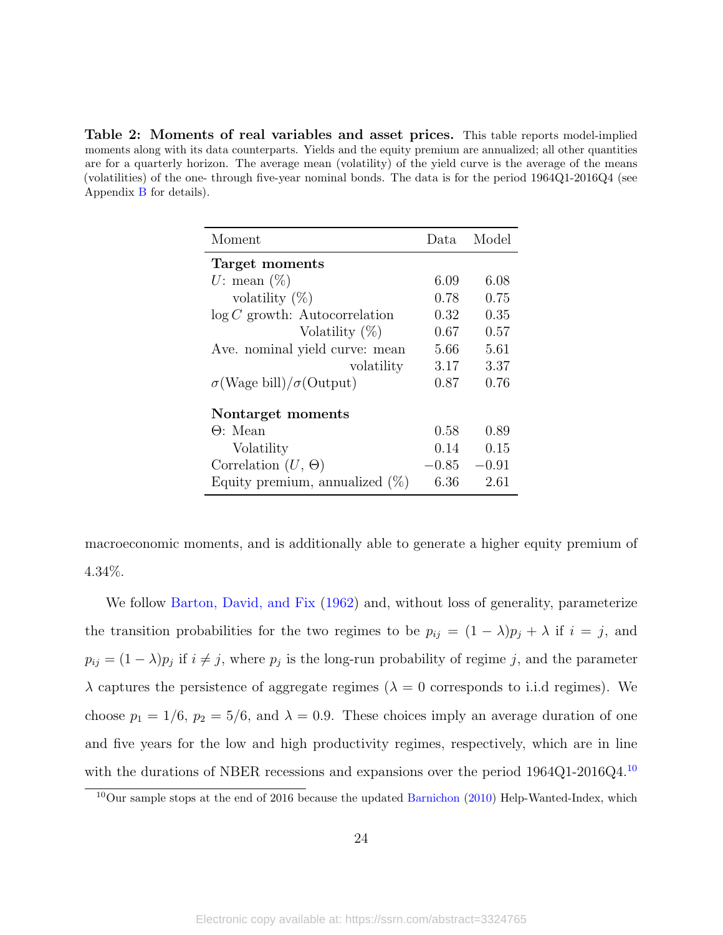<span id="page-24-0"></span>Table 2: Moments of real variables and asset prices. This table reports model-implied moments along with its data counterparts. Yields and the equity premium are annualized; all other quantities are for a quarterly horizon. The average mean (volatility) of the yield curve is the average of the means (volatilities) of the one- through five-year nominal bonds. The data is for the period 1964Q1-2016Q4 (see Appendix [B](#page-43-0) for details).

| Moment                              | Data.   | Model   |
|-------------------------------------|---------|---------|
| Target moments                      |         |         |
| U: mean $(\%)$                      | 6.09    | 6.08    |
| volatility $(\%)$                   | 0.78    | 0.75    |
| $\log C$ growth: Autocorrelation    | 0.32    | 0.35    |
| Volatility $(\%)$                   | 0.67    | 0.57    |
| Ave. nominal yield curve: mean      | 5.66    | 5.61    |
| volatility                          | 3.17    | 3.37    |
| $\sigma(Wage\ bill)/\sigma(Output)$ | 0.87    | 0.76    |
| Nontarget moments                   |         |         |
| $\Theta$ : Mean                     | 0.58    | 0.89    |
| Volatility                          | 0.14    | 0.15    |
| Correlation $(U, \Theta)$           | $-0.85$ | $-0.91$ |
| Equity premium, annualized $(\%)$   | 6.36    | 2.61    |

macroeconomic moments, and is additionally able to generate a higher equity premium of 4.34%.

We follow [Barton, David, and Fix](#page-45-10) [\(1962\)](#page-45-10) and, without loss of generality, parameterize the transition probabilities for the two regimes to be  $p_{ij} = (1 - \lambda)p_j + \lambda$  if  $i = j$ , and  $p_{ij} = (1 - \lambda)p_j$  if  $i \neq j$ , where  $p_j$  is the long-run probability of regime j, and the parameter  $\lambda$  captures the persistence of aggregate regimes ( $\lambda = 0$  corresponds to i.i.d regimes). We choose  $p_1 = 1/6$ ,  $p_2 = 5/6$ , and  $\lambda = 0.9$ . These choices imply an average duration of one and five years for the low and high productivity regimes, respectively, which are in line with the durations of NBER recessions and expansions over the period 1964Q1-2016Q4.[10](#page-24-1)

<span id="page-24-1"></span> $10$ Our sample stops at the end of 2016 because the updated [Barnichon](#page-45-11) [\(2010\)](#page-45-11) Help-Wanted-Index, which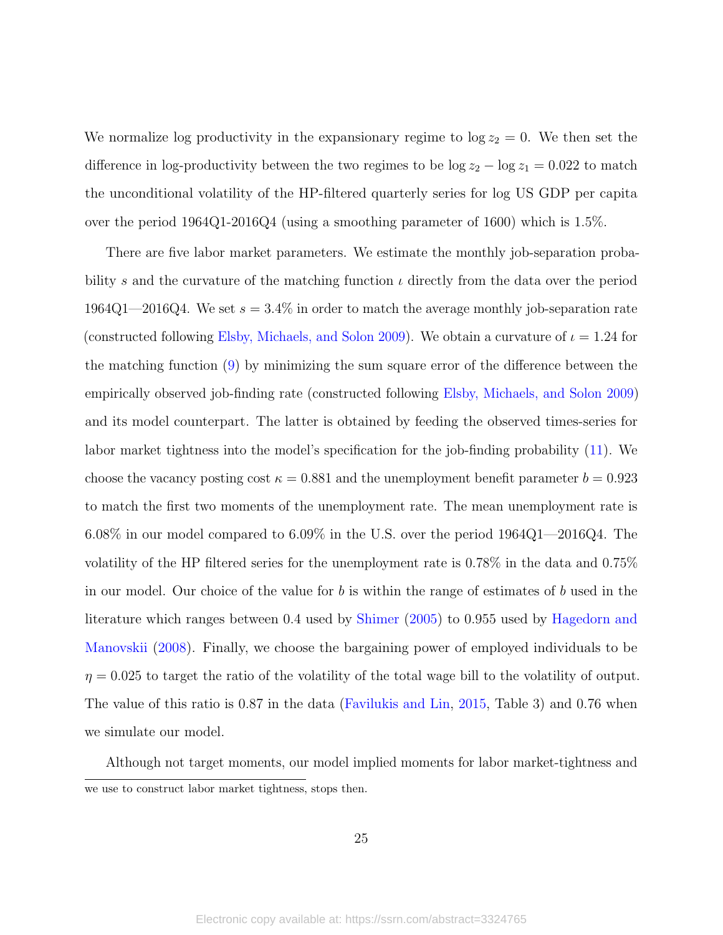We normalize log productivity in the expansionary regime to  $\log z_2 = 0$ . We then set the difference in log-productivity between the two regimes to be  $\log z_2 - \log z_1 = 0.022$  to match the unconditional volatility of the HP-filtered quarterly series for log US GDP per capita over the period 1964Q1-2016Q4 (using a smoothing parameter of 1600) which is 1.5%.

There are five labor market parameters. We estimate the monthly job-separation probability s and the curvature of the matching function  $\iota$  directly from the data over the period 1964Q1—2016Q4. We set  $s = 3.4\%$  in order to match the average monthly job-separation rate (constructed following [Elsby, Michaels, and Solon](#page-47-10) [2009\)](#page-47-10). We obtain a curvature of  $\iota = 1.24$  for the matching function [\(9\)](#page-9-0) by minimizing the sum square error of the difference between the empirically observed job-finding rate (constructed following [Elsby, Michaels, and Solon](#page-47-10) [2009\)](#page-47-10) and its model counterpart. The latter is obtained by feeding the observed times-series for labor market tightness into the model's specification for the job-finding probability [\(11\)](#page-9-1). We choose the vacancy posting cost  $\kappa = 0.881$  and the unemployment benefit parameter  $b = 0.923$ to match the first two moments of the unemployment rate. The mean unemployment rate is 6.08% in our model compared to 6.09% in the U.S. over the period 1964Q1—2016Q4. The volatility of the HP filtered series for the unemployment rate is 0.78% in the data and 0.75% in our model. Our choice of the value for b is within the range of estimates of b used in the literature which ranges between 0.4 used by [Shimer](#page-49-10) [\(2005\)](#page-49-10) to 0.955 used by [Hagedorn and](#page-47-11) [Manovskii](#page-47-11) [\(2008\)](#page-47-11). Finally, we choose the bargaining power of employed individuals to be  $\eta = 0.025$  to target the ratio of the volatility of the total wage bill to the volatility of output. The value of this ratio is 0.87 in the data [\(Favilukis and Lin,](#page-47-7) [2015,](#page-47-7) Table 3) and 0.76 when we simulate our model.

Although not target moments, our model implied moments for labor market-tightness and we use to construct labor market tightness, stops then.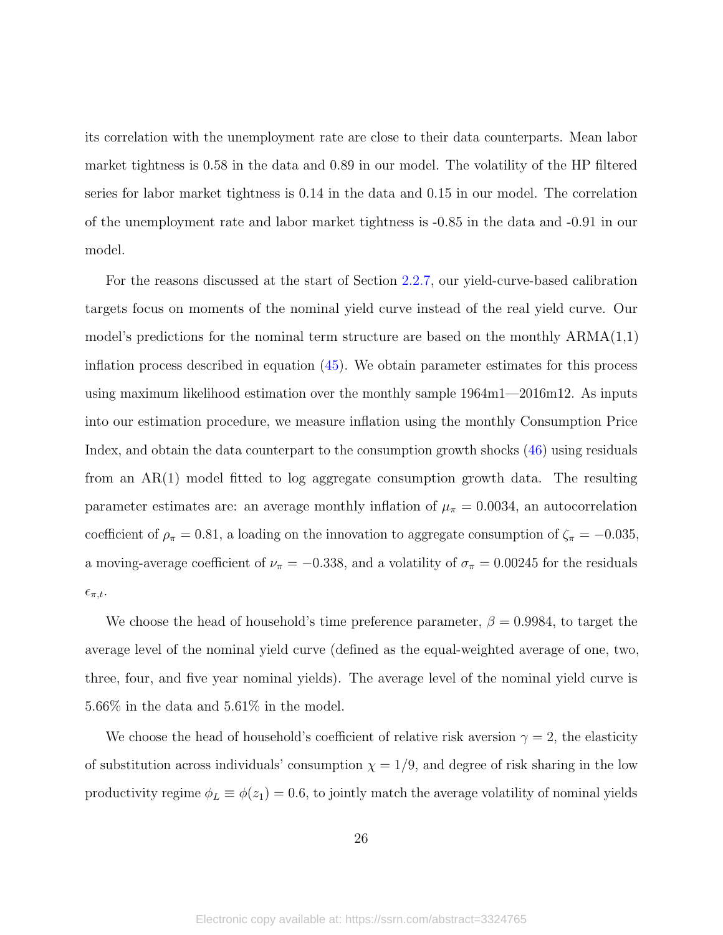its correlation with the unemployment rate are close to their data counterparts. Mean labor market tightness is 0.58 in the data and 0.89 in our model. The volatility of the HP filtered series for labor market tightness is 0.14 in the data and 0.15 in our model. The correlation of the unemployment rate and labor market tightness is -0.85 in the data and -0.91 in our model.

For the reasons discussed at the start of Section [2.2.7,](#page-19-0) our yield-curve-based calibration targets focus on moments of the nominal yield curve instead of the real yield curve. Our model's predictions for the nominal term structure are based on the monthly  $ARMA(1,1)$ inflation process described in equation [\(45\)](#page-20-1). We obtain parameter estimates for this process using maximum likelihood estimation over the monthly sample 1964m1—2016m12. As inputs into our estimation procedure, we measure inflation using the monthly Consumption Price Index, and obtain the data counterpart to the consumption growth shocks [\(46\)](#page-20-2) using residuals from an AR(1) model fitted to log aggregate consumption growth data. The resulting parameter estimates are: an average monthly inflation of  $\mu_{\pi} = 0.0034$ , an autocorrelation coefficient of  $\rho_{\pi} = 0.81$ , a loading on the innovation to aggregate consumption of  $\zeta_{\pi} = -0.035$ , a moving-average coefficient of  $\nu_{\pi} = -0.338$ , and a volatility of  $\sigma_{\pi} = 0.00245$  for the residuals  $\epsilon_{\pi,t}.$ 

We choose the head of household's time preference parameter,  $\beta = 0.9984$ , to target the average level of the nominal yield curve (defined as the equal-weighted average of one, two, three, four, and five year nominal yields). The average level of the nominal yield curve is 5.66% in the data and 5.61% in the model.

We choose the head of household's coefficient of relative risk aversion  $\gamma = 2$ , the elasticity of substitution across individuals' consumption  $\chi = 1/9$ , and degree of risk sharing in the low productivity regime  $\phi_L \equiv \phi(z_1) = 0.6$ , to jointly match the average volatility of nominal yields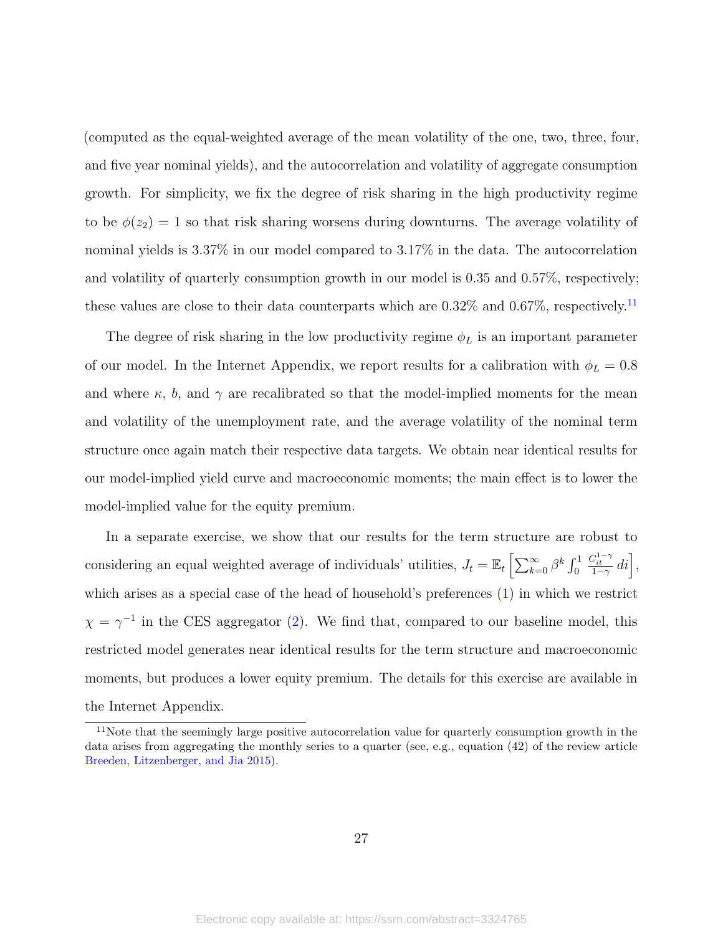(computed as the equal-weighted average of the mean volatility of the one, two, three, four, and five year nominal yields), and the autocorrelation and volatility of aggregate consumption growth. For simplicity, we fix the degree of risk sharing in the high productivity regime to be  $\phi(z_2) = 1$  so that risk sharing worsens during downturns. The average volatility of nominal yields is 3.37% in our model compared to 3.17% in the data. The autocorrelation and volatility of quarterly consumption growth in our model is 0.35 and 0.57%, respectively; these values are close to their data counterparts which are  $0.32\%$  and  $0.67\%$ , respectively.<sup>[11](#page-27-0)</sup>

The degree of risk sharing in the low productivity regime  $\phi_L$  is an important parameter of our model. In the Internet Appendix, we report results for a calibration with  $\phi_L = 0.8$ and where  $\kappa$ , b, and  $\gamma$  are recalibrated so that the model-implied moments for the mean and volatility of the unemployment rate, and the average volatility of the nominal term structure once again match their respective data targets. We obtain near identical results for our model-implied yield curve and macroeconomic moments; the main effect is to lower the model-implied value for the equity premium.

In a separate exercise, we show that our results for the term structure are robust to considering an equal weighted average of individuals' utilities,  $J_t = \mathbb{E}_t \left[ \sum_{k=0}^{\infty} \beta^k \int_0^1 dx \right]$  $\frac{C_{it}^{1-\gamma}}{1-\gamma}di\bigg],$ which arises as a special case of the head of household's preferences  $(1)$  in which we restrict  $\chi = \gamma^{-1}$  in the CES aggregator [\(2\)](#page-6-3). We find that, compared to our baseline model, this restricted model generates near identical results for the term structure and macroeconomic moments, but produces a lower equity premium. The details for this exercise are available in the Internet Appendix.

<span id="page-27-0"></span><sup>&</sup>lt;sup>11</sup>Note that the seemingly large positive autocorrelation value for quarterly consumption growth in the data arises from aggregating the monthly series to a quarter (see, e.g., equation (42) of the review article [Breeden, Litzenberger, and Jia](#page-45-12) [2015\)](#page-45-12).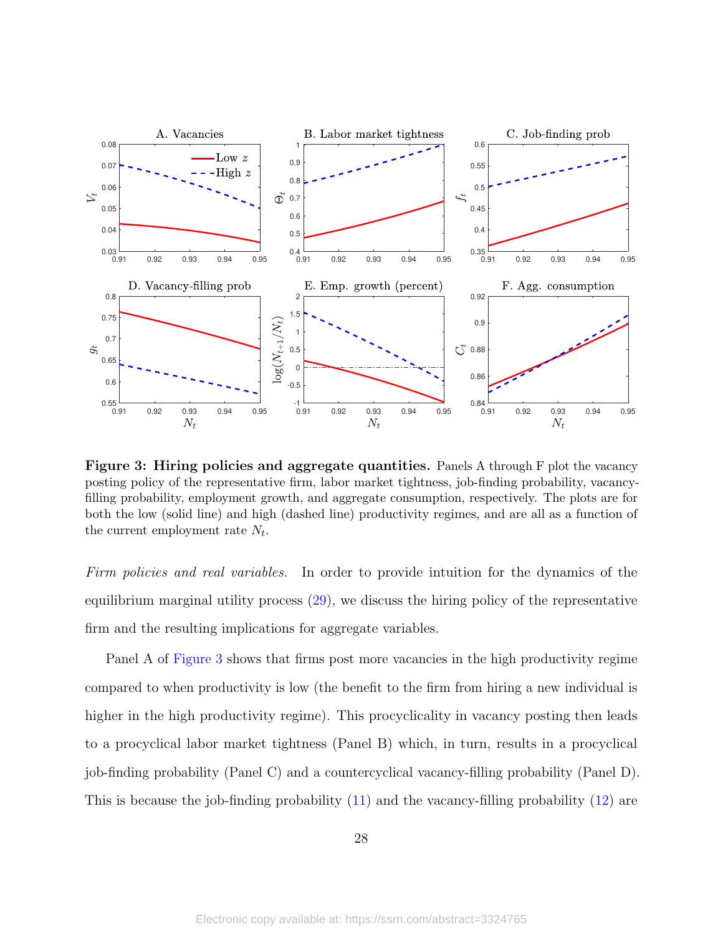<span id="page-28-0"></span>

Figure 3: Hiring policies and aggregate quantities. Panels A through F plot the vacancy posting policy of the representative firm, labor market tightness, job-finding probability, vacancyfilling probability, employment growth, and aggregate consumption, respectively. The plots are for both the low (solid line) and high (dashed line) productivity regimes, and are all as a function of the current employment rate  $N_t$ .

Firm policies and real variables. In order to provide intuition for the dynamics of the equilibrium marginal utility process [\(29\)](#page-14-4), we discuss the hiring policy of the representative firm and the resulting implications for aggregate variables.

Panel A of [Figure 3](#page-28-0) shows that firms post more vacancies in the high productivity regime compared to when productivity is low (the benefit to the firm from hiring a new individual is higher in the high productivity regime). This procyclicality in vacancy posting then leads to a procyclical labor market tightness (Panel B) which, in turn, results in a procyclical job-finding probability (Panel C) and a countercyclical vacancy-filling probability (Panel D). This is because the job-finding probability [\(11\)](#page-9-1) and the vacancy-filling probability [\(12\)](#page-9-2) are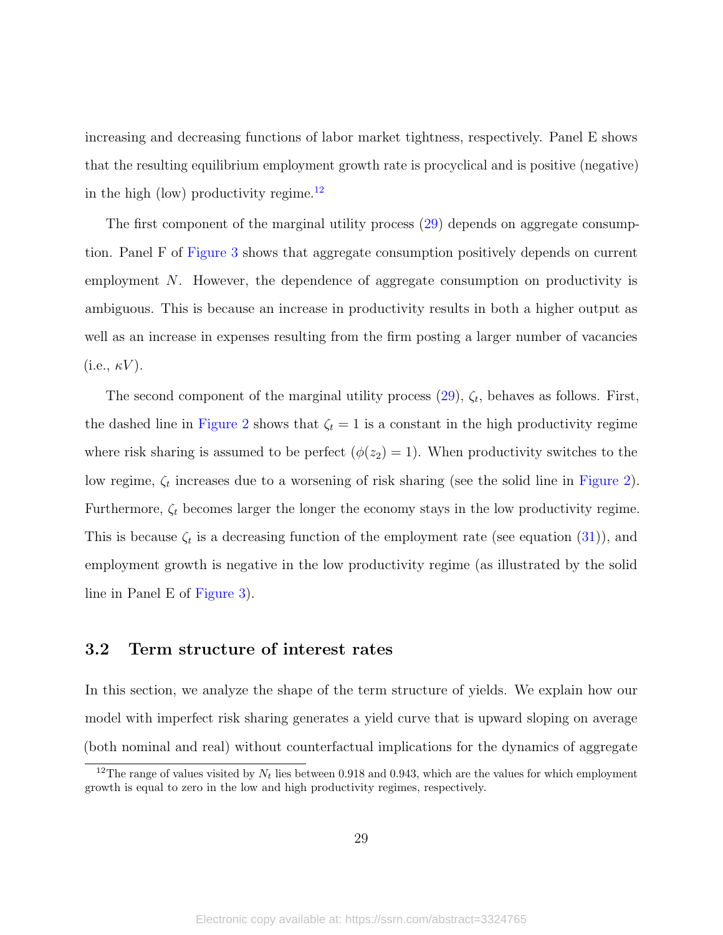increasing and decreasing functions of labor market tightness, respectively. Panel E shows that the resulting equilibrium employment growth rate is procyclical and is positive (negative) in the high (low) productivity regime.<sup>[12](#page-29-0)</sup>

The first component of the marginal utility process [\(29\)](#page-14-4) depends on aggregate consumption. Panel F of [Figure 3](#page-28-0) shows that aggregate consumption positively depends on current employment N. However, the dependence of aggregate consumption on productivity is ambiguous. This is because an increase in productivity results in both a higher output as well as an increase in expenses resulting from the firm posting a larger number of vacancies  $(i.e., \kappa V).$ 

The second component of the marginal utility process  $(29)$ ,  $\zeta_t$ , behaves as follows. First, the dashed line in [Figure 2](#page-16-0) shows that  $\zeta_t = 1$  is a constant in the high productivity regime where risk sharing is assumed to be perfect  $(\phi(z_2) = 1)$ . When productivity switches to the low regime,  $\zeta_t$  increases due to a worsening of risk sharing (see the solid line in [Figure 2\)](#page-16-0). Furthermore,  $\zeta_t$  becomes larger the longer the economy stays in the low productivity regime. This is because  $\zeta_t$  is a decreasing function of the employment rate (see equation [\(31\)](#page-15-2)), and employment growth is negative in the low productivity regime (as illustrated by the solid line in Panel E of [Figure 3\)](#page-28-0).

### 3.2 Term structure of interest rates

In this section, we analyze the shape of the term structure of yields. We explain how our model with imperfect risk sharing generates a yield curve that is upward sloping on average (both nominal and real) without counterfactual implications for the dynamics of aggregate

<span id="page-29-0"></span><sup>&</sup>lt;sup>12</sup>The range of values visited by  $N_t$  lies between 0.918 and 0.943, which are the values for which employment growth is equal to zero in the low and high productivity regimes, respectively.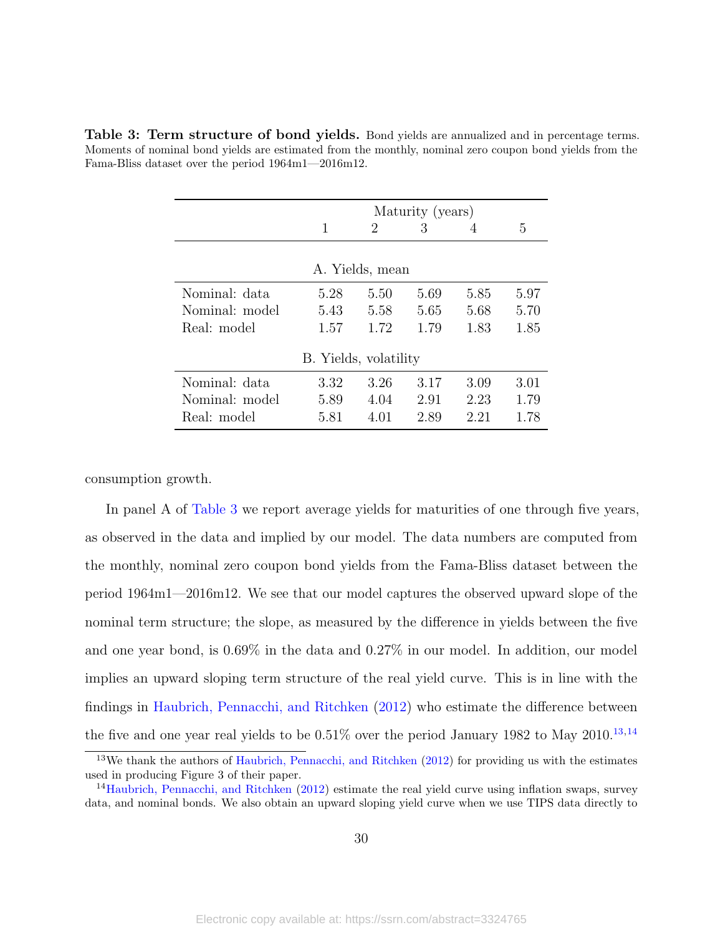|                |                       |                 | Maturity (years) |      |      |
|----------------|-----------------------|-----------------|------------------|------|------|
|                | 1                     | 2               | 3                | 4    | 5    |
|                |                       |                 |                  |      |      |
|                |                       | A. Yields, mean |                  |      |      |
| Nominal: data  | 5.28                  | 5.50            | 5.69             | 5.85 | 5.97 |
| Nominal: model | 5.43                  | 5.58            | 5.65             | 5.68 | 5.70 |
| Real: model    | 1.57                  | 1.72            | 1.79             | 1.83 | 1.85 |
|                | B. Yields, volatility |                 |                  |      |      |
| Nominal: data  | 3.32                  | 3.26            | 3.17             | 3.09 | 3.01 |
| Nominal: model | 5.89                  | 4.04            | 2.91             | 2.23 | 1.79 |
| Real: model    | 5.81                  | 4.01            | 2.89             | 2.21 | 1.78 |

<span id="page-30-0"></span>Table 3: Term structure of bond yields. Bond yields are annualized and in percentage terms. Moments of nominal bond yields are estimated from the monthly, nominal zero coupon bond yields from the Fama-Bliss dataset over the period 1964m1—2016m12.

consumption growth.

In panel A of [Table 3](#page-30-0) we report average yields for maturities of one through five years, as observed in the data and implied by our model. The data numbers are computed from the monthly, nominal zero coupon bond yields from the Fama-Bliss dataset between the period 1964m1—2016m12. We see that our model captures the observed upward slope of the nominal term structure; the slope, as measured by the difference in yields between the five and one year bond, is 0.69% in the data and 0.27% in our model. In addition, our model implies an upward sloping term structure of the real yield curve. This is in line with the findings in [Haubrich, Pennacchi, and Ritchken](#page-47-12) [\(2012\)](#page-47-12) who estimate the difference between the five and one year real yields to be  $0.51\%$  over the period January 1982 to May 2010.<sup>[13](#page-30-1),[14](#page-30-2)</sup>

<span id="page-30-1"></span><sup>13</sup>We thank the authors of [Haubrich, Pennacchi, and Ritchken](#page-47-12) [\(2012\)](#page-47-12) for providing us with the estimates used in producing Figure 3 of their paper.

<span id="page-30-2"></span><sup>&</sup>lt;sup>14</sup>[Haubrich, Pennacchi, and Ritchken](#page-47-12) [\(2012\)](#page-47-12) estimate the real yield curve using inflation swaps, survey data, and nominal bonds. We also obtain an upward sloping yield curve when we use TIPS data directly to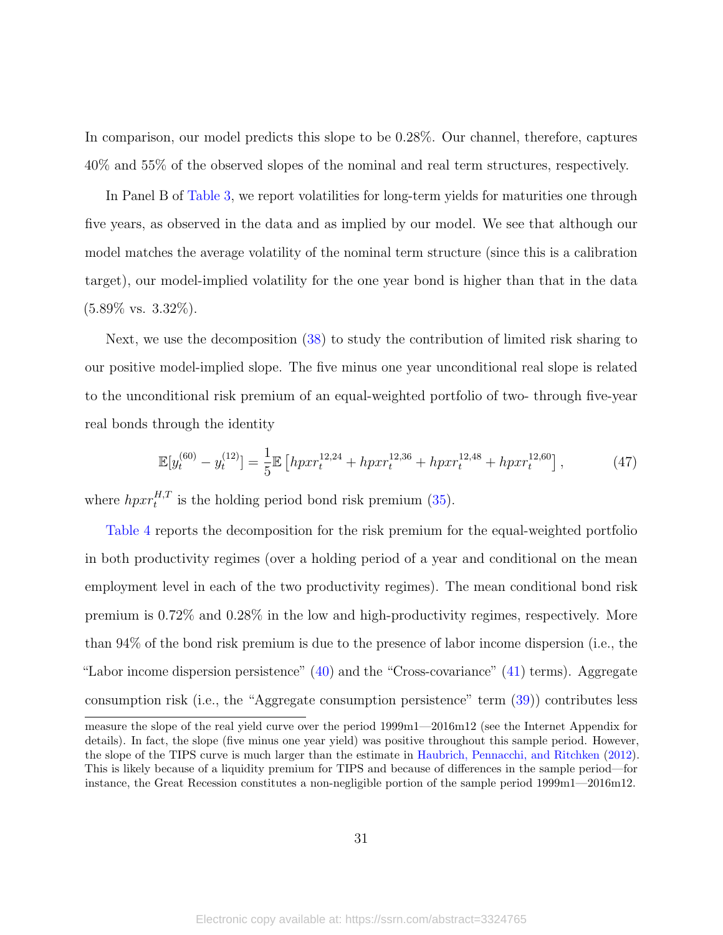In comparison, our model predicts this slope to be 0.28%. Our channel, therefore, captures 40% and 55% of the observed slopes of the nominal and real term structures, respectively.

In Panel B of [Table 3,](#page-30-0) we report volatilities for long-term yields for maturities one through five years, as observed in the data and as implied by our model. We see that although our model matches the average volatility of the nominal term structure (since this is a calibration target), our model-implied volatility for the one year bond is higher than that in the data  $(5.89\% \text{ vs. } 3.32\%).$ 

Next, we use the decomposition [\(38\)](#page-17-0) to study the contribution of limited risk sharing to our positive model-implied slope. The five minus one year unconditional real slope is related to the unconditional risk premium of an equal-weighted portfolio of two- through five-year real bonds through the identity

$$
\mathbb{E}[y_t^{(60)} - y_t^{(12)}] = \frac{1}{5} \mathbb{E}\left[ hpxr_t^{12,24} + hpxr_t^{12,36} + hpxr_t^{12,48} + hpxr_t^{12,60} \right],\tag{47}
$$

where  $hpxr_t^{H,T}$  is the holding period bond risk premium [\(35\)](#page-16-1).

[Table 4](#page-32-0) reports the decomposition for the risk premium for the equal-weighted portfolio in both productivity regimes (over a holding period of a year and conditional on the mean employment level in each of the two productivity regimes). The mean conditional bond risk premium is 0.72% and 0.28% in the low and high-productivity regimes, respectively. More than 94% of the bond risk premium is due to the presence of labor income dispersion (i.e., the "Labor income dispersion persistence" [\(40\)](#page-17-1) and the "Cross-covariance" [\(41\)](#page-17-2) terms). Aggregate consumption risk (i.e., the "Aggregate consumption persistence" term [\(39\)](#page-17-3)) contributes less

measure the slope of the real yield curve over the period 1999m1—2016m12 (see the Internet Appendix for details). In fact, the slope (five minus one year yield) was positive throughout this sample period. However, the slope of the TIPS curve is much larger than the estimate in [Haubrich, Pennacchi, and Ritchken](#page-47-12) [\(2012\)](#page-47-12). This is likely because of a liquidity premium for TIPS and because of differences in the sample period—for instance, the Great Recession constitutes a non-negligible portion of the sample period 1999m1—2016m12.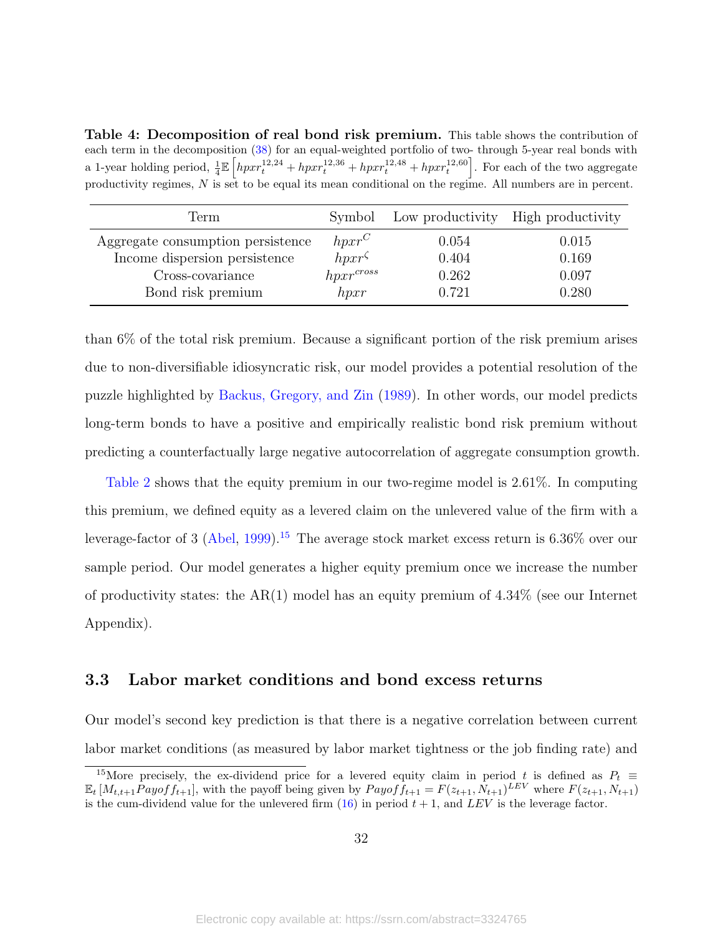<span id="page-32-0"></span>Table 4: Decomposition of real bond risk premium. This table shows the contribution of each term in the decomposition [\(38\)](#page-17-0) for an equal-weighted portfolio of two- through 5-year real bonds with a 1-year holding period,  $\frac{1}{4} \mathbb{E} \left[ h p x r_t^{12,24} + h p x r_t^{12,36} + h p x r_t^{12,48} + h p x r_t^{12,60} \right]$ . For each of the two aggregate productivity regimes, N is set to be equal its mean conditional on the regime. All numbers are in percent.

| Term                              | Symbol         |       | Low productivity High productivity |
|-----------------------------------|----------------|-------|------------------------------------|
| Aggregate consumption persistence | $hpxr^C$       | 0.054 | 0.015                              |
| Income dispersion persistence     | $hpxr^{\zeta}$ | 0.404 | 0.169                              |
| Cross-covariance                  | $hpxr^{cross}$ | 0.262 | 0.097                              |
| Bond risk premium                 | hpxr           | 0.721 | 0.280                              |

than 6% of the total risk premium. Because a significant portion of the risk premium arises due to non-diversifiable idiosyncratic risk, our model provides a potential resolution of the puzzle highlighted by [Backus, Gregory, and Zin](#page-45-0) [\(1989\)](#page-45-0). In other words, our model predicts long-term bonds to have a positive and empirically realistic bond risk premium without predicting a counterfactually large negative autocorrelation of aggregate consumption growth.

[Table 2](#page-24-0) shows that the equity premium in our two-regime model is 2.61%. In computing this premium, we defined equity as a levered claim on the unlevered value of the firm with a leverage-factor of 3 [\(Abel,](#page-45-13) [1999\)](#page-45-13).<sup>[15](#page-32-1)</sup> The average stock market excess return is  $6.36\%$  over our sample period. Our model generates a higher equity premium once we increase the number of productivity states: the  $AR(1)$  model has an equity premium of 4.34% (see our Internet Appendix).

#### <span id="page-32-2"></span>3.3 Labor market conditions and bond excess returns

Our model's second key prediction is that there is a negative correlation between current labor market conditions (as measured by labor market tightness or the job finding rate) and

<span id="page-32-1"></span><sup>&</sup>lt;sup>15</sup>More precisely, the ex-dividend price for a levered equity claim in period t is defined as  $P_t \equiv$  $\mathbb{E}_t\left[M_{t,t+1}Payoff_{t+1}\right]$ , with the payoff being given by  $Payoff_{t+1} = F(z_{t+1}, N_{t+1})^{LEV}$  where  $F(z_{t+1}, N_{t+1})$ is the cum-dividend value for the unlevered firm  $(16)$  in period  $t + 1$ , and LEV is the leverage factor.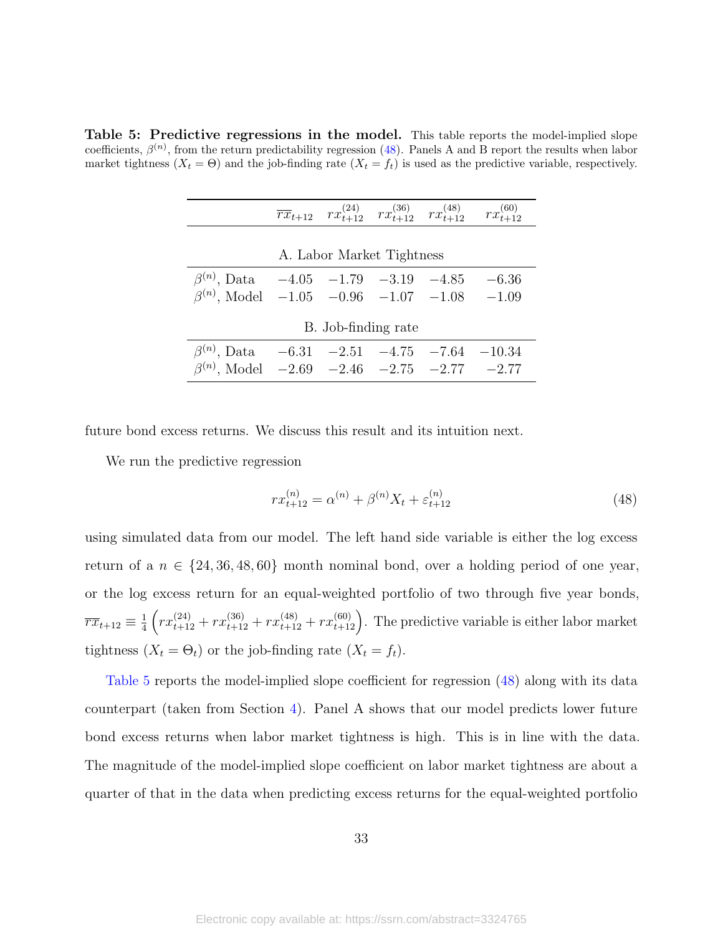<span id="page-33-1"></span>Table 5: Predictive regressions in the model. This table reports the model-implied slope coefficients,  $\beta^{(n)}$ , from the return predictability regression [\(48\)](#page-33-0). Panels A and B report the results when labor market tightness  $(X_t = \Theta)$  and the job-finding rate  $(X_t = f_t)$  is used as the predictive variable, respectively.

|                                                                                                                                |                     |                           | $\overline{rx}_{t+12}$ $rx^{(24)}_{t+12}$ $rx^{(36)}_{t+12}$ $rx^{(48)}_{t+12}$ $rx^{(60)}_{t+12}$ |
|--------------------------------------------------------------------------------------------------------------------------------|---------------------|---------------------------|----------------------------------------------------------------------------------------------------|
|                                                                                                                                |                     | A. Labor Market Tightness |                                                                                                    |
| $\beta^{(n)}$ , Data $-4.05$ $-1.79$ $-3.19$ $-4.85$ $-6.36$<br>$\beta^{(n)}$ , Model $-1.05$ $-0.96$ $-1.07$ $-1.08$ $-1.09$  |                     |                           |                                                                                                    |
|                                                                                                                                | B. Job-finding rate |                           |                                                                                                    |
| $\beta^{(n)}$ , Data $-6.31$ $-2.51$ $-4.75$ $-7.64$ $-10.34$<br>$\beta^{(n)}$ , Model $-2.69$ $-2.46$ $-2.75$ $-2.77$ $-2.77$ |                     |                           |                                                                                                    |

future bond excess returns. We discuss this result and its intuition next.

We run the predictive regression

<span id="page-33-0"></span>
$$
rx_{t+12}^{(n)} = \alpha^{(n)} + \beta^{(n)}X_t + \varepsilon_{t+12}^{(n)}
$$
\n(48)

using simulated data from our model. The left hand side variable is either the log excess return of a  $n \in \{24, 36, 48, 60\}$  month nominal bond, over a holding period of one year, or the log excess return for an equal-weighted portfolio of two through five year bonds,  $\overline{rx}_{t+12} \equiv \frac{1}{4}$  $\frac{1}{4}\left(rx_{t+12}^{(24)}+rx_{t+12}^{(36)}+rx_{t+12}^{(48)}+rx_{t+12}^{(60)}\right)$ . The predictive variable is either labor market tightness  $(X_t = \Theta_t)$  or the job-finding rate  $(X_t = f_t)$ .

[Table 5](#page-33-1) reports the model-implied slope coefficient for regression [\(48\)](#page-33-0) along with its data counterpart (taken from Section [4\)](#page-35-0). Panel A shows that our model predicts lower future bond excess returns when labor market tightness is high. This is in line with the data. The magnitude of the model-implied slope coefficient on labor market tightness are about a quarter of that in the data when predicting excess returns for the equal-weighted portfolio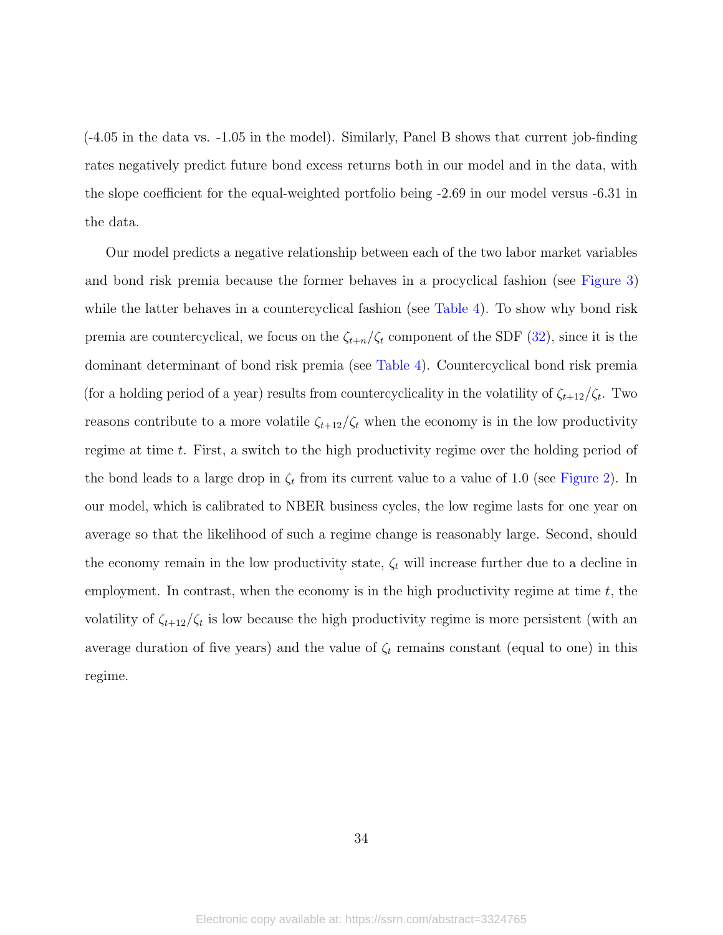(-4.05 in the data vs. -1.05 in the model). Similarly, Panel B shows that current job-finding rates negatively predict future bond excess returns both in our model and in the data, with the slope coefficient for the equal-weighted portfolio being -2.69 in our model versus -6.31 in the data.

Our model predicts a negative relationship between each of the two labor market variables and bond risk premia because the former behaves in a procyclical fashion (see [Figure 3\)](#page-28-0) while the latter behaves in a countercyclical fashion (see [Table 4\)](#page-32-0). To show why bond risk premia are countercyclical, we focus on the  $\zeta_{t+n}/\zeta_t$  component of the SDF [\(32\)](#page-15-0), since it is the dominant determinant of bond risk premia (see [Table 4\)](#page-32-0). Countercyclical bond risk premia (for a holding period of a year) results from countercyclicality in the volatility of  $\zeta_{t+12}/\zeta_t$ . Two reasons contribute to a more volatile  $\zeta_{t+12}/\zeta_t$  when the economy is in the low productivity regime at time t. First, a switch to the high productivity regime over the holding period of the bond leads to a large drop in  $\zeta_t$  from its current value to a value of 1.0 (see [Figure 2\)](#page-16-0). In our model, which is calibrated to NBER business cycles, the low regime lasts for one year on average so that the likelihood of such a regime change is reasonably large. Second, should the economy remain in the low productivity state,  $\zeta_t$  will increase further due to a decline in employment. In contrast, when the economy is in the high productivity regime at time  $t$ , the volatility of  $\zeta_{t+12}/\zeta_t$  is low because the high productivity regime is more persistent (with an average duration of five years) and the value of  $\zeta_t$  remains constant (equal to one) in this regime.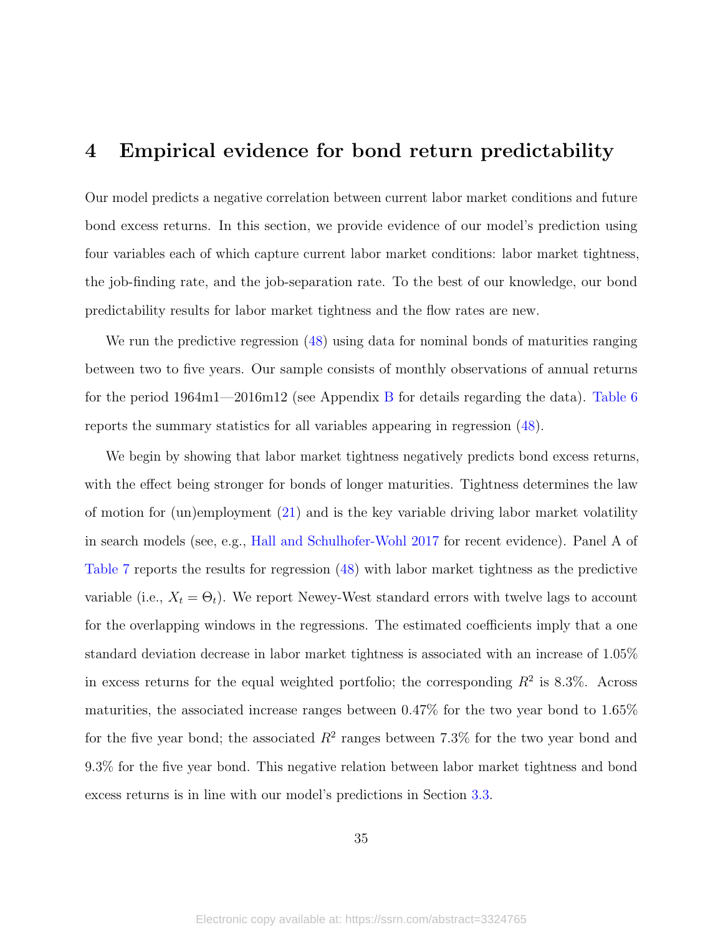## <span id="page-35-0"></span>4 Empirical evidence for bond return predictability

Our model predicts a negative correlation between current labor market conditions and future bond excess returns. In this section, we provide evidence of our model's prediction using four variables each of which capture current labor market conditions: labor market tightness, the job-finding rate, and the job-separation rate. To the best of our knowledge, our bond predictability results for labor market tightness and the flow rates are new.

We run the predictive regression [\(48\)](#page-33-0) using data for nominal bonds of maturities ranging between two to five years. Our sample consists of monthly observations of annual returns for the period 1964m1—2016m12 (see Appendix [B](#page-43-0) for details regarding the data). [Table 6](#page-36-0) reports the summary statistics for all variables appearing in regression [\(48\)](#page-33-0).

We begin by showing that labor market tightness negatively predicts bond excess returns, with the effect being stronger for bonds of longer maturities. Tightness determines the law of motion for (un)employment [\(21\)](#page-12-2) and is the key variable driving labor market volatility in search models (see, e.g., [Hall and Schulhofer-Wohl](#page-47-13) [2017](#page-47-13) for recent evidence). Panel A of [Table 7](#page-37-0) reports the results for regression [\(48\)](#page-33-0) with labor market tightness as the predictive variable (i.e.,  $X_t = \Theta_t$ ). We report Newey-West standard errors with twelve lags to account for the overlapping windows in the regressions. The estimated coefficients imply that a one standard deviation decrease in labor market tightness is associated with an increase of 1.05% in excess returns for the equal weighted portfolio; the corresponding  $R^2$  is 8.3%. Across maturities, the associated increase ranges between 0.47% for the two year bond to 1.65% for the five year bond; the associated  $R^2$  ranges between 7.3% for the two year bond and 9.3% for the five year bond. This negative relation between labor market tightness and bond excess returns is in line with our model's predictions in Section [3.3.](#page-32-2)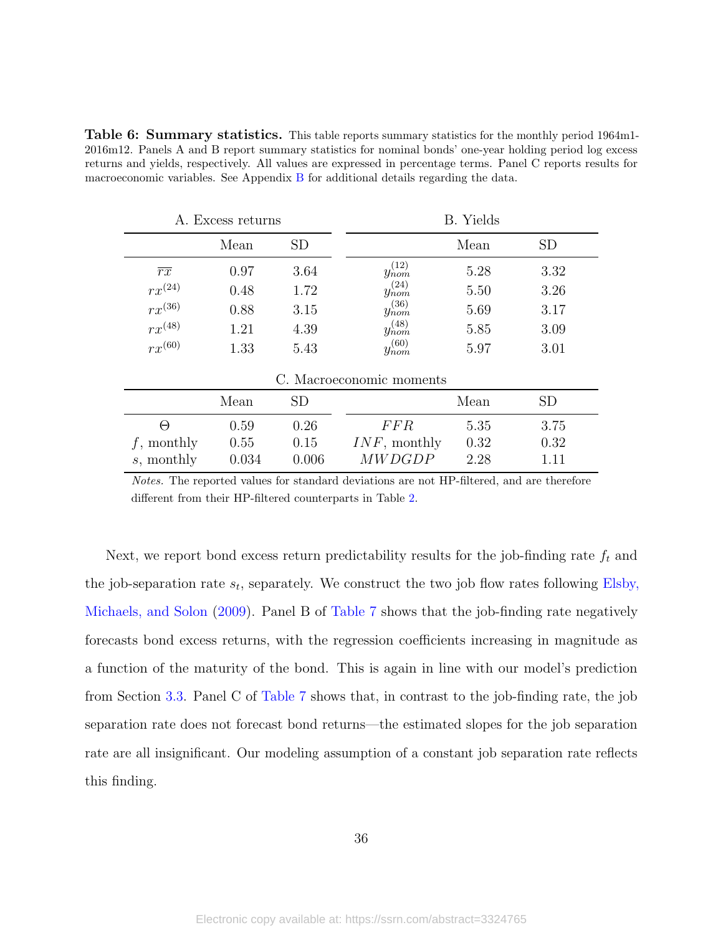<span id="page-36-0"></span>Table 6: Summary statistics. This table reports summary statistics for the monthly period 1964m1-2016m12. Panels A and B report summary statistics for nominal bonds' one-year holding period log excess returns and yields, respectively. All values are expressed in percentage terms. Panel C reports results for macroeconomic variables. See Appendix [B](#page-43-0) for additional details regarding the data.

|                 | A. Excess returns |       |                          | <b>B.</b> Yields |           |
|-----------------|-------------------|-------|--------------------------|------------------|-----------|
|                 | Mean              | SD    |                          | Mean             | <b>SD</b> |
| $\overline{rx}$ | 0.97              | 3.64  | $y_{nom}^{(12)}$         | 5.28             | 3.32      |
| $rx^{(24)}$     | 0.48              | 1.72  | $y_{nom}^{(24)}$         | 5.50             | 3.26      |
| $rx^{(36)}$     | 0.88              | 3.15  | $y_{nom}^{(36)}$         | 5.69             | 3.17      |
| $rx^{(48)}$     | 1.21              | 4.39  | $y_{nom}^{(48)}$         | 5.85             | 3.09      |
| $rx^{(60)}$     | 1.33              | 5.43  | $y_{nom}^{(60)}$         | 5.97             | 3.01      |
|                 |                   |       | C. Macroeconomic moments |                  |           |
|                 | Mean              | SD    |                          | Mean             | <b>SD</b> |
| $\Theta$        | 0.59              | 0.26  | <i>FFR</i>               | 5.35             | 3.75      |
| $f$ , monthly   | 0.55              | 0.15  | $INF$ , monthly          | 0.32             | 0.32      |
| s, monthly      | 0.034             | 0.006 | <b>MWDGDP</b>            | 2.28             | 1.11      |

Notes. The reported values for standard deviations are not HP-filtered, and are therefore different from their HP-filtered counterparts in Table [2.](#page-24-0)

Next, we report bond excess return predictability results for the job-finding rate  $f_t$  and the job-separation rate  $s_t$ , separately. We construct the two job flow rates following [Elsby,](#page-47-10) [Michaels, and Solon](#page-47-10) [\(2009\)](#page-47-10). Panel B of [Table 7](#page-37-0) shows that the job-finding rate negatively forecasts bond excess returns, with the regression coefficients increasing in magnitude as a function of the maturity of the bond. This is again in line with our model's prediction from Section [3.3.](#page-32-2) Panel C of [Table 7](#page-37-0) shows that, in contrast to the job-finding rate, the job separation rate does not forecast bond returns—the estimated slopes for the job separation rate are all insignificant. Our modeling assumption of a constant job separation rate reflects this finding.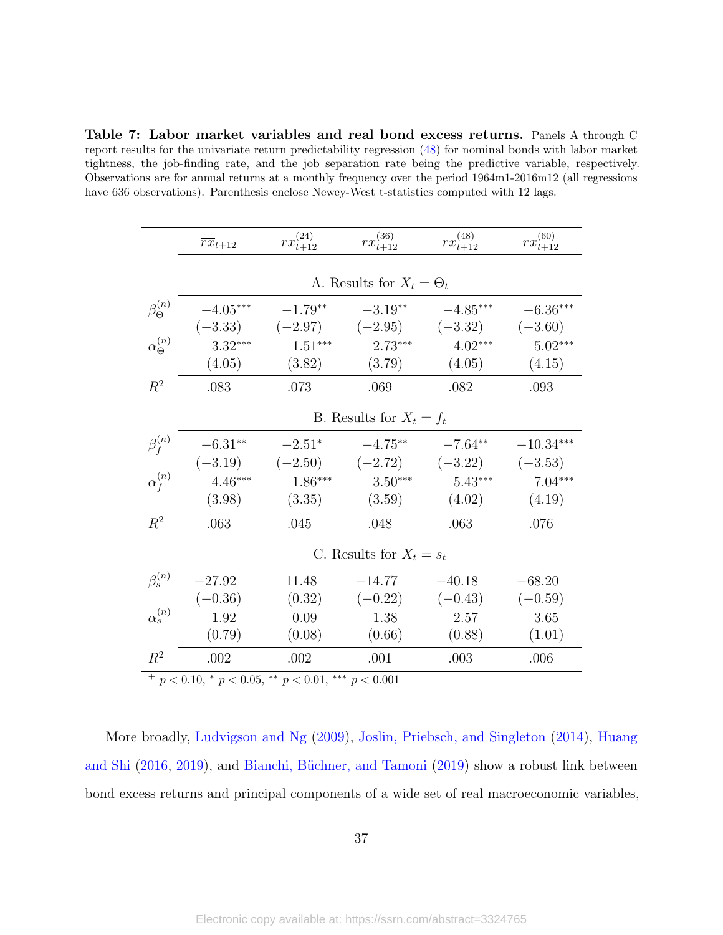<span id="page-37-0"></span>Table 7: Labor market variables and real bond excess returns. Panels A through C report results for the univariate return predictability regression [\(48\)](#page-33-0) for nominal bonds with labor market tightness, the job-finding rate, and the job separation rate being the predictive variable, respectively. Observations are for annual returns at a monthly frequency over the period 1964m1-2016m12 (all regressions have 636 observations). Parenthesis enclose Newey-West t-statistics computed with 12 lags.

 $\overline{a}$ 

|                         | $\overline{rx}_{t+12}$                              | $rx_{t+12}^{(24)}$  | $rx_{t+12}^{(36)}$              | $rx_{t+12}^{(48)}$                                    | $rx_{t+12}^{(60)}$       |
|-------------------------|-----------------------------------------------------|---------------------|---------------------------------|-------------------------------------------------------|--------------------------|
|                         |                                                     |                     | A. Results for $X_t = \Theta_t$ |                                                       |                          |
| $\beta_{\Theta}^{(n)}$  | $-4.05***$                                          | $-1.79**$           | $-3.19**$                       | $-4.85***$<br>$(-3.33)$ $(-2.97)$ $(-2.95)$ $(-3.32)$ | $-6.36***$<br>$(-3.60)$  |
| $\alpha_{\Theta}^{(n)}$ | $3.32***$<br>(4.05)                                 | $1.51***$<br>(3.82) | $2.73***$<br>(3.79)             | $4.02***$<br>(4.05)                                   | $5.02***$<br>(4.15)      |
| $R^2$                   | .083                                                | .073                | .069                            | .082                                                  | .093                     |
|                         |                                                     |                     | B. Results for $X_t = f_t$      |                                                       |                          |
| $\beta_f^{(n)}$         | $-6.31**$                                           | $-2.51*$            | $-4.75***$                      | $-7.64**$<br>$(-3.19)$ $(-2.50)$ $(-2.72)$ $(-3.22)$  | $-10.34***$<br>$(-3.53)$ |
| $\alpha_f^{(n)}$        | $4.46***$<br>(3.98)                                 | $1.86***$<br>(3.35) | $3.50***$<br>(3.59)             | $5.43***$<br>(4.02)                                   | $7.04***$<br>(4.19)      |
| $R^2$                   | .063                                                | .045                | .048                            | .063                                                  | .076                     |
|                         |                                                     |                     | C. Results for $X_t = s_t$      |                                                       |                          |
| $\beta_s^{(n)}$         | $-27.92$<br>$(-0.36)$                               | 11.48               | $-14.77$<br>$(0.32)$ $(-0.22)$  | $-40.18$<br>$(-0.43)$                                 | $-68.20$<br>$(-0.59)$    |
| $\alpha_s^{(n)}$        | 1.92<br>(0.79)                                      | 0.09<br>(0.08)      | 1.38<br>(0.66)                  | 2.57<br>(0.88)                                        | 3.65<br>(1.01)           |
| $R^2$                   | .002                                                | .002                | .001                            | .003                                                  | .006                     |
|                         | + $p < 0.10, * p < 0.05, ** p < 0.01, ** p < 0.001$ |                     |                                 |                                                       |                          |

More broadly, [Ludvigson and Ng](#page-48-0) [\(2009\)](#page-48-0), [Joslin, Priebsch, and Singleton](#page-48-1) [\(2014\)](#page-48-1), [Huang](#page-48-2) [and Shi](#page-48-2) [\(2016,](#page-48-2) [2019\)](#page-48-3), and Bianchi, Büchner, and Tamoni [\(2019\)](#page-45-1) show a robust link between bond excess returns and principal components of a wide set of real macroeconomic variables,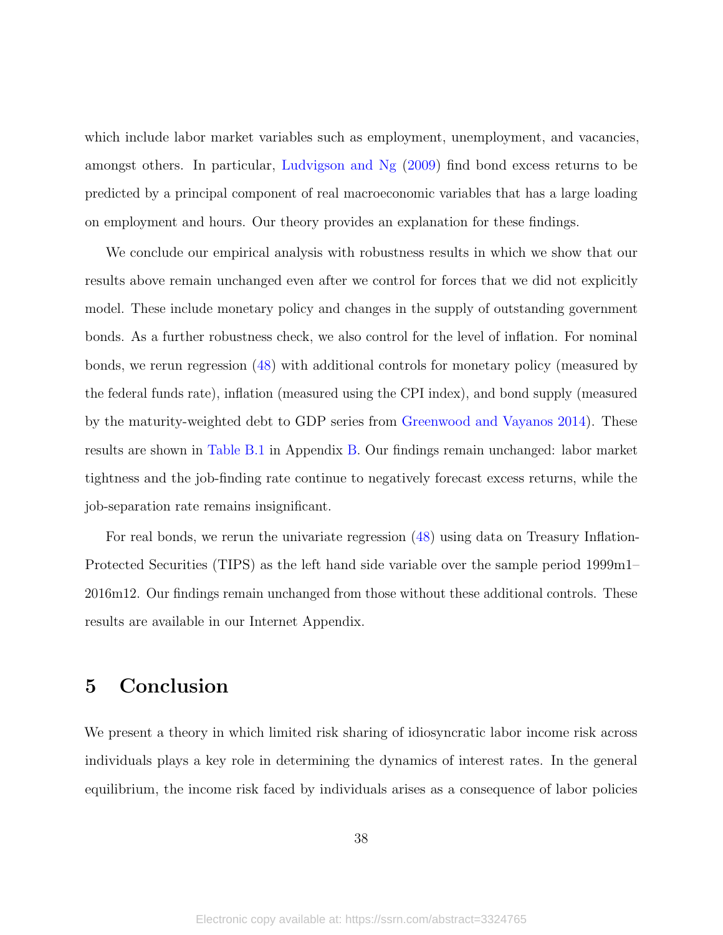which include labor market variables such as employment, unemployment, and vacancies, amongst others. In particular, [Ludvigson and Ng](#page-48-0) [\(2009\)](#page-48-0) find bond excess returns to be predicted by a principal component of real macroeconomic variables that has a large loading on employment and hours. Our theory provides an explanation for these findings.

We conclude our empirical analysis with robustness results in which we show that our results above remain unchanged even after we control for forces that we did not explicitly model. These include monetary policy and changes in the supply of outstanding government bonds. As a further robustness check, we also control for the level of inflation. For nominal bonds, we rerun regression [\(48\)](#page-33-0) with additional controls for monetary policy (measured by the federal funds rate), inflation (measured using the CPI index), and bond supply (measured by the maturity-weighted debt to GDP series from [Greenwood and Vayanos](#page-47-3) [2014\)](#page-47-3). These results are shown in [Table B.1](#page-44-0) in Appendix [B.](#page-43-0) Our findings remain unchanged: labor market tightness and the job-finding rate continue to negatively forecast excess returns, while the job-separation rate remains insignificant.

For real bonds, we rerun the univariate regression [\(48\)](#page-33-0) using data on Treasury Inflation-Protected Securities (TIPS) as the left hand side variable over the sample period 1999m1– 2016m12. Our findings remain unchanged from those without these additional controls. These results are available in our Internet Appendix.

## <span id="page-38-0"></span>5 Conclusion

We present a theory in which limited risk sharing of idiosyncratic labor income risk across individuals plays a key role in determining the dynamics of interest rates. In the general equilibrium, the income risk faced by individuals arises as a consequence of labor policies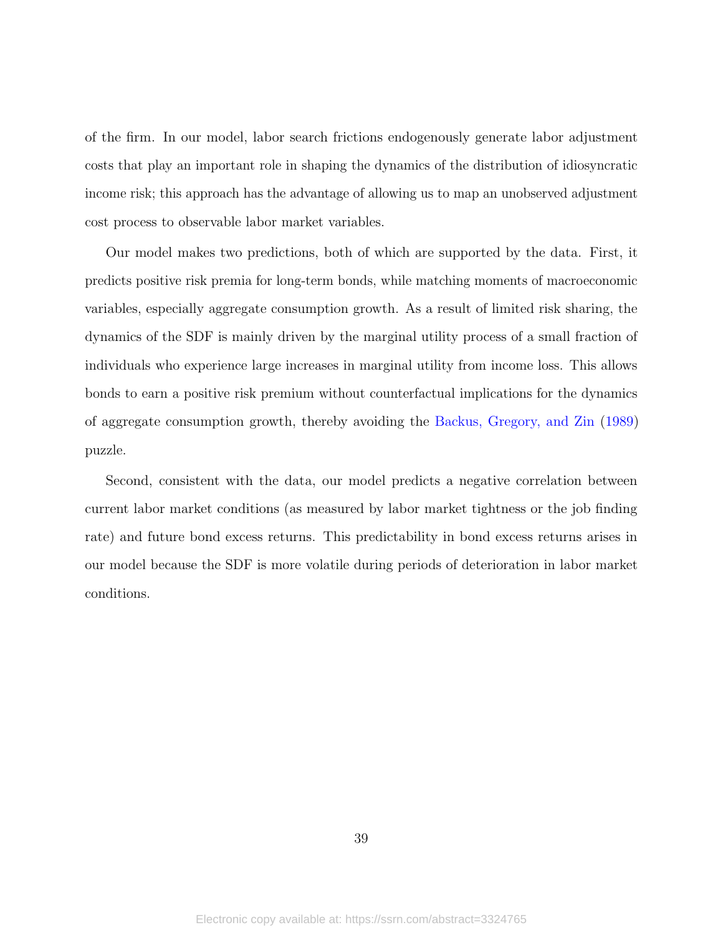of the firm. In our model, labor search frictions endogenously generate labor adjustment costs that play an important role in shaping the dynamics of the distribution of idiosyncratic income risk; this approach has the advantage of allowing us to map an unobserved adjustment cost process to observable labor market variables.

Our model makes two predictions, both of which are supported by the data. First, it predicts positive risk premia for long-term bonds, while matching moments of macroeconomic variables, especially aggregate consumption growth. As a result of limited risk sharing, the dynamics of the SDF is mainly driven by the marginal utility process of a small fraction of individuals who experience large increases in marginal utility from income loss. This allows bonds to earn a positive risk premium without counterfactual implications for the dynamics of aggregate consumption growth, thereby avoiding the [Backus, Gregory, and Zin](#page-45-0) [\(1989\)](#page-45-0) puzzle.

Second, consistent with the data, our model predicts a negative correlation between current labor market conditions (as measured by labor market tightness or the job finding rate) and future bond excess returns. This predictability in bond excess returns arises in our model because the SDF is more volatile during periods of deterioration in labor market conditions.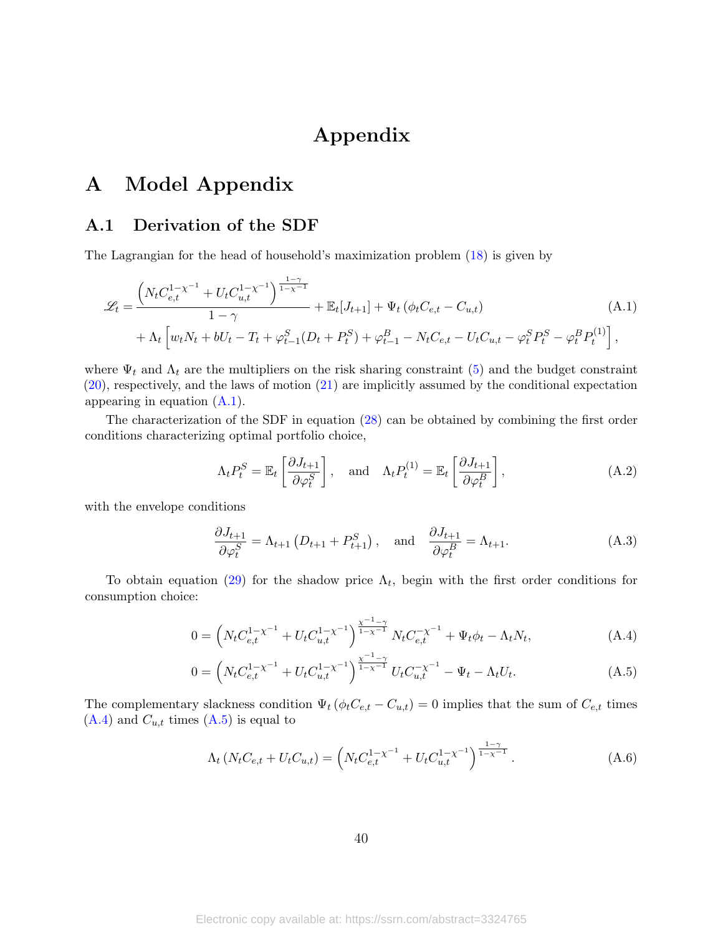# <span id="page-40-1"></span>Appendix

## A Model Appendix

#### <span id="page-40-0"></span>A.1 Derivation of the SDF

The Lagrangian for the head of household's maximization problem [\(18\)](#page-12-1) is given by

$$
\mathcal{L}_{t} = \frac{\left(N_{t}C_{e,t}^{1-\chi^{-1}} + U_{t}C_{u,t}^{1-\chi^{-1}}\right)^{\frac{1-\gamma}{1-\chi^{-1}}}}{1-\gamma} + \mathbb{E}_{t}[J_{t+1}] + \Psi_{t}\left(\phi_{t}C_{e,t} - C_{u,t}\right) \tag{A.1}
$$
\n
$$
+ \Lambda_{t}\left[w_{t}N_{t} + bU_{t} - T_{t} + \varphi_{t-1}^{S}(D_{t} + P_{t}^{S}) + \varphi_{t-1}^{B} - N_{t}C_{e,t} - U_{t}C_{u,t} - \varphi_{t}^{S}P_{t}^{S} - \varphi_{t}^{B}P_{t}^{(1)}\right],
$$

where  $\Psi_t$  and  $\Lambda_t$  are the multipliers on the risk sharing constraint [\(5\)](#page-7-0) and the budget constraint [\(20\)](#page-12-0), respectively, and the laws of motion [\(21\)](#page-12-2) are implicitly assumed by the conditional expectation appearing in equation [\(A.1\)](#page-40-1).

The characterization of the SDF in equation [\(28\)](#page-14-3) can be obtained by combining the first order conditions characterizing optimal portfolio choice,

$$
\Lambda_t P_t^S = \mathbb{E}_t \left[ \frac{\partial J_{t+1}}{\partial \varphi_t^S} \right], \quad \text{and} \quad \Lambda_t P_t^{(1)} = \mathbb{E}_t \left[ \frac{\partial J_{t+1}}{\partial \varphi_t^B} \right], \tag{A.2}
$$

with the envelope conditions

<span id="page-40-2"></span>
$$
\frac{\partial J_{t+1}}{\partial \varphi_t^S} = \Lambda_{t+1} \left( D_{t+1} + P_{t+1}^S \right), \quad \text{and} \quad \frac{\partial J_{t+1}}{\partial \varphi_t^B} = \Lambda_{t+1}.
$$
 (A.3)

To obtain equation [\(29\)](#page-14-4) for the shadow price  $\Lambda_t$ , begin with the first order conditions for consumption choice:

$$
0 = \left( N_t C_{e,t}^{1-\chi^{-1}} + U_t C_{u,t}^{1-\chi^{-1}} \right)^{\frac{\chi^{-1}-\gamma}{1-\chi^{-1}}} N_t C_{e,t}^{-\chi^{-1}} + \Psi_t \phi_t - \Lambda_t N_t, \tag{A.4}
$$

$$
0 = \left( N_t C_{e,t}^{1-\chi^{-1}} + U_t C_{u,t}^{1-\chi^{-1}} \right)^{\frac{\chi^{-1}-\gamma}{1-\chi^{-1}}} U_t C_{u,t}^{-\chi^{-1}} - \Psi_t - \Lambda_t U_t.
$$
 (A.5)

The complementary slackness condition  $\Psi_t (\phi_t C_{e,t} - C_{u,t}) = 0$  implies that the sum of  $C_{e,t}$  times  $(A.4)$  and  $C_{u,t}$  times  $(A.5)$  is equal to

<span id="page-40-3"></span>
$$
\Lambda_t \left( N_t C_{e,t} + U_t C_{u,t} \right) = \left( N_t C_{e,t}^{1-\chi^{-1}} + U_t C_{u,t}^{1-\chi^{-1}} \right)^{\frac{1-\gamma}{1-\chi^{-1}}}.
$$
\n(A.6)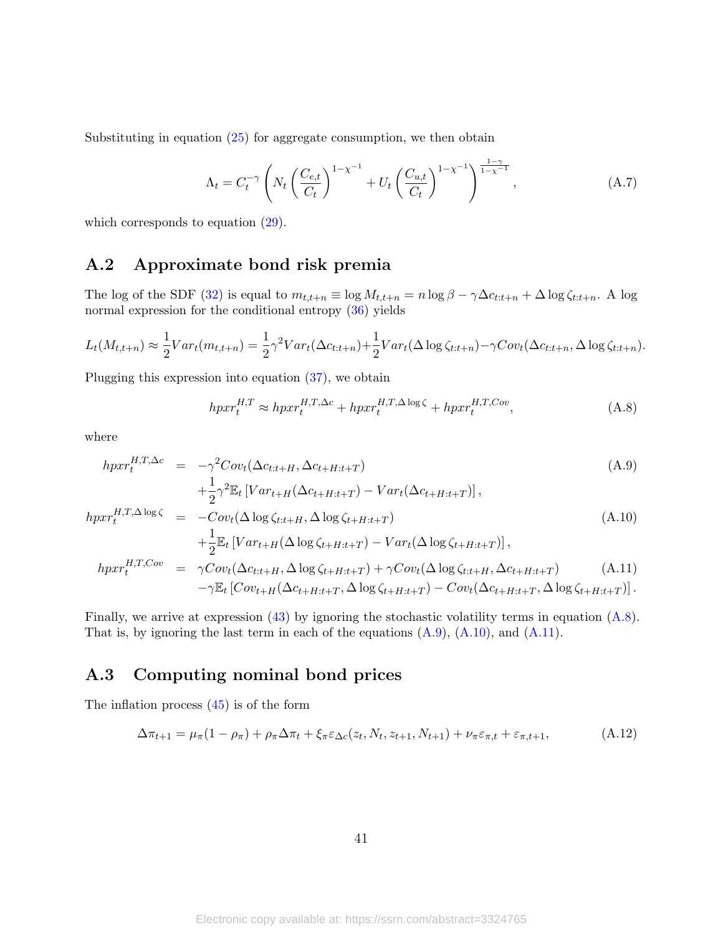Substituting in equation [\(25\)](#page-13-4) for aggregate consumption, we then obtain

$$
\Lambda_t = C_t^{-\gamma} \left( N_t \left( \frac{C_{e,t}}{C_t} \right)^{1-\chi^{-1}} + U_t \left( \frac{C_{u,t}}{C_t} \right)^{1-\chi^{-1}} \right)^{\frac{1-\gamma}{1-\chi^{-1}}}, \tag{A.7}
$$

which corresponds to equation  $(29)$ .

### <span id="page-41-0"></span>A.2 Approximate bond risk premia

The log of the SDF [\(32\)](#page-15-0) is equal to  $m_{t,t+n} \equiv \log M_{t,t+n} = n \log \beta - \gamma \Delta c_{t:t+n} + \Delta \log \zeta_{t:t+n}$ . A log normal expression for the conditional entropy [\(36\)](#page-17-4) yields

$$
L_t(M_{t,t+n}) \approx \frac{1}{2}Var_t(m_{t,t+n}) = \frac{1}{2}\gamma^2 Var_t(\Delta c_{t:t+n}) + \frac{1}{2}Var_t(\Delta \log \zeta_{t:t+n}) - \gamma Cov_t(\Delta c_{t:t+n}, \Delta \log \zeta_{t:t+n}).
$$

Plugging this expression into equation [\(37\)](#page-17-5), we obtain

<span id="page-41-2"></span>
$$
hpxr_t^{H,T} \approx hpxr_t^{H,T,\Delta c} + hpxr_t^{H,T,\Delta \log \zeta} + hpxr_t^{H,T,Cov},\tag{A.8}
$$

where

<span id="page-41-3"></span>
$$
hpxr_t^{H,T,\Delta c} = -\gamma^2 Cov_t(\Delta c_{t:t+H}, \Delta c_{t+H:t+T})
$$
\n
$$
+ \frac{1}{2}\gamma^2 \mathbb{E}_t \left[Var_{t+H}(\Delta c_{t+H:t+T}) - Var_t(\Delta c_{t+H:t+T})\right],
$$
\n
$$
hpxr_t^{H,T,\Delta \log \zeta} = -Cov_t(\Delta \log \zeta_{t:t+H}, \Delta \log \zeta_{t+H:t+T})
$$
\n
$$
+ \frac{1}{2} \mathbb{E}_t \left[Var_{t+H}(\Delta \log \zeta_{t+H:t+T}) - Var_t(\Delta \log \zeta_{t+H:t+T})\right],
$$
\n
$$
hpxr_t^{H,T,Cov} = \gamma Cov_t(\Delta c_{t:t+H}, \Delta \log \zeta_{t+H:t+T}) + \gamma Cov_t(\Delta \log \zeta_{t:t+H}, \Delta c_{t+H:t+T})
$$
\n
$$
- \gamma \mathbb{E}_t \left[Cov_{t+H}(\Delta c_{t+H:t+T}, \Delta \log \zeta_{t+H:t+T}) - Cov_t(\Delta c_{t+H:t+T}, \Delta \log \zeta_{t+H:t+T})\right].
$$
\n(A.11)

Finally, we arrive at expression [\(43\)](#page-18-0) by ignoring the stochastic volatility terms in equation [\(A.8\)](#page-41-2). That is, by ignoring the last term in each of the equations  $(A.9)$ ,  $(A.10)$ , and  $(A.11)$ .

### <span id="page-41-1"></span>A.3 Computing nominal bond prices

The inflation process [\(45\)](#page-20-1) is of the form

$$
\Delta \pi_{t+1} = \mu_\pi (1 - \rho_\pi) + \rho_\pi \Delta \pi_t + \xi_\pi \varepsilon_{\Delta c}(z_t, N_t, z_{t+1}, N_{t+1}) + \nu_\pi \varepsilon_{\pi, t} + \varepsilon_{\pi, t+1},
$$
\n(A.12)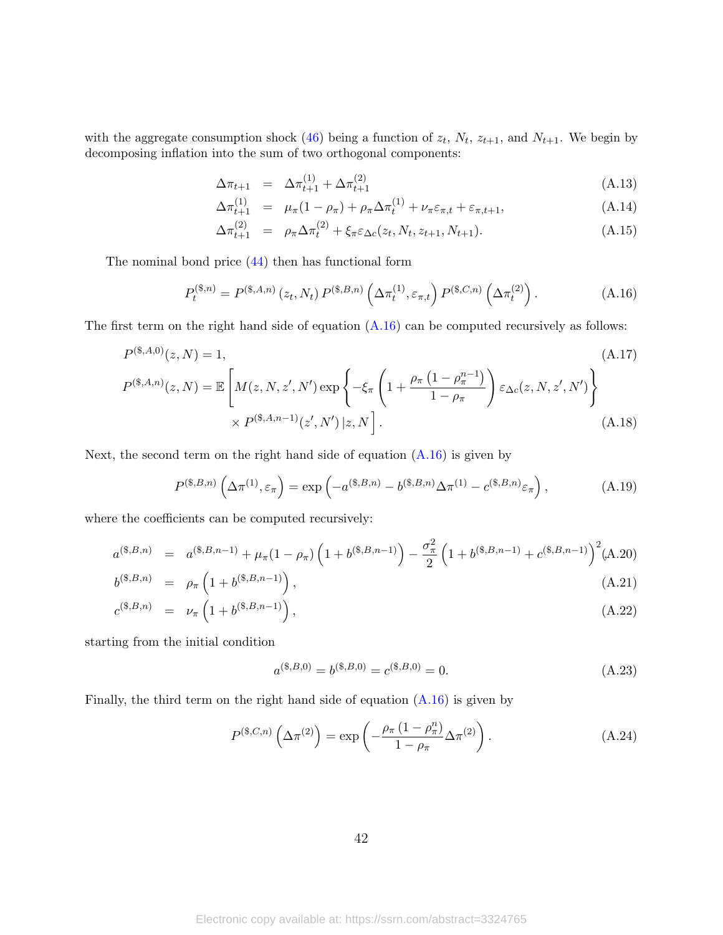with the aggregate consumption shock [\(46\)](#page-20-2) being a function of  $z_t$ ,  $N_t$ ,  $z_{t+1}$ , and  $N_{t+1}$ . We begin by decomposing inflation into the sum of two orthogonal components:

$$
\Delta \pi_{t+1} = \Delta \pi_{t+1}^{(1)} + \Delta \pi_{t+1}^{(2)} \tag{A.13}
$$

$$
\Delta \pi_{t+1}^{(1)} = \mu_{\pi} (1 - \rho_{\pi}) + \rho_{\pi} \Delta \pi_t^{(1)} + \nu_{\pi} \varepsilon_{\pi, t} + \varepsilon_{\pi, t+1}, \tag{A.14}
$$

$$
\Delta \pi_{t+1}^{(2)} = \rho_{\pi} \Delta \pi_t^{(2)} + \xi_{\pi} \varepsilon_{\Delta c}(z_t, N_t, z_{t+1}, N_{t+1}). \tag{A.15}
$$

The nominal bond price [\(44\)](#page-20-0) then has functional form

<span id="page-42-0"></span>
$$
P_t^{(\$,n)} = P^{(\$,A,n)}(z_t, N_t) P^{(\$,B,n)}\left(\Delta \pi_t^{(1)}, \varepsilon_{\pi,t}\right) P^{(\$,C,n)}\left(\Delta \pi_t^{(2)}\right). \tag{A.16}
$$

The first term on the right hand side of equation  $(A.16)$  can be computed recursively as follows:

$$
P^{(*,A,0)}(z,N) = 1,
$$
\n
$$
P^{(*,A,0)}(z,N) = \mathbb{E}\left[M(z,N,z',N')\exp\left\{-\xi_{\pi}\left(1 + \frac{\rho_{\pi}\left(1 - \rho_{\pi}^{n-1}\right)}{1 - \rho_{\pi}}\right)\varepsilon_{\Delta c}(z,N,z',N')\right\}\right] \times P^{(*,A,n-1)}(z',N')|z,N\rceil.
$$
\n(A.18)

Next, the second term on the right hand side of equation  $(A.16)$  is given by

$$
P^{(\$,B,n)}\left(\Delta\pi^{(1)},\varepsilon_{\pi}\right) = \exp\left(-a^{(\$,B,n)} - b^{(\$,B,n)}\Delta\pi^{(1)} - c^{(\$,B,n)}\varepsilon_{\pi}\right),\tag{A.19}
$$

where the coefficients can be computed recursively:

$$
a^{(\$,B,n)} = a^{(\$,B,n-1)} + \mu_\pi (1 - \rho_\pi) \left( 1 + b^{(\$,B,n-1)} \right) - \frac{\sigma_\pi^2}{2} \left( 1 + b^{(\$,B,n-1)} + c^{(\$,B,n-1)} \right)^2 (A.20)
$$

$$
b^{(*,B,n)} = \rho_{\pi} \left( 1 + b^{(*,B,n-1)} \right), \tag{A.21}
$$

$$
c^{(\$,B,n)} = \nu_{\pi} \left( 1 + b^{(\$,B,n-1)} \right), \tag{A.22}
$$

starting from the initial condition

$$
a^{(*,B,0)} = b^{(*,B,0)} = c^{(*,B,0)} = 0.
$$
\n(A.23)

Finally, the third term on the right hand side of equation [\(A.16\)](#page-42-0) is given by

$$
P^{(\$,C,n)}\left(\Delta\pi^{(2)}\right) = \exp\left(-\frac{\rho_{\pi}\left(1-\rho_{\pi}^n\right)}{1-\rho_{\pi}}\Delta\pi^{(2)}\right). \tag{A.24}
$$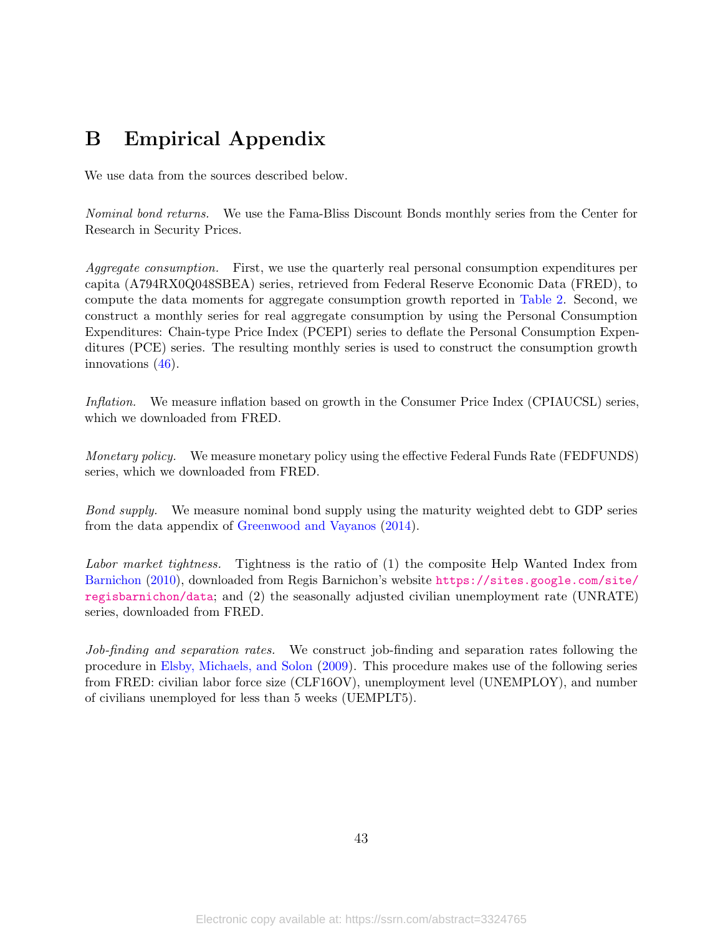# <span id="page-43-0"></span>B Empirical Appendix

We use data from the sources described below.

Nominal bond returns. We use the Fama-Bliss Discount Bonds monthly series from the Center for Research in Security Prices.

Aggregate consumption. First, we use the quarterly real personal consumption expenditures per capita (A794RX0Q048SBEA) series, retrieved from Federal Reserve Economic Data (FRED), to compute the data moments for aggregate consumption growth reported in [Table 2.](#page-24-0) Second, we construct a monthly series for real aggregate consumption by using the Personal Consumption Expenditures: Chain-type Price Index (PCEPI) series to deflate the Personal Consumption Expenditures (PCE) series. The resulting monthly series is used to construct the consumption growth innovations [\(46\)](#page-20-2).

Inflation. We measure inflation based on growth in the Consumer Price Index (CPIAUCSL) series, which we downloaded from FRED.

Monetary policy. We measure monetary policy using the effective Federal Funds Rate (FEDFUNDS) series, which we downloaded from FRED.

Bond supply. We measure nominal bond supply using the maturity weighted debt to GDP series from the data appendix of [Greenwood and Vayanos](#page-47-3) [\(2014\)](#page-47-3).

Labor market tightness. Tightness is the ratio of (1) the composite Help Wanted Index from [Barnichon](#page-45-11) [\(2010\)](#page-45-11), downloaded from Regis Barnichon's website [https://sites.google.com/site/](https://sites.google.com/site/regisbarnichon/data) [regisbarnichon/data](https://sites.google.com/site/regisbarnichon/data); and (2) the seasonally adjusted civilian unemployment rate (UNRATE) series, downloaded from FRED.

Job-finding and separation rates. We construct job-finding and separation rates following the procedure in [Elsby, Michaels, and Solon](#page-47-10) [\(2009\)](#page-47-10). This procedure makes use of the following series from FRED: civilian labor force size (CLF16OV), unemployment level (UNEMPLOY), and number of civilians unemployed for less than 5 weeks (UEMPLT5).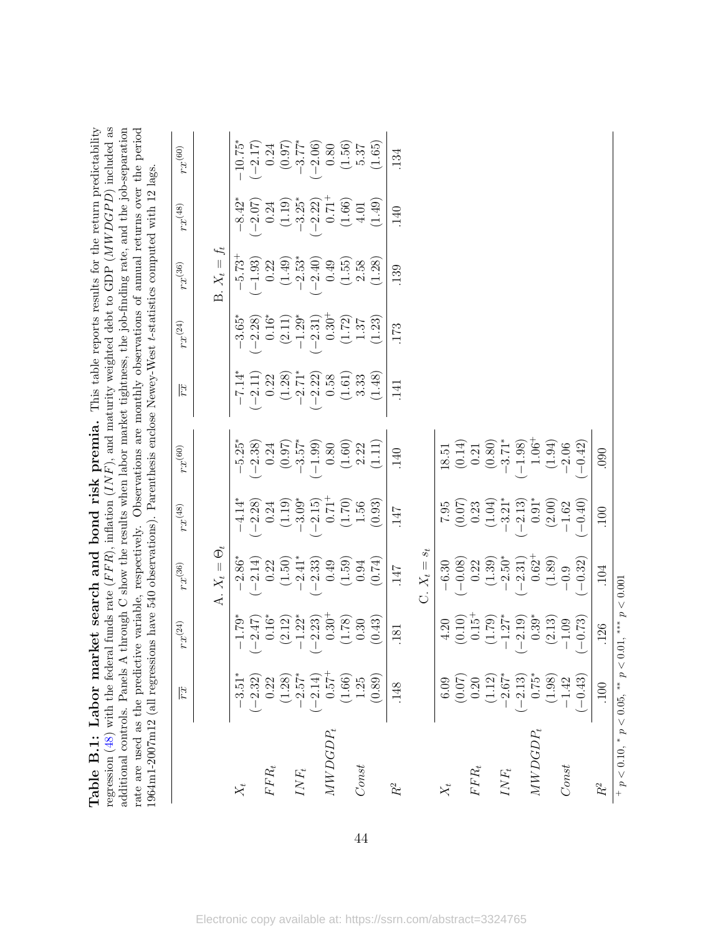| 1964m1-2007m12 (all regressions have 540 observations). Parenthesis enclose Newey-West t-statistics computed with 12 lags |                |                          |                                |                                                |                                                          |                    |                                |                                   |                                |                    |
|---------------------------------------------------------------------------------------------------------------------------|----------------|--------------------------|--------------------------------|------------------------------------------------|----------------------------------------------------------|--------------------|--------------------------------|-----------------------------------|--------------------------------|--------------------|
|                                                                                                                           | $\mathbb{Z}^d$ | $rx^{\left( 24\right) }$ | $rx^{(36)}$                    | $rx^{(48)}$                                    | $rx^{(60)}$                                              | $\mathbb{E}$       | $rx^{(24)}$                    | $rx^{(36)}$                       | $rx^{(48)}$                    | $rx^{(60)}$        |
|                                                                                                                           |                |                          | A. $X_t = \Theta_t$            |                                                |                                                          |                    |                                | B. $X_t = f_t$                    |                                |                    |
|                                                                                                                           | $-3.51$        | $-1.79^{\circ}$          |                                | $-4.14$                                        | $-5.25*$                                                 |                    | $3.65^{\circ}$                 | $-5.73$ <sup>-1</sup>             | $-8.42$                        | $-10.75^{\circ}$   |
|                                                                                                                           | $-2.32$        | 2.47                     | $-2.86^*$<br>$(-2.14)$         | $-2.28$                                        | $-2.38$                                                  | $-2.11$            | $(-2.28)$                      | $-1.93$                           | $-2.07$                        | $(-2.17)$          |
| ${\cal F}{\cal F}{\cal R}_t$                                                                                              | 0.22           | $0.16^*$                 | 0.22                           | 0.24                                           | $0.24\,$                                                 | 0.22               | $0.16*$                        | 0.22                              | 0.24                           | $0.24\,$           |
|                                                                                                                           | (1.28)         | (2.12)                   | (1.50)                         | (1.19)                                         | $(0.97)$<br>-3.57*<br>-1.99)                             | (1.28)             | $(2.11)$ $-1.29^{\ast}$        | (1.49)                            | (1.19)                         | $(0.97)$<br>-3.77* |
| $INF_t$                                                                                                                   | $2.57*$        | $-1.22*$                 | $-2.41*$                       | $-3.09*$                                       |                                                          |                    |                                |                                   | $-3.25*$                       |                    |
|                                                                                                                           | $-2.14$        | 2.23)                    | $\frac{-2.33}{0.49}$           | $-2.15$ )<br>0.71 <sup>+</sup>                 |                                                          | $-2.71$<br>$-2.22$ | $-2.31$ )<br>0.30 <sup>+</sup> | $-2.53$ <sup>*</sup><br>$-2.40$ ) | $-2.22$ )<br>0.71 <sup>+</sup> | $-2.06$            |
| $MWDGDP_t$                                                                                                                | $-2.57^{+}$    | $0.30^{+}$               |                                |                                                | $0.80\,$                                                 | 0.58               |                                | 0.49                              |                                | 0.80               |
|                                                                                                                           | (1.66)         | (1.78)                   | (1.59)                         | (1.70)                                         | (1.60)                                                   | (1.61)             | (1.72)                         | (1.55)                            | (1.66)                         | (1.56)             |
| Const                                                                                                                     | 1.25           | 0.30                     | 0.94                           | 1.56                                           | 2.22                                                     | 3.33               | 1.37                           | 2.58                              | 4.01                           | 5.37               |
|                                                                                                                           | (0.89)         | (0.43)                   | (0.74)                         | (0.93)                                         | (1.11)                                                   | (1.48)             | (1.23)                         | (1.28)                            | (1.49)                         | (1.65)             |
| $R^2$                                                                                                                     | .148           | $\overline{181}$         | 147                            | .147                                           | 140                                                      | $\overline{141}$   | 173                            | 139                               | 140                            | 134                |
|                                                                                                                           |                |                          | $s_t$<br>$C. X_t =$            |                                                |                                                          |                    |                                |                                   |                                |                    |
| $X_t$                                                                                                                     | 6.09           | 4.20                     | $-6.30$                        | 7.95                                           | 18.51                                                    |                    |                                |                                   |                                |                    |
|                                                                                                                           | (0.07)         | (0.10)                   | $(-0.08)$                      | $\begin{array}{c} (0.07) \\ 0.23 \end{array}$  | $(0.14)$<br>$0.21$<br>$(0.80)$<br>$-3.71$ *<br>$-1.98$ ) |                    |                                |                                   |                                |                    |
| $FFR_t$                                                                                                                   | 0.20           | $0.15^{+}$               | 0.22                           |                                                |                                                          |                    |                                |                                   |                                |                    |
|                                                                                                                           | (1.12)         | (1.79)                   | (1.39)                         |                                                |                                                          |                    |                                |                                   |                                |                    |
| $INF_t$                                                                                                                   | $-2.67*$       | $-1.27*$                 | $-2.50*$                       |                                                |                                                          |                    |                                |                                   |                                |                    |
|                                                                                                                           | $-2.13$        | (2.19)                   | $(-2.31)$<br>0.62 <sup>+</sup> | $\left(1.04\right)\\ -3.21^{*}\\ -2.13\right)$ |                                                          |                    |                                |                                   |                                |                    |
| $MWDGDP_t$                                                                                                                | $0.75*$        | $0.39*$                  |                                |                                                | $1.06^{+}$                                               |                    |                                |                                   |                                |                    |
|                                                                                                                           | (1.98)         | (2.13)                   | (1.89)                         | $(2.00)$<br>-1.62                              | (1.94)                                                   |                    |                                |                                   |                                |                    |
| Const                                                                                                                     | $-1.42$        | 1.09                     | $-0.9$                         |                                                | $-2.06$                                                  |                    |                                |                                   |                                |                    |
|                                                                                                                           | $-0.43$        | $-0.73$                  | $(-0.32)$                      | $-0.40)$                                       | $-0.42$                                                  |                    |                                |                                   |                                |                    |
| $R^2$                                                                                                                     | .100           | .126                     | .104                           | .100                                           | 0.000                                                    |                    |                                |                                   |                                |                    |
| $p < 0.10, * p < 0.05, ** p < 0.01,***$                                                                                   |                |                          | p < 0.001                      |                                                |                                                          |                    |                                |                                   |                                |                    |

<span id="page-44-0"></span>Table B.1: Labor market search and bond risk premia. This table reports results for the return predictability Table B.1: Labor market search and bond risk premia. This table reports results for the return predictability regression [\(48\)](#page-33-0) with the federal funds rate (FFR), inflation (INF), and maturity weighted debt to GDP (MWDGPD) included as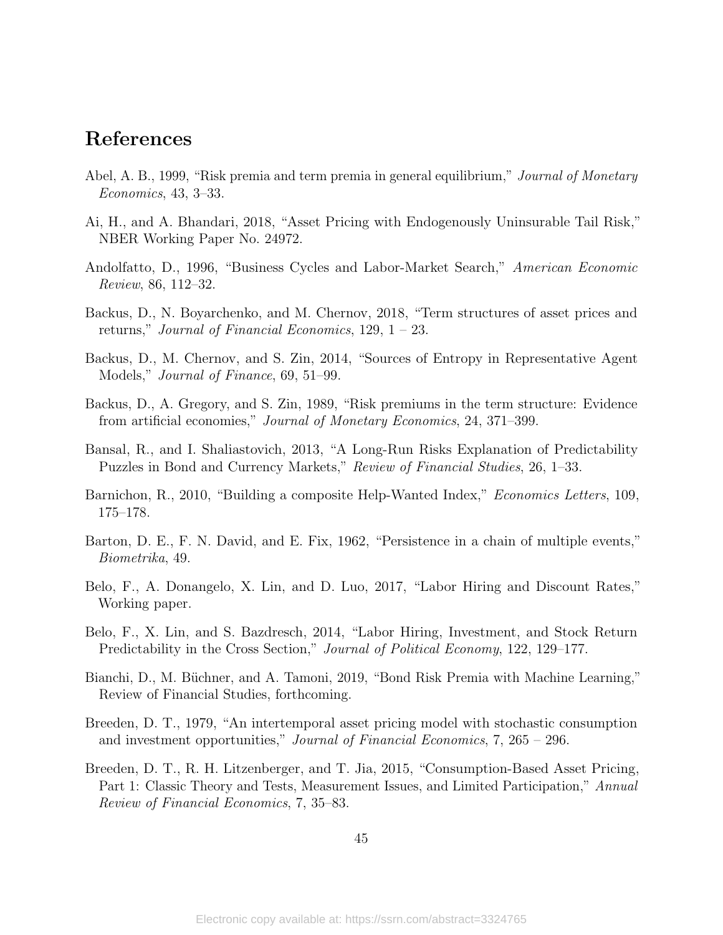## References

- <span id="page-45-13"></span>Abel, A. B., 1999, "Risk premia and term premia in general equilibrium," *Journal of Monetary* Economics, 43, 3–33.
- <span id="page-45-9"></span>Ai, H., and A. Bhandari, 2018, "Asset Pricing with Endogenously Uninsurable Tail Risk," NBER Working Paper No. 24972.
- <span id="page-45-5"></span>Andolfatto, D., 1996, "Business Cycles and Labor-Market Search," American Economic Review, 86, 112–32.
- <span id="page-45-8"></span>Backus, D., N. Boyarchenko, and M. Chernov, 2018, "Term structures of asset prices and returns," Journal of Financial Economics, 129, 1 – 23.
- <span id="page-45-7"></span>Backus, D., M. Chernov, and S. Zin, 2014, "Sources of Entropy in Representative Agent Models," Journal of Finance, 69, 51–99.
- <span id="page-45-0"></span>Backus, D., A. Gregory, and S. Zin, 1989, "Risk premiums in the term structure: Evidence from artificial economies," Journal of Monetary Economics, 24, 371–399.
- <span id="page-45-2"></span>Bansal, R., and I. Shaliastovich, 2013, "A Long-Run Risks Explanation of Predictability Puzzles in Bond and Currency Markets," Review of Financial Studies, 26, 1–33.
- <span id="page-45-11"></span>Barnichon, R., 2010, "Building a composite Help-Wanted Index," *Economics Letters*, 109, 175–178.
- <span id="page-45-10"></span>Barton, D. E., F. N. David, and E. Fix, 1962, "Persistence in a chain of multiple events," Biometrika, 49.
- <span id="page-45-4"></span>Belo, F., A. Donangelo, X. Lin, and D. Luo, 2017, "Labor Hiring and Discount Rates," Working paper.
- <span id="page-45-3"></span>Belo, F., X. Lin, and S. Bazdresch, 2014, "Labor Hiring, Investment, and Stock Return Predictability in the Cross Section," *Journal of Political Economy*, 122, 129–177.
- <span id="page-45-1"></span>Bianchi, D., M. Büchner, and A. Tamoni, 2019, "Bond Risk Premia with Machine Learning," Review of Financial Studies, forthcoming.
- <span id="page-45-6"></span>Breeden, D. T., 1979, "An intertemporal asset pricing model with stochastic consumption and investment opportunities," Journal of Financial Economics, 7, 265 – 296.
- <span id="page-45-12"></span>Breeden, D. T., R. H. Litzenberger, and T. Jia, 2015, "Consumption-Based Asset Pricing, Part 1: Classic Theory and Tests, Measurement Issues, and Limited Participation," Annual Review of Financial Economics, 7, 35–83.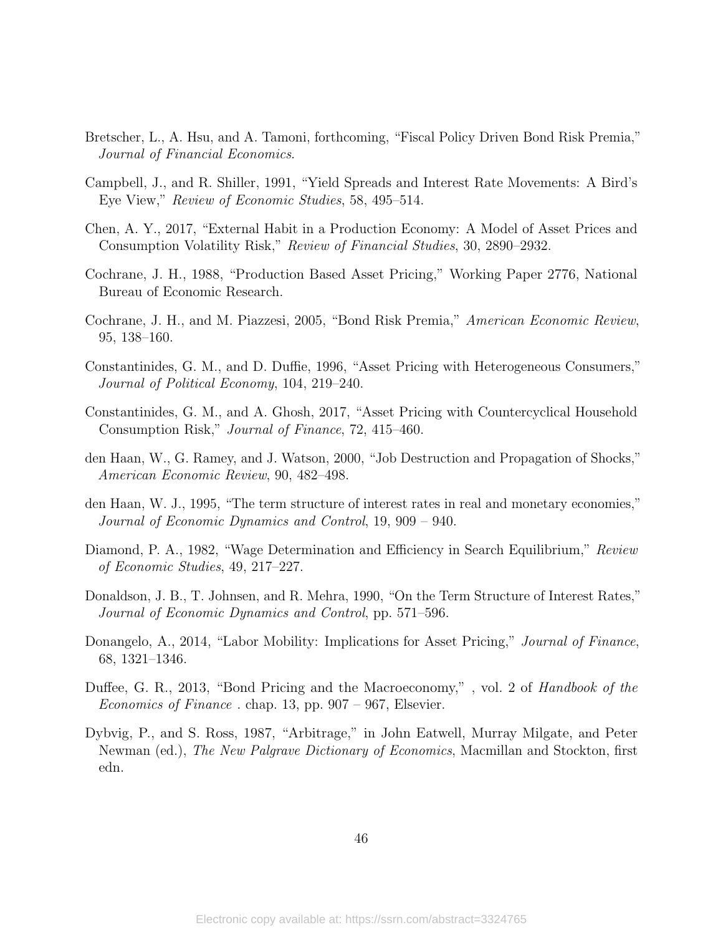- <span id="page-46-8"></span>Bretscher, L., A. Hsu, and A. Tamoni, forthcoming, "Fiscal Policy Driven Bond Risk Premia," Journal of Financial Economics.
- <span id="page-46-3"></span>Campbell, J., and R. Shiller, 1991, "Yield Spreads and Interest Rate Movements: A Bird's Eye View," Review of Economic Studies, 58, 495–514.
- <span id="page-46-7"></span>Chen, A. Y., 2017, "External Habit in a Production Economy: A Model of Asset Prices and Consumption Volatility Risk," Review of Financial Studies, 30, 2890–2932.
- <span id="page-46-9"></span>Cochrane, J. H., 1988, "Production Based Asset Pricing," Working Paper 2776, National Bureau of Economic Research.
- <span id="page-46-4"></span>Cochrane, J. H., and M. Piazzesi, 2005, "Bond Risk Premia," American Economic Review, 95, 138–160.
- <span id="page-46-0"></span>Constantinides, G. M., and D. Duffie, 1996, "Asset Pricing with Heterogeneous Consumers," Journal of Political Economy, 104, 219–240.
- <span id="page-46-1"></span>Constantinides, G. M., and A. Ghosh, 2017, "Asset Pricing with Countercyclical Household Consumption Risk," Journal of Finance, 72, 415–460.
- <span id="page-46-13"></span>den Haan, W., G. Ramey, and J. Watson, 2000, "Job Destruction and Propagation of Shocks," American Economic Review, 90, 482–498.
- <span id="page-46-6"></span>den Haan, W. J., 1995, "The term structure of interest rates in real and monetary economies," Journal of Economic Dynamics and Control, 19, 909 – 940.
- <span id="page-46-11"></span>Diamond, P. A., 1982, "Wage Determination and Efficiency in Search Equilibrium," Review of Economic Studies, 49, 217–227.
- <span id="page-46-5"></span>Donaldson, J. B., T. Johnsen, and R. Mehra, 1990, "On the Term Structure of Interest Rates," Journal of Economic Dynamics and Control, pp. 571–596.
- <span id="page-46-10"></span>Donangelo, A., 2014, "Labor Mobility: Implications for Asset Pricing," *Journal of Finance*, 68, 1321–1346.
- <span id="page-46-2"></span>Duffee, G. R., 2013, "Bond Pricing and the Macroeconomy," , vol. 2 of Handbook of the Economics of Finance . chap. 13, pp. 907 – 967, Elsevier.
- <span id="page-46-12"></span>Dybvig, P., and S. Ross, 1987, "Arbitrage," in John Eatwell, Murray Milgate, and Peter Newman (ed.), The New Palgrave Dictionary of Economics, Macmillan and Stockton, first edn.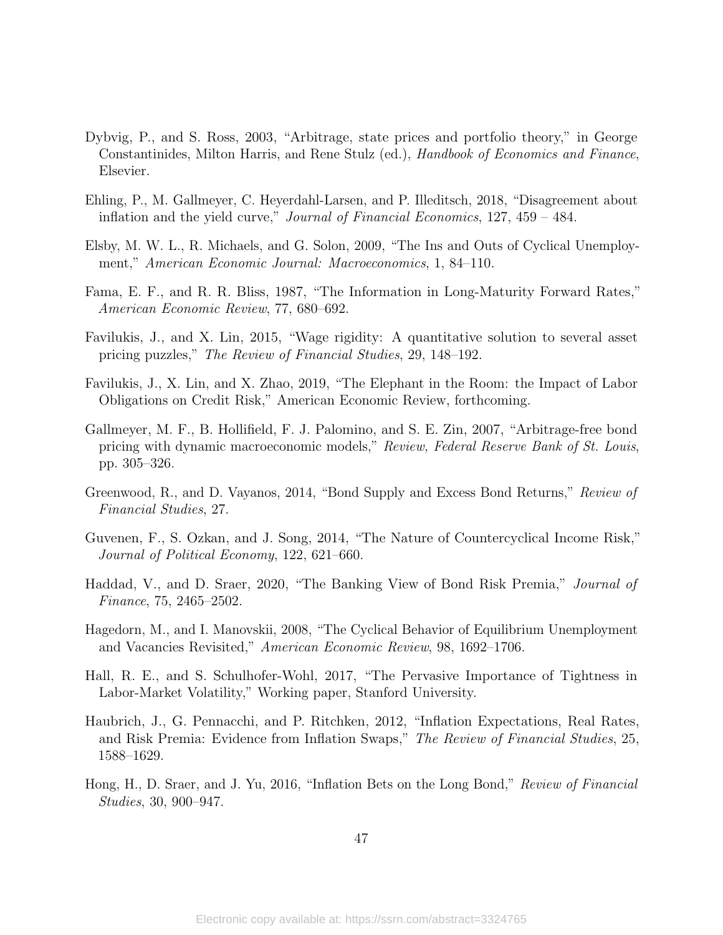- <span id="page-47-9"></span>Dybvig, P., and S. Ross, 2003, "Arbitrage, state prices and portfolio theory," in George Constantinides, Milton Harris, and Rene Stulz (ed.), Handbook of Economics and Finance, Elsevier.
- <span id="page-47-6"></span>Ehling, P., M. Gallmeyer, C. Heyerdahl-Larsen, and P. Illeditsch, 2018, "Disagreement about inflation and the yield curve," Journal of Financial Economics, 127, 459 – 484.
- <span id="page-47-10"></span>Elsby, M. W. L., R. Michaels, and G. Solon, 2009, "The Ins and Outs of Cyclical Unemployment," American Economic Journal: Macroeconomics, 1, 84–110.
- <span id="page-47-1"></span>Fama, E. F., and R. R. Bliss, 1987, "The Information in Long-Maturity Forward Rates," American Economic Review, 77, 680–692.
- <span id="page-47-7"></span>Favilukis, J., and X. Lin, 2015, "Wage rigidity: A quantitative solution to several asset pricing puzzles," The Review of Financial Studies, 29, 148–192.
- <span id="page-47-8"></span>Favilukis, J., X. Lin, and X. Zhao, 2019, "The Elephant in the Room: the Impact of Labor Obligations on Credit Risk," American Economic Review, forthcoming.
- <span id="page-47-2"></span>Gallmeyer, M. F., B. Hollifield, F. J. Palomino, and S. E. Zin, 2007, "Arbitrage-free bond pricing with dynamic macroeconomic models," Review, Federal Reserve Bank of St. Louis, pp. 305–326.
- <span id="page-47-3"></span>Greenwood, R., and D. Vayanos, 2014, "Bond Supply and Excess Bond Returns," Review of Financial Studies, 27.
- <span id="page-47-0"></span>Guvenen, F., S. Ozkan, and J. Song, 2014, "The Nature of Countercyclical Income Risk," Journal of Political Economy, 122, 621–660.
- <span id="page-47-4"></span>Haddad, V., and D. Sraer, 2020, "The Banking View of Bond Risk Premia," Journal of Finance, 75, 2465–2502.
- <span id="page-47-11"></span>Hagedorn, M., and I. Manovskii, 2008, "The Cyclical Behavior of Equilibrium Unemployment and Vacancies Revisited," American Economic Review, 98, 1692–1706.
- <span id="page-47-13"></span>Hall, R. E., and S. Schulhofer-Wohl, 2017, "The Pervasive Importance of Tightness in Labor-Market Volatility," Working paper, Stanford University.
- <span id="page-47-12"></span>Haubrich, J., G. Pennacchi, and P. Ritchken, 2012, "Inflation Expectations, Real Rates, and Risk Premia: Evidence from Inflation Swaps," The Review of Financial Studies, 25, 1588–1629.
- <span id="page-47-5"></span>Hong, H., D. Sraer, and J. Yu, 2016, "Inflation Bets on the Long Bond," Review of Financial Studies, 30, 900–947.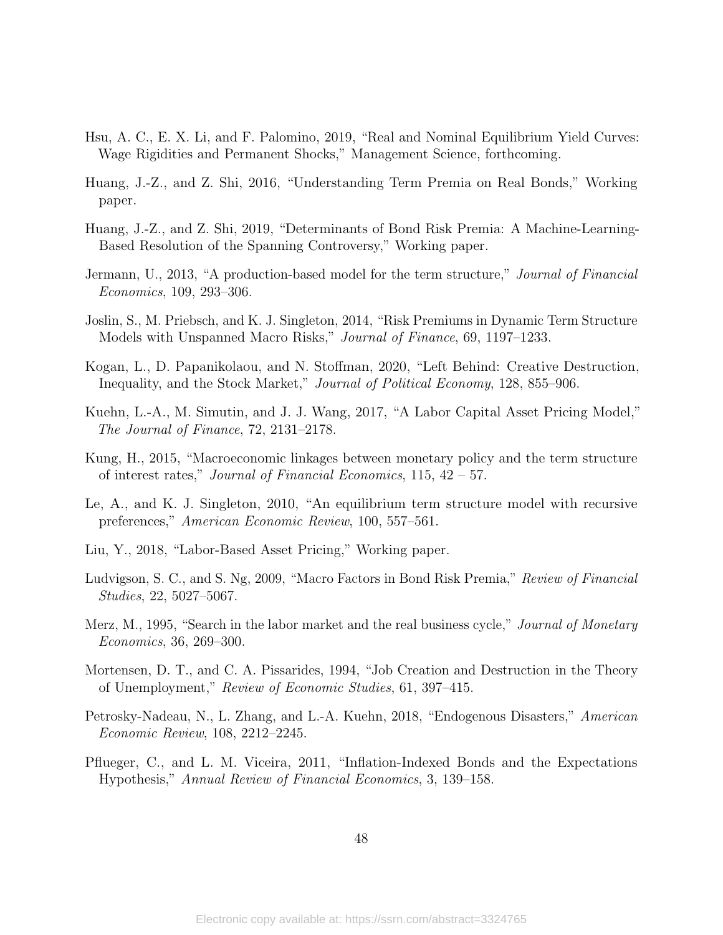- <span id="page-48-5"></span>Hsu, A. C., E. X. Li, and F. Palomino, 2019, "Real and Nominal Equilibrium Yield Curves: Wage Rigidities and Permanent Shocks," Management Science, forthcoming.
- <span id="page-48-2"></span>Huang, J.-Z., and Z. Shi, 2016, "Understanding Term Premia on Real Bonds," Working paper.
- <span id="page-48-3"></span>Huang, J.-Z., and Z. Shi, 2019, "Determinants of Bond Risk Premia: A Machine-Learning-Based Resolution of the Spanning Controversy," Working paper.
- <span id="page-48-9"></span>Jermann, U., 2013, "A production-based model for the term structure," Journal of Financial Economics, 109, 293–306.
- <span id="page-48-1"></span>Joslin, S., M. Priebsch, and K. J. Singleton, 2014, "Risk Premiums in Dynamic Term Structure Models with Unspanned Macro Risks," Journal of Finance, 69, 1197–1233.
- <span id="page-48-8"></span>Kogan, L., D. Papanikolaou, and N. Stoffman, 2020, "Left Behind: Creative Destruction, Inequality, and the Stock Market," Journal of Political Economy, 128, 855–906.
- <span id="page-48-11"></span>Kuehn, L.-A., M. Simutin, and J. J. Wang, 2017, "A Labor Capital Asset Pricing Model," The Journal of Finance, 72, 2131–2178.
- <span id="page-48-7"></span>Kung, H., 2015, "Macroeconomic linkages between monetary policy and the term structure of interest rates," Journal of Financial Economics, 115, 42 – 57.
- <span id="page-48-6"></span>Le, A., and K. J. Singleton, 2010, "An equilibrium term structure model with recursive preferences," American Economic Review, 100, 557–561.
- <span id="page-48-12"></span>Liu, Y., 2018, "Labor-Based Asset Pricing," Working paper.
- <span id="page-48-0"></span>Ludvigson, S. C., and S. Ng, 2009, "Macro Factors in Bond Risk Premia," Review of Financial Studies, 22, 5027–5067.
- <span id="page-48-14"></span>Merz, M., 1995, "Search in the labor market and the real business cycle," Journal of Monetary Economics, 36, 269–300.
- <span id="page-48-13"></span>Mortensen, D. T., and C. A. Pissarides, 1994, "Job Creation and Destruction in the Theory of Unemployment," Review of Economic Studies, 61, 397–415.
- <span id="page-48-10"></span>Petrosky-Nadeau, N., L. Zhang, and L.-A. Kuehn, 2018, "Endogenous Disasters," American Economic Review, 108, 2212–2245.
- <span id="page-48-4"></span>Pflueger, C., and L. M. Viceira, 2011, "Inflation-Indexed Bonds and the Expectations Hypothesis," Annual Review of Financial Economics, 3, 139–158.